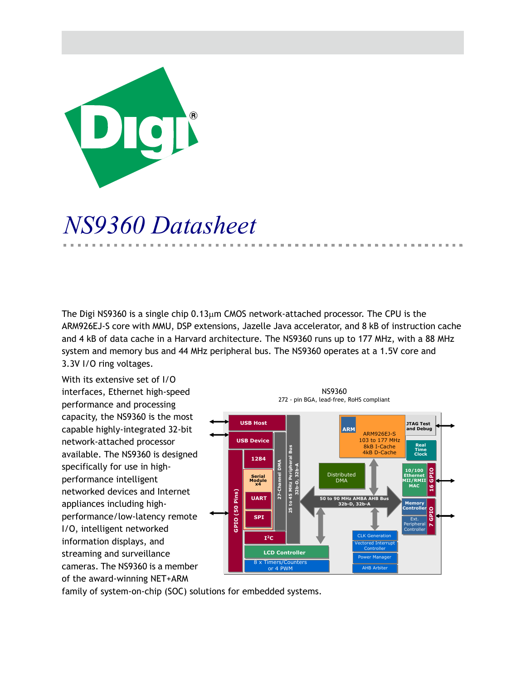

# *NS9360 Datasheet*

The Digi NS9360 is a single chip  $0.13 \mu m$  CMOS network-attached processor. The CPU is the ARM926EJ-S core with MMU, DSP extensions, Jazelle Java accelerator, and 8 kB of instruction cache and 4 kB of data cache in a Harvard architecture. The NS9360 runs up to 177 MHz, with a 88 MHz system and memory bus and 44 MHz peripheral bus. The NS9360 operates at a 1.5V core and 3.3V I/O ring voltages.

With its extensive set of I/O interfaces, Ethernet high-speed performance and processing capacity, the NS9360 is the most capable highly-integrated 32-bit network-attached processor available. The NS9360 is designed specifically for use in highperformance intelligent networked devices and Internet appliances including highperformance/low-latency remote I/O, intelligent networked information displays, and streaming and surveillance cameras. The NS9360 is a member of the award-winning NET+ARM



**B. B. B.** 

family of system-on-chip (SOC) solutions for embedded systems.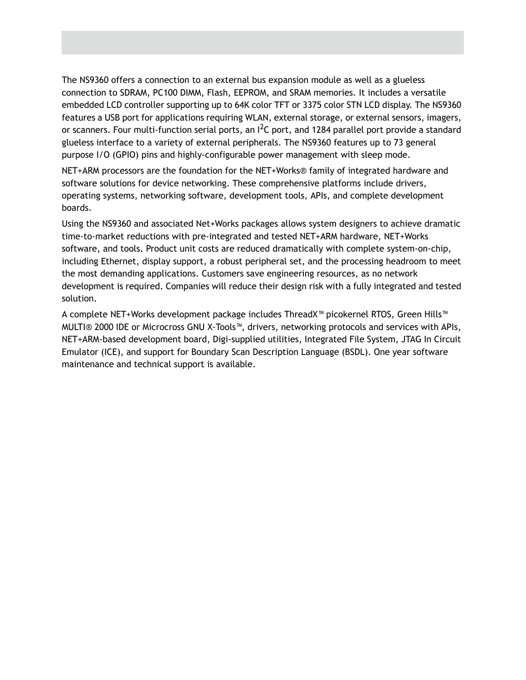The NS9360 offers a connection to an external bus expansion module as well as a glueless connection to SDRAM, PC100 DIMM, Flash, EEPROM, and SRAM memories. It includes a versatile embedded LCD controller supporting up to 64K color TFT or 3375 color STN LCD display. The NS9360 features a USB port for applications requiring WLAN, external storage, or external sensors, imagers, or scanners. Four multi-function serial ports, an  $I^2C$  port, and 1284 parallel port provide a standard glueless interface to a variety of external peripherals. The NS9360 features up to 73 general purpose I/O (GPIO) pins and highly-configurable power management with sleep mode.

NET+ARM processors are the foundation for the NET+Works® family of integrated hardware and software solutions for device networking. These comprehensive platforms include drivers, operating systems, networking software, development tools, APIs, and complete development boards.

Using the NS9360 and associated Net+Works packages allows system designers to achieve dramatic time-to-market reductions with pre-integrated and tested NET+ARM hardware, NET+Works software, and tools. Product unit costs are reduced dramatically with complete system-on-chip, including Ethernet, display support, a robust peripheral set, and the processing headroom to meet the most demanding applications. Customers save engineering resources, as no network development is required. Companies will reduce their design risk with a fully integrated and tested solution.

A complete NET+Works development package includes ThreadX™ picokernel RTOS, Green Hills™ MULTI® 2000 IDE or Microcross GNU X-Tools™, drivers, networking protocols and services with APIs, NET+ARM-based development board, Digi-supplied utilities, Integrated File System, JTAG In Circuit Emulator (ICE), and support for Boundary Scan Description Language (BSDL). One year software maintenance and technical support is available.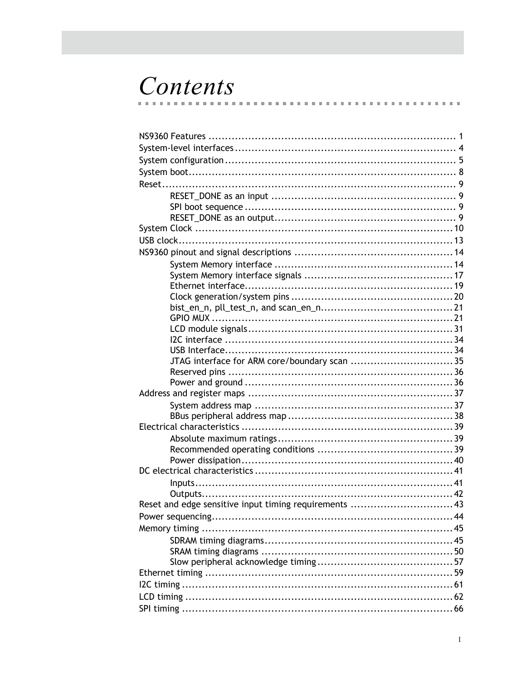## Contents  $\mathbf{r}$

 $\sim$ m.  $\sim$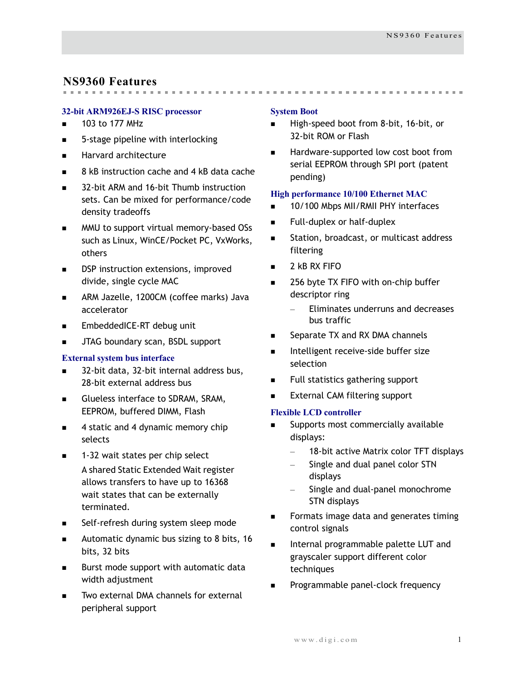## <span id="page-4-0"></span>**NS9360 Features**

## **32-bit ARM926EJ-S RISC processor**

- $\blacksquare$  103 to 177 MHz
- 5-stage pipeline with interlocking
- **Harvard architecture**
- 8 kB instruction cache and 4 kB data cache
- 32-bit ARM and 16-bit Thumb instruction sets. Can be mixed for performance/code density tradeoffs
- **MMU** to support virtual memory-based OSs such as Linux, WinCE/Pocket PC, VxWorks, others
- DSP instruction extensions, improved divide, single cycle MAC
- **ARM Jazelle, 1200CM (coffee marks) Java** accelerator
- **EmbeddedICE-RT debug unit**
- **JTAG boundary scan, BSDL support**

## **External system bus interface**

- 32-bit data, 32-bit internal address bus, 28-bit external address bus
- Glueless interface to SDRAM, SRAM, EEPROM, buffered DIMM, Flash
- 4 static and 4 dynamic memory chip selects
- 1-32 wait states per chip select A shared Static Extended Wait register allows transfers to have up to 16368 wait states that can be externally terminated.
- Self-refresh during system sleep mode
- Automatic dynamic bus sizing to 8 bits,  $16$ bits, 32 bits
- **Burst mode support with automatic data** width adjustment
- Two external DMA channels for external peripheral support

### **System Boot**

High-speed boot from 8-bit, 16-bit, or 32-bit ROM or Flash

 Hardware-supported low cost boot from serial EEPROM through SPI port (patent pending)

## **High performance 10/100 Ethernet MAC**

- 10/100 Mbps MII/RMII PHY interfaces
- Full-duplex or half-duplex
- **Station, broadcast, or multicast address** filtering
- $\blacksquare$  2 kB RX FIFO
- 256 byte TX FIFO with on-chip buffer descriptor ring
	- Eliminates underruns and decreases bus traffic
- Separate TX and RX DMA channels
- Intelligent receive-side buffer size selection
- Full statistics gathering support
- External CAM filtering support

## **Flexible LCD controller**

- Supports most commercially available displays:
	- 18-bit active Matrix color TFT displays
	- Single and dual panel color STN displays
	- Single and dual-panel monochrome STN displays
- **Formats image data and generates timing** control signals
- Internal programmable palette LUT and grayscaler support different color techniques
- Programmable panel-clock frequency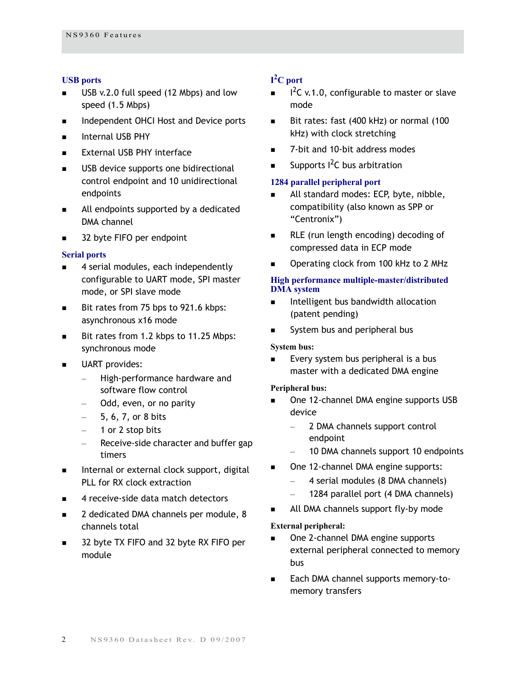## **USB ports**

- USB v.2.0 full speed (12 Mbps) and low speed (1.5 Mbps)
- Independent OHCI Host and Device ports
- **Internal USB PHY**
- **External USB PHY interface**
- **USB** device supports one bidirectional control endpoint and 10 unidirectional endpoints
- All endpoints supported by a dedicated DMA channel
- 32 byte FIFO per endpoint

#### **Serial ports**

- 4 serial modules, each independently configurable to UART mode, SPI master mode, or SPI slave mode
- Bit rates from 75 bps to 921.6 kbps: asynchronous x16 mode
- Bit rates from 1.2 kbps to 11.25 Mbps: synchronous mode
- UART provides:
	- High-performance hardware and software flow control
	- Odd, even, or no parity
	- 5, 6, 7, or 8 bits
	- 1 or 2 stop bits
	- Receive-side character and buffer gap timers
- $\blacksquare$  Internal or external clock support, digital PLL for RX clock extraction
- 4 receive-side data match detectors
- 2 dedicated DMA channels per module, 8 channels total
- 32 byte TX FIFO and 32 byte RX FIFO per module

## **I 2 C port**

- $I^2C$  v.1.0, configurable to master or slave mode
- Bit rates: fast (400 kHz) or normal (100 kHz) with clock stretching
- 7-bit and 10-bit address modes
- Supports  $1^2C$  bus arbitration

## **1284 parallel peripheral port**

- All standard modes: ECP, byte, nibble, compatibility (also known as SPP or "Centronix")
- **RLE** (run length encoding) decoding of compressed data in ECP mode
- Operating clock from 100 kHz to 2 MHz

#### **High performance multiple-master/distributed DMA system**

- Intelligent bus bandwidth allocation (patent pending)
- System bus and peripheral bus

#### **System bus:**

 Every system bus peripheral is a bus master with a dedicated DMA engine

### **Peripheral bus:**

- One 12-channel DMA engine supports USB device
	- 2 DMA channels support control endpoint
	- 10 DMA channels support 10 endpoints
- One 12-channel DMA engine supports:
	- 4 serial modules (8 DMA channels)
	- 1284 parallel port (4 DMA channels)
- All DMA channels support fly-by mode

### **External peripheral:**

- One 2-channel DMA engine supports external peripheral connected to memory bus
- Each DMA channel supports memory-tomemory transfers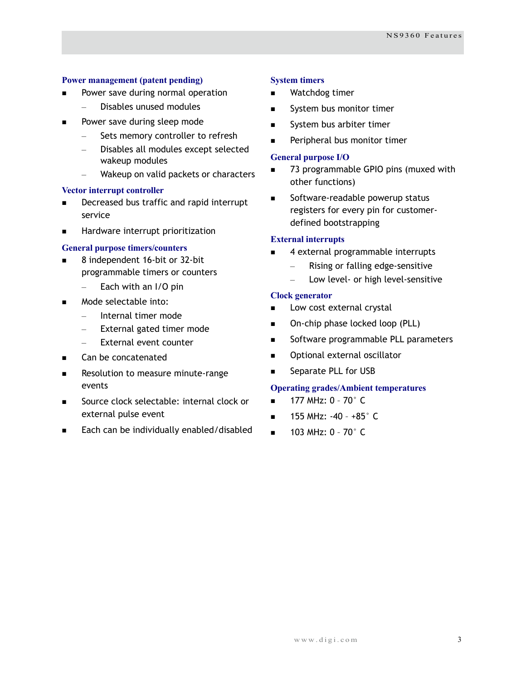## **Power management (patent pending)**

- Power save during normal operation
	- Disables unused modules
- Power save during sleep mode
	- Sets memory controller to refresh
	- Disables all modules except selected wakeup modules
	- Wakeup on valid packets or characters

### **Vector interrupt controller**

- **Decreased bus traffic and rapid interrupt** service
- **Hardware interrupt prioritization**

### **General purpose timers/counters**

- 8 independent 16-bit or 32-bit programmable timers or counters
	- Each with an I/O pin
- Mode selectable into:
	- Internal timer mode
	- External gated timer mode
	- External event counter
- Can be concatenated
- Resolution to measure minute-range events
- Source clock selectable: internal clock or external pulse event
- Each can be individually enabled/disabled

### **System timers**

- Watchdog timer
- System bus monitor timer
- System bus arbiter timer
- Peripheral bus monitor timer

#### **General purpose I/O**

- 73 programmable GPIO pins (muxed with other functions)
- Software-readable powerup status registers for every pin for customerdefined bootstrapping

### **External interrupts**

- 4 external programmable interrupts
	- Rising or falling edge-sensitive
	- Low level- or high level-sensitive

### **Clock generator**

- Low cost external crystal
- On-chip phase locked loop (PLL)
- Software programmable PLL parameters
- Optional external oscillator
- Separate PLL for USB

### **Operating grades/Ambient temperatures**

- $\blacksquare$  177 MHz: 0 70 $^{\circ}$  C
- $\blacksquare$  155 MHz: -40 +85 $^{\circ}$  C
- $\blacksquare$  103 MHz: 0 70 $^{\circ}$  C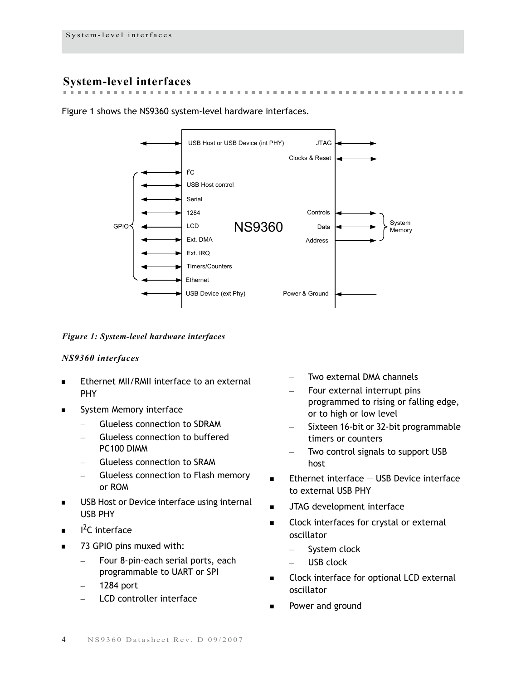## <span id="page-7-0"></span>**System-level interfaces**

Figure 1 shows the NS9360 system-level hardware interfaces.



**BUILDING** 

the contract of

 $\sim$ 

*Figure 1: System-level hardware interfaces*

## *NS9360 interfaces*

- Ethernet MII/RMII interface to an external PHY
- System Memory interface
	- Glueless connection to SDRAM
	- Glueless connection to buffered PC100 DIMM
	- Glueless connection to SRAM
	- Glueless connection to Flash memory or ROM
- USB Host or Device interface using internal USB PHY
- $I^2C$  interface
- 73 GPIO pins muxed with:
	- Four 8-pin-each serial ports, each programmable to UART or SPI
	- 1284 port
	- LCD controller interface
- Two external DMA channels
- Four external interrupt pins programmed to rising or falling edge, or to high or low level
- Sixteen 16-bit or 32-bit programmable timers or counters
- Two control signals to support USB host
- $\blacksquare$  Ethernet interface  $-$  USB Device interface to external USB PHY
- JTAG development interface
- Clock interfaces for crystal or external oscillator
	- System clock
	- USB clock
- Clock interface for optional LCD external oscillator
- Power and ground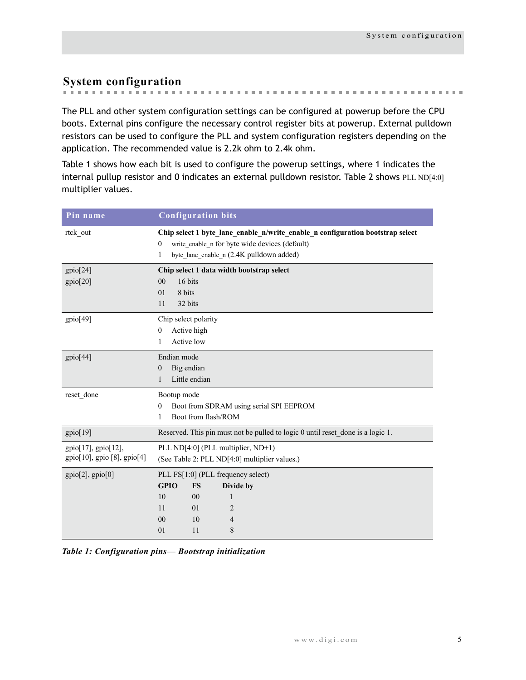## <span id="page-8-0"></span>**System configuration**

m.

The PLL and other system configuration settings can be configured at powerup before the CPU boots. External pins configure the necessary control register bits at powerup. External pulldown resistors can be used to configure the PLL and system configuration registers depending on the application. The recommended value is 2.2k ohm to 2.4k ohm.

Table 1 shows how each bit is used to configure the powerup settings, where 1 indicates the internal pullup resistor and 0 indicates an external pulldown resistor. Table 2 shows PLL ND[4:0] multiplier values.

| Pin name                                           | <b>Configuration bits</b>                                                                                                                                                                     |  |  |  |  |  |  |  |
|----------------------------------------------------|-----------------------------------------------------------------------------------------------------------------------------------------------------------------------------------------------|--|--|--|--|--|--|--|
| rtck out                                           | Chip select 1 byte_lane_enable_n/write_enable_n configuration bootstrap select<br>write enable n for byte wide devices (default)<br>$\bf{0}$<br>byte_lane_enable_n (2.4K pulldown added)<br>1 |  |  |  |  |  |  |  |
| gpio[24]<br>gpio[20]                               | Chip select 1 data width bootstrap select<br>16 bits<br>00<br>8 bits<br>01<br>32 bits<br>11                                                                                                   |  |  |  |  |  |  |  |
| gpio[49]                                           | Chip select polarity<br>Active high<br>$\mathbf{0}$<br>Active low<br>1                                                                                                                        |  |  |  |  |  |  |  |
| gpio[44]                                           | Endian mode<br>Big endian<br>$\mathbf{0}$<br>Little endian<br>1                                                                                                                               |  |  |  |  |  |  |  |
| reset done                                         | Bootup mode<br>Boot from SDRAM using serial SPI EEPROM<br>$\mathbf{0}$<br>Boot from flash/ROM<br>1                                                                                            |  |  |  |  |  |  |  |
| gpio[19]                                           | Reserved. This pin must not be pulled to logic 0 until reset done is a logic 1.                                                                                                               |  |  |  |  |  |  |  |
| gpio[17], gpio[12],<br>gpio[10], gpio [8], gpio[4] | PLL ND[4:0] (PLL multiplier, ND+1)<br>(See Table 2: PLL ND[4:0] multiplier values.)                                                                                                           |  |  |  |  |  |  |  |
| $gpio[2]$ , $gpio[0]$                              | PLL FS[1:0] (PLL frequency select)<br><b>GPIO</b><br>Divide by<br><b>FS</b><br>10<br>00<br>1<br>01<br>2<br>11<br>00<br>10<br>4<br>8<br>11<br>01                                               |  |  |  |  |  |  |  |

*Table 1: Configuration pins— Bootstrap initialization*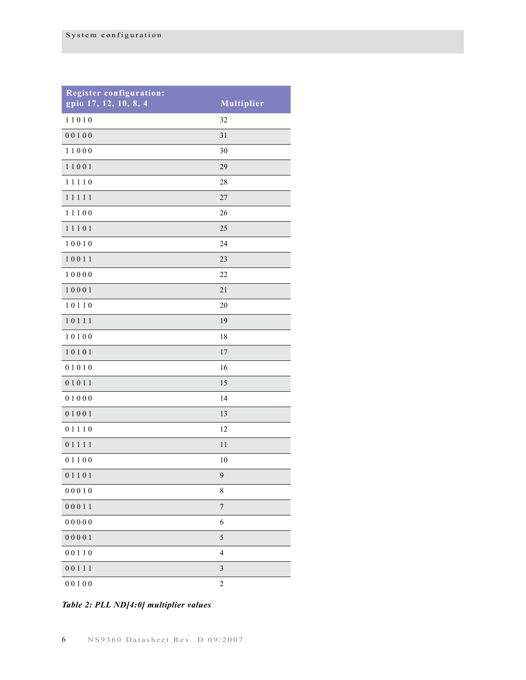| <b>Register configuration:</b><br>gpio 17, 12, 10, 8, 4 | Multiplier     |
|---------------------------------------------------------|----------------|
| 11010                                                   | 32             |
| 00100                                                   | 31             |
| 11000                                                   | 30             |
| 11001                                                   | 29             |
| 11110                                                   | 28             |
| 11111                                                   | 27             |
| 11100                                                   | 26             |
| 11101                                                   | 25             |
| 10010                                                   | 24             |
| 10011                                                   | 23             |
| 10000                                                   | 22             |
| 10001                                                   | 21             |
| 10110                                                   | 20             |
| 10111                                                   | 19             |
| 10100                                                   | 18             |
| 10101                                                   | 17             |
| 01010                                                   | 16             |
| 01011                                                   | 15             |
| 01000                                                   | 14             |
| 01001                                                   | 13             |
| 01110                                                   | 12             |
| 01111                                                   | 11             |
| 01100                                                   | 10             |
| 01101                                                   | 9              |
| 00010                                                   | 8              |
| 00011                                                   | $\sqrt{ }$     |
| 00000                                                   | 6              |
| 00001                                                   | 5              |
| 00110                                                   | $\overline{4}$ |
| 00111                                                   | $\mathfrak{Z}$ |
| 00100                                                   | $\overline{c}$ |

*Table 2: PLL ND[4:0] multiplier values*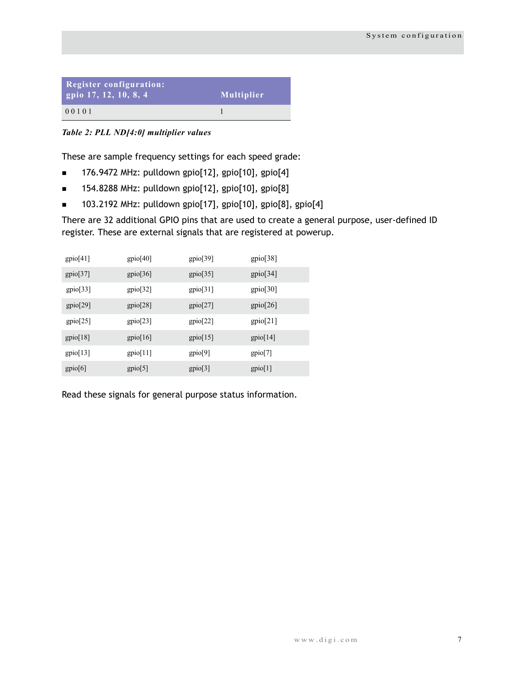| <b>Register configuration:</b><br>gpio $17, 12, 10, 8, 4$ | Multiplier |
|-----------------------------------------------------------|------------|
| 00101                                                     |            |

*Table 2: PLL ND[4:0] multiplier values*

These are sample frequency settings for each speed grade:

- $\blacksquare$  176.9472 MHz: pulldown gpio[12], gpio[10], gpio[4]
- 154.8288 MHz: pulldown gpio[12], gpio[10], gpio[8]
- $\blacksquare$  103.2192 MHz: pulldown gpio[17], gpio[10], gpio[8], gpio[4]

There are 32 additional GPIO pins that are used to create a general purpose, user-defined ID register. These are external signals that are registered at powerup.

| gpio[41] | gpio[40] | gpio[39] | gpio[38] |
|----------|----------|----------|----------|
| gpio[37] | gpio[36] | gpio[35] | gpio[34] |
| gpio[33] | gpio[32] | gpio[31] | gpio[30] |
| gpio[29] | gpio[28] | gpio[27] | gpio[26] |
| gpio[25] | gpio[23] | gpio[22] | gpio[21] |
| gpio[18] | gpio[16] | gpi[15]  | gpi[14]  |
| gpio[13] | gpi[11]  | gpio[9]  | gpio[7]  |
| gpio[6]  | gpio[5]  | gpio[3]  | gpio[1]  |

Read these signals for general purpose status information.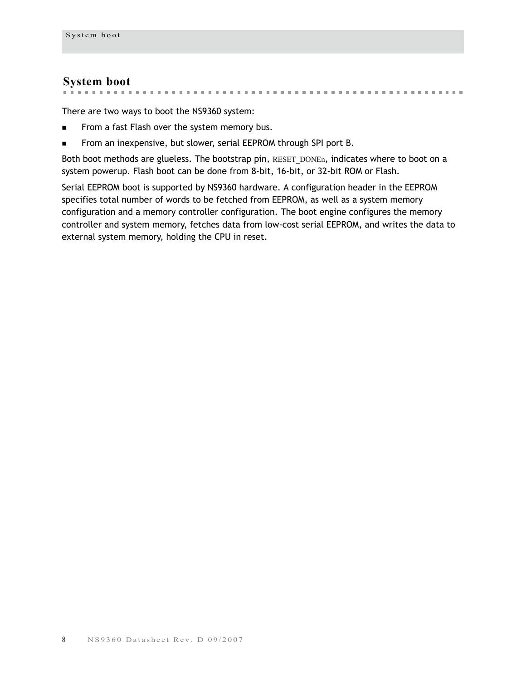## <span id="page-11-0"></span>**System boot**

the contract of the contract of the contract of m. 

There are two ways to boot the NS9360 system:

- From a fast Flash over the system memory bus.
- From an inexpensive, but slower, serial EEPROM through SPI port B.

Both boot methods are glueless. The bootstrap pin, RESET DONEn, indicates where to boot on a system powerup. Flash boot can be done from 8-bit, 16-bit, or 32-bit ROM or Flash.

Serial EEPROM boot is supported by NS9360 hardware. A configuration header in the EEPROM specifies total number of words to be fetched from EEPROM, as well as a system memory configuration and a memory controller configuration. The boot engine configures the memory controller and system memory, fetches data from low-cost serial EEPROM, and writes the data to external system memory, holding the CPU in reset.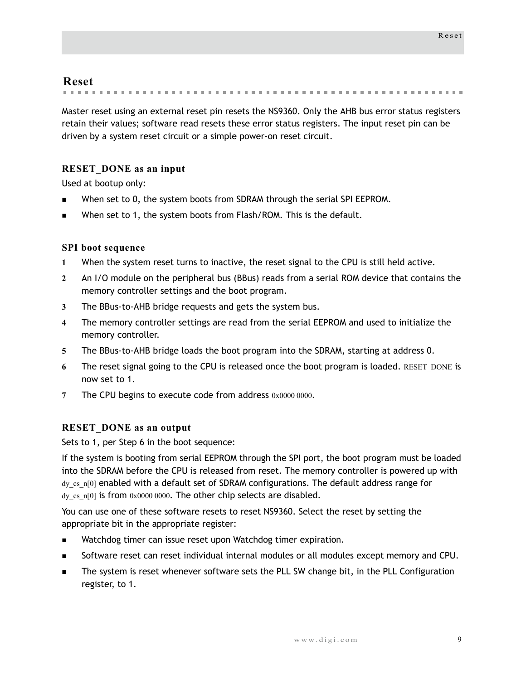## <span id="page-12-0"></span>**Reset**

**State Advised Association** 

Master reset using an external reset pin resets the NS9360. Only the AHB bus error status registers retain their values; software read resets these error status registers. The input reset pin can be driven by a system reset circuit or a simple power-on reset circuit.

## <span id="page-12-1"></span>**RESET\_DONE as an input**

Used at bootup only:

- When set to 0, the system boots from SDRAM through the serial SPI EEPROM.
- When set to 1, the system boots from Flash/ROM. This is the default.

## <span id="page-12-2"></span>**SPI boot sequence**

- **1** When the system reset turns to inactive, the reset signal to the CPU is still held active.
- **2** An I/O module on the peripheral bus (BBus) reads from a serial ROM device that contains the memory controller settings and the boot program.
- **3** The BBus-to-AHB bridge requests and gets the system bus.
- **4** The memory controller settings are read from the serial EEPROM and used to initialize the memory controller.
- **5** The BBus-to-AHB bridge loads the boot program into the SDRAM, starting at address 0.
- **6** The reset signal going to the CPU is released once the boot program is loaded. RESET\_DONE is now set to 1.
- **7** The CPU begins to execute code from address 0x0000 0000.

## <span id="page-12-3"></span>**RESET\_DONE as an output**

Sets to 1, per Step 6 in the boot sequence:

If the system is booting from serial EEPROM through the SPI port, the boot program must be loaded into the SDRAM before the CPU is released from reset. The memory controller is powered up with dy\_cs\_n[0] enabled with a default set of SDRAM configurations. The default address range for dy cs n[0] is from 0x0000 0000. The other chip selects are disabled.

You can use one of these software resets to reset NS9360. Select the reset by setting the appropriate bit in the appropriate register:

- Watchdog timer can issue reset upon Watchdog timer expiration.
- Software reset can reset individual internal modules or all modules except memory and CPU.
- The system is reset whenever software sets the PLL SW change bit, in the PLL Configuration register, to 1.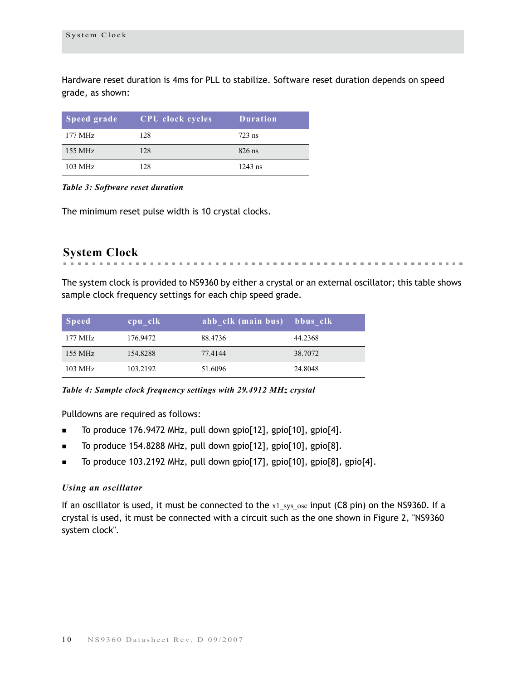Hardware reset duration is 4ms for PLL to stabilize. Software reset duration depends on speed grade, as shown:

| Speed grade | <b>CPU</b> clock cycles | <b>Duration</b> |
|-------------|-------------------------|-----------------|
| 177 MHz     | 128                     | $723$ ns        |
| 155 MHz     | 12.8                    | $826$ ns        |
| 103 MHz     | 128                     | $1243$ ns       |

#### *Table 3: Software reset duration*

The minimum reset pulse width is 10 crystal clocks.

## <span id="page-13-0"></span>**System Clock**

The system clock is provided to NS9360 by either a crystal or an external oscillator; this table shows

the control of the control of the

the first that the control of the

sample clock frequency settings for each chip speed grade.

| <b>Speed</b> | cpu clk  | ahb clk (main bus) bbus clk |         |
|--------------|----------|-----------------------------|---------|
| 177 MHz      | 176.9472 | 88.4736                     | 44.2368 |
| 155 MHz      | 154.8288 | 77.4144                     | 38,7072 |
| 103 MHz      | 103.2192 | 51.6096                     | 24.8048 |

*Table 4: Sample clock frequency settings with 29.4912 MHz crystal*

Pulldowns are required as follows:

- To produce 176.9472 MHz, pull down gpio[12], gpio[10], gpio[4].
- To produce 154.8288 MHz, pull down gpio[12], gpio[10], gpio[8].
- To produce 103.2192 MHz, pull down gpio[17], gpio[10], gpio[8], gpio[4].

### *Using an oscillator*

If an oscillator is used, it must be connected to the  $x1$  sys osc input (C8 pin) on the NS9360. If a crystal is used, it must be connected with a circuit such as the one shown in [Figure 2, "NS9360](#page-14-0)  [system clock"](#page-14-0).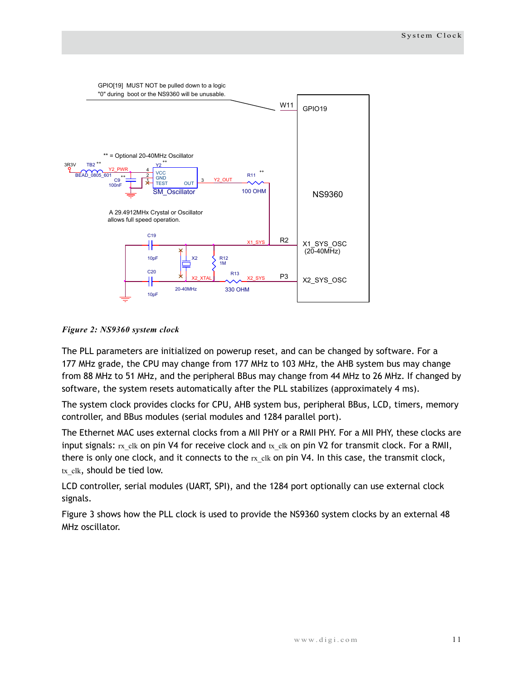

<span id="page-14-0"></span>*Figure 2: NS9360 system clock* 

The PLL parameters are initialized on powerup reset, and can be changed by software. For a 177 MHz grade, the CPU may change from 177 MHz to 103 MHz, the AHB system bus may change from 88 MHz to 51 MHz, and the peripheral BBus may change from 44 MHz to 26 MHz. If changed by software, the system resets automatically after the PLL stabilizes (approximately 4 ms).

The system clock provides clocks for CPU, AHB system bus, peripheral BBus, LCD, timers, memory controller, and BBus modules (serial modules and 1284 parallel port).

The Ethernet MAC uses external clocks from a MII PHY or a RMII PHY. For a MII PHY, these clocks are input signals:  $rx$  clk on pin V4 for receive clock and  $tx$  clk on pin V2 for transmit clock. For a RMII, there is only one clock, and it connects to the  $rx$ <sub>clk</sub> on pin V4. In this case, the transmit clock, tx clk, should be tied low.

LCD controller, serial modules (UART, SPI), and the 1284 port optionally can use external clock signals.

Figure 3 shows how the PLL clock is used to provide the NS9360 system clocks by an external 48 MHz oscillator.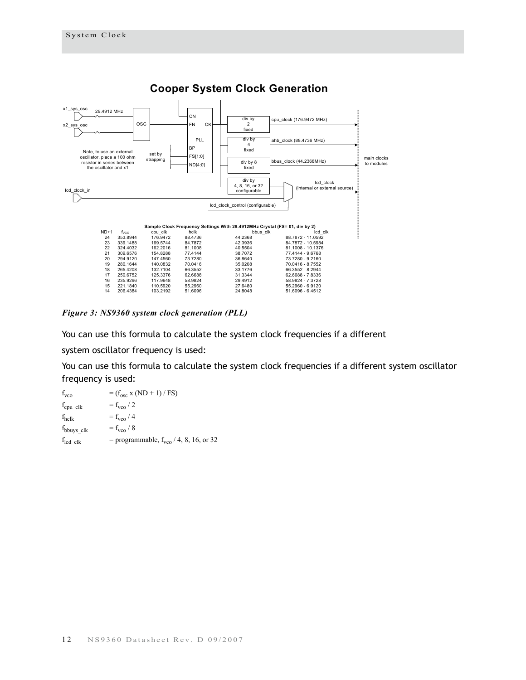

*Figure 3: NS9360 system clock generation (PLL)*

You can use this formula to calculate the system clock frequencies if a different

system oscillator frequency is used:

You can use this formula to calculate the system clock frequencies if a different system oscillator frequency is used:

| $f_{\text{vco}}$            | $= (f_{osc} x (ND + 1) / FS)$                      |
|-----------------------------|----------------------------------------------------|
| $f_{\text{cpu} \text{clk}}$ | $=f_{\text{vco}}/2$                                |
| $f_{\text{hclk}}$           | $=f_{\text{vco}}/4$                                |
| $f_{\text{bbu}$ ys_clk      | $=f_{\text{vco}}/8$                                |
| $f_{\text{led}}$ clk        | = programmable, $f_{\text{vco}}$ / 4, 8, 16, or 32 |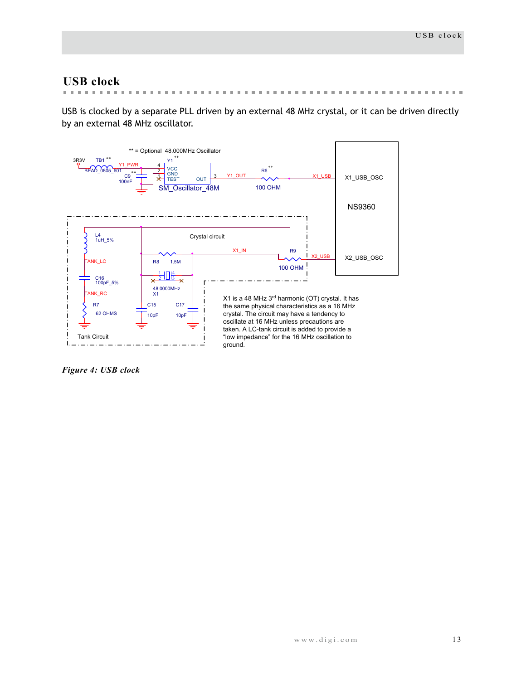## <span id="page-16-0"></span>**USB clock**

 $\sim$  $\overline{\phantom{a}}$  $\sim$  $\mathbf{m}$  $\mathbf{m}$  $\mathbf{m}$  $\mathbf{m}$ **Building Corporation**  $\mathbf{m}$  $\mathbf{m}$  $\mathbb{R}^n$  $\mathbf{m}$  $\mathbb{R}^n$  $\pm 0$  $\pm$  $\mathbf{m}$  $\mathbb{R}^n$ *A ROOM IN THE ROOM IN THE ROOM IN THE ROOM IS* 

USB is clocked by a separate PLL driven by an external 48 MHz crystal, or it can be driven directly by an external 48 MHz oscillator.



*Figure 4: USB clock*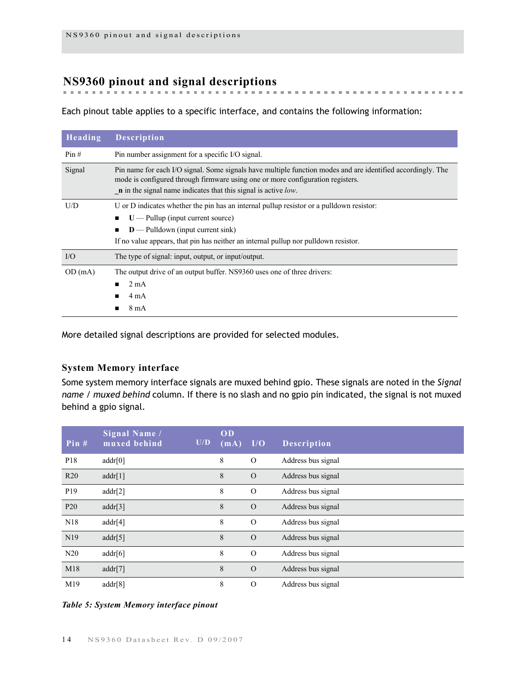## <span id="page-17-0"></span>**NS9360 pinout and signal descriptions**

Each pinout table applies to a specific interface, and contains the following information:

 $\mathbb{R}^n$  $\mathbf{m}$   $\pm 0$  $\mathbf{B}$  ,  $\mathbf{B}$  $\mathbf{m}$  **But an extent of the control of the con-**

| Heading   | <b>Description</b>                                                                                                                                                                                                                                                         |  |  |  |  |  |
|-----------|----------------------------------------------------------------------------------------------------------------------------------------------------------------------------------------------------------------------------------------------------------------------------|--|--|--|--|--|
| Pin#      | Pin number assignment for a specific I/O signal.                                                                                                                                                                                                                           |  |  |  |  |  |
| Signal    | Pin name for each I/O signal. Some signals have multiple function modes and are identified accordingly. The<br>mode is configured through firmware using one or more configuration registers.<br>$\mathbf{n}$ in the signal name indicates that this signal is active low. |  |  |  |  |  |
| U/D       | U or D indicates whether the pin has an internal pullup resistor or a pulldown resistor:                                                                                                                                                                                   |  |  |  |  |  |
|           | $U$ — Pullup (input current source)                                                                                                                                                                                                                                        |  |  |  |  |  |
|           | $D$ — Pulldown (input current sink)<br>■                                                                                                                                                                                                                                   |  |  |  |  |  |
|           | If no value appears, that pin has neither an internal pullup nor pulldown resistor.                                                                                                                                                                                        |  |  |  |  |  |
| $\rm I/O$ | The type of signal: input, output, or input/output.                                                                                                                                                                                                                        |  |  |  |  |  |
| OD(mA)    | The output drive of an output buffer. NS9360 uses one of three drivers:                                                                                                                                                                                                    |  |  |  |  |  |
|           | $2 \text{ mA}$<br>п                                                                                                                                                                                                                                                        |  |  |  |  |  |
|           | 4 mA<br>■                                                                                                                                                                                                                                                                  |  |  |  |  |  |
|           | $8 \text{ mA}$                                                                                                                                                                                                                                                             |  |  |  |  |  |

More detailed signal descriptions are provided for selected modules.

## <span id="page-17-1"></span>**System Memory interface**

Some system memory interface signals are muxed behind gpio. These signals are noted in the *Signal name / muxed behind* column. If there is no slash and no gpio pin indicated, the signal is not muxed behind a gpio signal.

| Pin $#$         | Signal Name /<br>muxed behind | U/D | OD<br>(mA) | I/O      | <b>Description</b> |
|-----------------|-------------------------------|-----|------------|----------|--------------------|
| P18             | addr[0]                       |     | 8          | $\Omega$ | Address bus signal |
| R <sub>20</sub> | addr[1]                       |     | 8          | $\Omega$ | Address bus signal |
| P <sub>19</sub> | addr[2]                       |     | 8          | $\Omega$ | Address bus signal |
| P <sub>20</sub> | addr[3]                       |     | 8          | $\Omega$ | Address bus signal |
| N <sub>18</sub> | addr[4]                       |     | 8          | $\Omega$ | Address bus signal |
| N19             | addr[5]                       |     | 8          | $\Omega$ | Address bus signal |
| N20             | addr[6]                       |     | 8          | $\Omega$ | Address bus signal |
| M18             | addr[7]                       |     | 8          | $\Omega$ | Address bus signal |
| M19             | addr[8]                       |     | 8          | $\Omega$ | Address bus signal |

### *Table 5: System Memory interface pinout*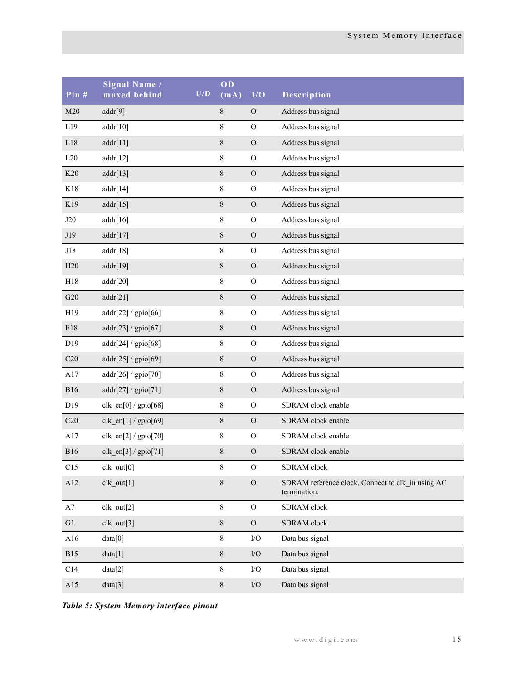| Pin#       | Signal Name /<br>muxed behind | U/D | OD<br>(mA) | I/O            | Description                                                       |
|------------|-------------------------------|-----|------------|----------------|-------------------------------------------------------------------|
| M20        | addr[9]                       |     | 8          | $\mathcal{O}$  | Address bus signal                                                |
| L19        | addr[10]                      |     | 8          | $\mathcal{O}$  | Address bus signal                                                |
| L18        | addr[11]                      |     | $8\,$      | $\mathcal{O}$  | Address bus signal                                                |
| L20        | addr[12]                      |     | 8          | $\mathcal{O}$  | Address bus signal                                                |
| K20        | addr[13]                      |     | 8          | $\mathcal{O}$  | Address bus signal                                                |
| K18        | addr[14]                      |     | 8          | $\mathcal{O}$  | Address bus signal                                                |
| K19        | addr[15]                      |     | 8          | $\mathcal{O}$  | Address bus signal                                                |
| J20        | addr[16]                      |     | 8          | $\mathcal{O}$  | Address bus signal                                                |
| J19        | addr[17]                      |     | 8          | $\mathcal{O}$  | Address bus signal                                                |
| J18        | addr[18]                      |     | 8          | $\mathcal{O}$  | Address bus signal                                                |
| H20        | addr[19]                      |     | 8          | $\mathcal{O}$  | Address bus signal                                                |
| H18        | addr[20]                      |     | 8          | $\mathcal{O}$  | Address bus signal                                                |
| G20        | addr[21]                      |     | $8\,$      | $\mathcal{O}$  | Address bus signal                                                |
| H19        | addr[22] / gpio[66]           |     | 8          | $\mathcal{O}$  | Address bus signal                                                |
| E18        | addr[23] / gpio[67]           |     | $8\,$      | $\mathcal{O}$  | Address bus signal                                                |
| D19        | addr[24]/gpio[68]             |     | 8          | $\mathcal{O}$  | Address bus signal                                                |
| C20        | addr[25] / gpio[69]           |     | $8\,$      | $\mathcal O$   | Address bus signal                                                |
| A17        | addr[26] / gpio[70]           |     | 8          | $\mathcal{O}$  | Address bus signal                                                |
| <b>B16</b> | addr[27]/gpio[71]             |     | $8\,$      | $\mathcal{O}$  | Address bus signal                                                |
| D19        | $clk\_en[0] / gpio[68]$       |     | 8          | $\mathcal{O}$  | SDRAM clock enable                                                |
| C20        | $clk\_en[1]/gpio[69]$         |     | $8\,$      | $\mathcal{O}$  | SDRAM clock enable                                                |
| A17        | $clk\_en[2] / gpio[70]$       |     | 8          | $\mathcal{O}$  | SDRAM clock enable                                                |
| <b>B16</b> | $clk\_en[3] / gpio[71]$       |     | 8          | $\overline{O}$ | SDRAM clock enable                                                |
| C15        | $clk_out[0]$                  |     | 8          | $\mathcal{O}$  | SDRAM clock                                                       |
| A12        | $clk_out[1]$                  |     | $8\,$      | $\mathcal{O}$  | SDRAM reference clock. Connect to clk_in using AC<br>termination. |
| A7         | clk_out[2]                    |     | 8          | $\overline{O}$ | SDRAM clock                                                       |
| G1         | $clk_out[3]$                  |     | 8          | $\mathcal O$   | SDRAM clock                                                       |
| A16        | data[0]                       |     | 8          | $\rm I/O$      | Data bus signal                                                   |
| <b>B15</b> | data[1]                       |     | 8          | $\rm I/O$      | Data bus signal                                                   |
| C14        | data[2]                       |     | 8          | $\rm I/O$      | Data bus signal                                                   |
| A15        | data[3]                       |     | 8          | ${\rm I/O}$    | Data bus signal                                                   |

*Table 5: System Memory interface pinout*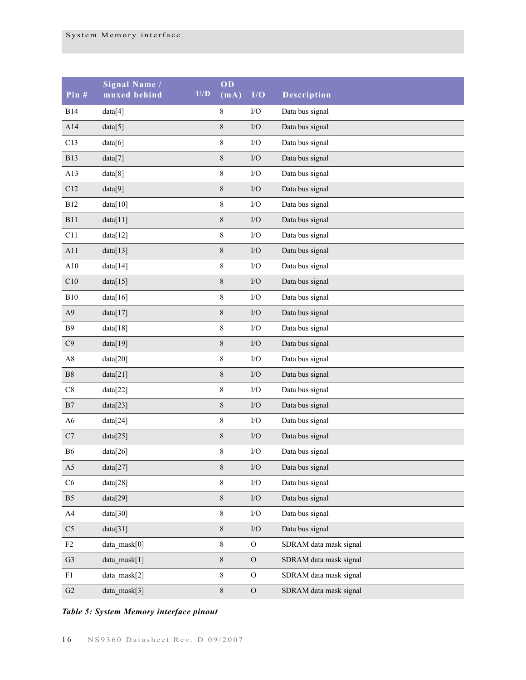| Pin #          | Signal Name /<br>muxed behind | U/D | OD<br>(mA)  | I/O        | Description            |
|----------------|-------------------------------|-----|-------------|------------|------------------------|
| <b>B14</b>     | data[4]                       |     | $\,$ $\,$   | $\rm I/O$  | Data bus signal        |
| A14            | data[5]                       |     | $\,$ $\,$   | $\rm I/O$  | Data bus signal        |
| C13            | data[6]                       |     | $\,$ $\,$   | $\rm I/O$  | Data bus signal        |
| <b>B13</b>     | data[7]                       |     | $8\,$       | $\rm I/O$  | Data bus signal        |
| A13            | data[8]                       |     | $\,$ 8 $\,$ | $\rm I/O$  | Data bus signal        |
| C12            | data[9]                       |     | $8\,$       | $\rm I/O$  | Data bus signal        |
| <b>B12</b>     | data[10]                      |     | $\,$ 8 $\,$ | $\rm I/O$  | Data bus signal        |
| <b>B11</b>     | data[11]                      |     | $8\,$       | $\rm I/O$  | Data bus signal        |
| C11            | data[12]                      |     | $\,$ 8 $\,$ | $\rm I/O$  | Data bus signal        |
| A11            | data[13]                      |     | $8\,$       | $\rm I/O$  | Data bus signal        |
| A10            | data[14]                      |     | $\,$ 8 $\,$ | $\rm I/O$  | Data bus signal        |
| C10            | data[15]                      |     | $8\,$       | $\rm I/O$  | Data bus signal        |
| B10            | data[16]                      |     | $\,$ 8 $\,$ | $\rm I/O$  | Data bus signal        |
| A <sub>9</sub> | data[17]                      |     | $\,8\,$     | $\rm I/O$  | Data bus signal        |
| B9             | data[18]                      |     | $\,$ 8 $\,$ | $\rm I/O$  | Data bus signal        |
| C9             | data[19]                      |     | $\,8\,$     | $\rm I/O$  | Data bus signal        |
| $\rm A8$       | data[20]                      |     | $\,$ 8 $\,$ | $\rm I/O$  | Data bus signal        |
| ${\rm B}8$     | data[21]                      |     | $\,8\,$     | $\rm I/O$  | Data bus signal        |
| $\rm C8$       | data[22]                      |     | $\,$ 8 $\,$ | $\rm I/O$  | Data bus signal        |
| B7             | data[23]                      |     | $\,8\,$     | $\rm I/O$  | Data bus signal        |
| A <sub>6</sub> | data[24]                      |     | $\,$ 8 $\,$ | $\rm I/O$  | Data bus signal        |
| C7             | data[25]                      |     | $\,8\,$     | $\rm I/O$  | Data bus signal        |
| <b>B6</b>      | data[26]                      |     | $\,$ $\,$   | $\rm I/O$  | Data bus signal        |
| A5             | data[27]                      |     | $8\,$       | $\rm I/O$  | Data bus signal        |
| C6             | data[28]                      |     | 8           | $\rm I/O$  | Data bus signal        |
| B <sub>5</sub> | data[29]                      |     | $8\,$       | $\rm I/O$  | Data bus signal        |
| A4             | data[30]                      |     | $8\,$       | $\rm I/O$  | Data bus signal        |
| $\rm{C5}$      | data[31]                      |     | $8\,$       | $\rm I/O$  | Data bus signal        |
| F2             | data mask[0]                  |     | $8\,$       | ${\rm O}$  | SDRAM data mask signal |
| ${\rm G}3$     | data_mask[1]                  |     | $8\,$       | ${\cal O}$ | SDRAM data mask signal |
| F1             | data mask[2]                  |     | 8           | ${\rm O}$  | SDRAM data mask signal |
| $\mbox{G2}$    | data_mask[3]                  |     | $8\,$       | ${\rm O}$  | SDRAM data mask signal |

## *Table 5: System Memory interface pinout*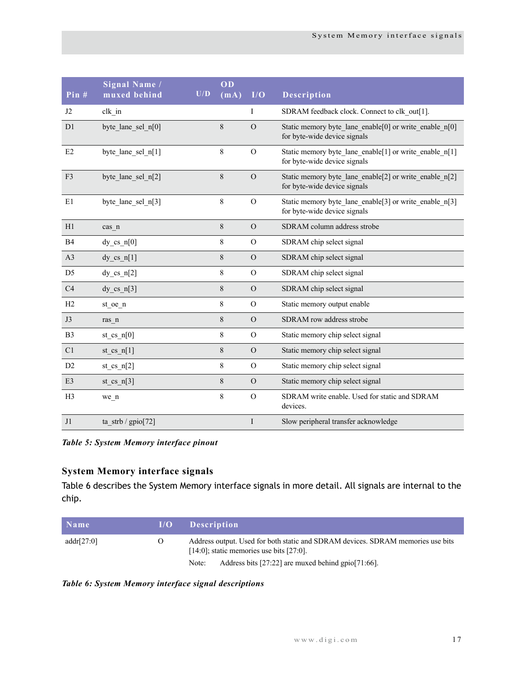| Pin#           | Signal Name /<br>muxed behind | U/D | OD<br>(mA) | I/O            | Description                                                                              |
|----------------|-------------------------------|-----|------------|----------------|------------------------------------------------------------------------------------------|
| J2             | clk in                        |     |            | I              | SDRAM feedback clock. Connect to clk_out[1].                                             |
| D <sub>1</sub> | byte lane sel n[0]            |     | 8          | $\Omega$       | Static memory byte lane enable[0] or write enable $n[0]$<br>for byte-wide device signals |
| E2             | byte lane sel n[1]            |     | 8          | $\Omega$       | Static memory byte lane enable[1] or write enable n[1]<br>for byte-wide device signals   |
| F3             | byte lane sel n[2]            |     | 8          | $\Omega$       | Static memory byte lane enable[2] or write enable n[2]<br>for byte-wide device signals   |
| E1             | byte lane sel n[3]            |     | $\,8\,$    | $\Omega$       | Static memory byte lane enable[3] or write enable n[3]<br>for byte-wide device signals   |
| H1             | cas n                         |     | $8\,$      | $\Omega$       | SDRAM column address strobe                                                              |
| B4             | $dy_c$ cs_n[0]                |     | 8          | $\mathcal{O}$  | SDRAM chip select signal                                                                 |
| A <sub>3</sub> | $dy_c$ cs_n[1]                |     | 8          | $\Omega$       | SDRAM chip select signal                                                                 |
| D <sub>5</sub> | $dy_c$ cs_n[2]                |     | 8          | $\Omega$       | SDRAM chip select signal                                                                 |
| C4             | dy cs $n[3]$                  |     | 8          | $\mathcal{O}$  | SDRAM chip select signal                                                                 |
| H2             | st_oe_n                       |     | 8          | $\mathcal{O}$  | Static memory output enable                                                              |
| J3             | ras n                         |     | 8          | $\Omega$       | SDRAM row address strobe                                                                 |
| B <sub>3</sub> | st cs $n[0]$                  |     | 8          | $\mathcal{O}$  | Static memory chip select signal                                                         |
| C1             | $st_ccs_n[1]$                 |     | 8          | $\Omega$       | Static memory chip select signal                                                         |
| D2             | st cs $n[2]$                  |     | 8          | $\overline{O}$ | Static memory chip select signal                                                         |
| E <sub>3</sub> | st cs $n[3]$                  |     | 8          | $\Omega$       | Static memory chip select signal                                                         |
| H <sub>3</sub> | we n                          |     | 8          | $\Omega$       | SDRAM write enable. Used for static and SDRAM<br>devices.                                |
| J1             | ta strb / $gpio[72]$          |     |            | I              | Slow peripheral transfer acknowledge                                                     |

*Table 5: System Memory interface pinout*

## <span id="page-20-0"></span>**System Memory interface signals**

Table 6 describes the System Memory interface signals in more detail. All signals are internal to the chip.

| Name           | 1/O      | <b>Description</b>                                                                                                                |
|----------------|----------|-----------------------------------------------------------------------------------------------------------------------------------|
| addr[ $27:0$ ] | $\theta$ | Address output. Used for both static and SDRAM devices. SDRAM memories use bits<br>$[14:0]$ ; static memories use bits $[27:0]$ . |
|                |          | Address bits $[27:22]$ are muxed behind gpio $[71:66]$ .<br>Note:                                                                 |

*Table 6: System Memory interface signal descriptions*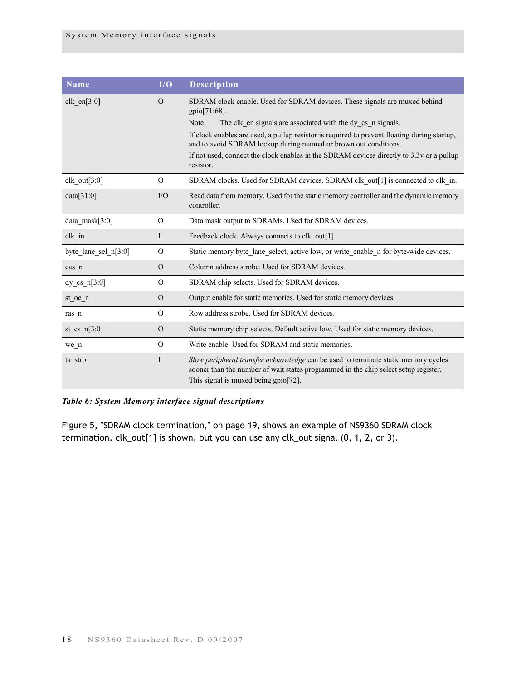| Name                   | I/O          | <b>Description</b>                                                                                                                                                                                                                                                                                                                                                                                                                    |
|------------------------|--------------|---------------------------------------------------------------------------------------------------------------------------------------------------------------------------------------------------------------------------------------------------------------------------------------------------------------------------------------------------------------------------------------------------------------------------------------|
| clk en $[3:0]$         | $\Omega$     | SDRAM clock enable. Used for SDRAM devices. These signals are muxed behind<br>$gpio[71:68]$ .<br>The clk en signals are associated with the dy cs n signals.<br>Note:<br>If clock enables are used, a pullup resistor is required to prevent floating during startup,<br>and to avoid SDRAM lockup during manual or brown out conditions.<br>If not used, connect the clock enables in the SDRAM devices directly to 3.3v or a pullup |
|                        |              | resistor.                                                                                                                                                                                                                                                                                                                                                                                                                             |
| clk out $[3:0]$        | $\Omega$     | SDRAM clocks. Used for SDRAM devices. SDRAM clk out[1] is connected to clk in.                                                                                                                                                                                                                                                                                                                                                        |
| data[31:0]             | $IO$         | Read data from memory. Used for the static memory controller and the dynamic memory<br>controller.                                                                                                                                                                                                                                                                                                                                    |
| data $mask[3:0]$       | $\Omega$     | Data mask output to SDRAMs. Used for SDRAM devices.                                                                                                                                                                                                                                                                                                                                                                                   |
| clk in                 | $\mathbf{I}$ | Feedback clock. Always connects to clk out[1].                                                                                                                                                                                                                                                                                                                                                                                        |
| byte lane sel $n[3:0]$ | $\Omega$     | Static memory byte lane select, active low, or write enable n for byte-wide devices.                                                                                                                                                                                                                                                                                                                                                  |
| cas n                  | $\Omega$     | Column address strobe. Used for SDRAM devices.                                                                                                                                                                                                                                                                                                                                                                                        |
| $dy_c$ cs_n[3:0]       | $\Omega$     | SDRAM chip selects. Used for SDRAM devices.                                                                                                                                                                                                                                                                                                                                                                                           |
| $st_oe_n$              | $\Omega$     | Output enable for static memories. Used for static memory devices.                                                                                                                                                                                                                                                                                                                                                                    |
| ras_n                  | $\Omega$     | Row address strobe. Used for SDRAM devices.                                                                                                                                                                                                                                                                                                                                                                                           |
| st_cs_n[ $3:0$ ]       | $\Omega$     | Static memory chip selects. Default active low. Used for static memory devices.                                                                                                                                                                                                                                                                                                                                                       |
| we_n                   | $\Omega$     | Write enable. Used for SDRAM and static memories.                                                                                                                                                                                                                                                                                                                                                                                     |
| ta_strb                | $\mathbf I$  | Slow peripheral transfer acknowledge can be used to terminate static memory cycles<br>sooner than the number of wait states programmed in the chip select setup register.<br>This signal is muxed being gpio[72].                                                                                                                                                                                                                     |

## *Table 6: System Memory interface signal descriptions*

[Figure 5, "SDRAM clock termination," on page 19,](#page-22-1) shows an example of NS9360 SDRAM clock termination. clk\_out[1] is shown, but you can use any clk\_out signal (0, 1, 2, or 3).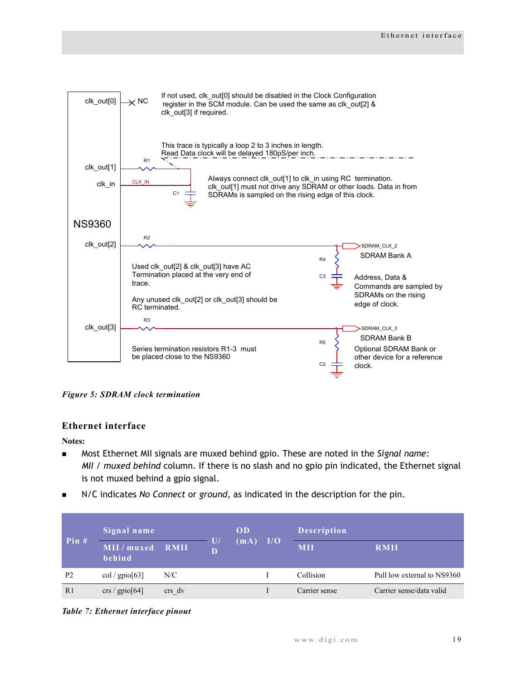

<span id="page-22-1"></span>*Figure 5: SDRAM clock termination*

## <span id="page-22-0"></span>**Ethernet interface**

**Notes:**

- Most Ethernet MII signals are muxed behind gpio. These are noted in the *Signal name: MII / muxed behind* column. If there is no slash and no gpio pin indicated, the Ethernet signal is not muxed behind a gpio signal.
- N/C indicates *No Connect* or *ground*, as indicated in the description for the pin.

| Pin#           | Signal name             |             |                   | <b>OD</b> |     | <b>Description</b> |                             |
|----------------|-------------------------|-------------|-------------------|-----------|-----|--------------------|-----------------------------|
|                | MII / muxed<br>behind   | <b>RMII</b> | $\mathbf{U}$<br>D | (mA)      | I/O | <b>MII</b>         | <b>RMII</b>                 |
| P <sub>2</sub> | col / $\text{gpio}[63]$ | N/C         |                   |           |     | Collision          | Pull low external to NS9360 |
| R <sub>1</sub> | crs / $gpio[64]$        | crs dv      |                   |           |     | Carrier sense      | Carrier sense/data valid    |

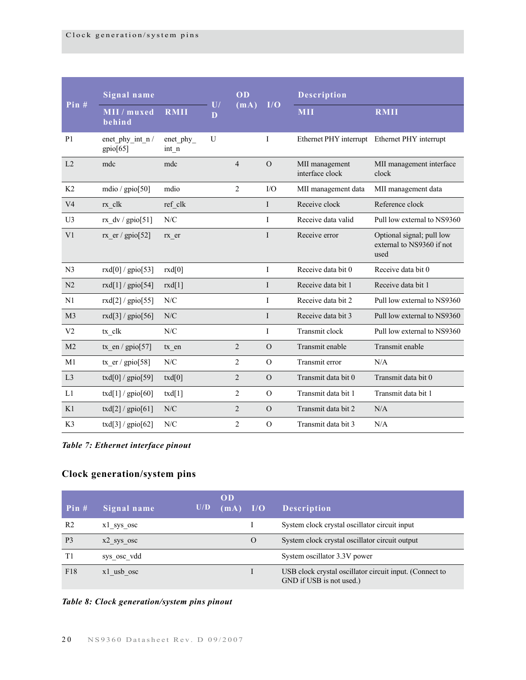|                | Signal name                 |                   |                     | $\overline{OD}$ |              | <b>Description</b>                |                                                                |
|----------------|-----------------------------|-------------------|---------------------|-----------------|--------------|-----------------------------------|----------------------------------------------------------------|
| Pin#           | MII / muxed<br>behind       | <b>RMII</b>       | $\overline{U}$<br>D | (mA)            | I/O          | <b>MII</b>                        | <b>RMII</b>                                                    |
| P <sub>1</sub> | enet phy int n/<br>gpio[65] | enet phy<br>int n | U                   |                 | I            |                                   | Ethernet PHY interrupt Ethernet PHY interrupt                  |
| L <sub>2</sub> | mdc                         | mdc               |                     | $\overline{4}$  | $\Omega$     | MII management<br>interface clock | MII management interface<br>clock                              |
| K2             | mdio / $gpi[50]$            | mdio              |                     | $\overline{2}$  | I/O          | MII management data               | MII management data                                            |
| V <sub>4</sub> | $rx$ _clk                   | ref clk           |                     |                 | I            | Receive clock                     | Reference clock                                                |
| U <sub>3</sub> | rx $dv / gpio[51]$          | N/C               |                     |                 | I            | Receive data valid                | Pull low external to NS9360                                    |
| V <sub>1</sub> | rx er / gpio $[52]$         | rx er             |                     |                 | I            | Receive error                     | Optional signal; pull low<br>external to NS9360 if not<br>used |
| N <sub>3</sub> | rxd[0] / $gpio[53]$         | rxd[0]            |                     |                 | I            | Receive data bit 0                | Receive data bit 0                                             |
| N <sub>2</sub> | rxd[1] / $gpio[54]$         | rxd[1]            |                     |                 | L            | Receive data bit 1                | Receive data bit 1                                             |
| N <sub>1</sub> | rxd[2] / $gpio[55]$         | N/C               |                     |                 | L            | Receive data bit 2                | Pull low external to NS9360                                    |
| M <sub>3</sub> | rxd[3] / $gpio[56]$         | N/C               |                     |                 | $\mathbf{I}$ | Receive data bit 3                | Pull low external to NS9360                                    |
| V <sub>2</sub> | tx clk                      | N/C               |                     |                 | I            | Transmit clock                    | Pull low external to NS9360                                    |
| M <sub>2</sub> | tx en / $gpio[57]$          | tx en             |                     | $\overline{2}$  | $\Omega$     | Transmit enable                   | Transmit enable                                                |
| M1             | tx $er / gpio[58]$          | N/C               |                     | $\overline{2}$  | $\Omega$     | Transmit error                    | N/A                                                            |
| L <sub>3</sub> | txd[0] / $gpio[59]$         | txd[0]            |                     | $\overline{2}$  | $\Omega$     | Transmit data bit 0               | Transmit data bit 0                                            |
| L1             | $txd[1]/\text{gpio}[60]$    | txd[1]            |                     | $\overline{2}$  | $\Omega$     | Transmit data bit 1               | Transmit data bit 1                                            |
| K1             | $txd[2]/\text{gpio}[61]$    | N/C               |                     | $\overline{2}$  | $\Omega$     | Transmit data bit 2               | N/A                                                            |
| K <sub>3</sub> | $txd[3]/\text{gpio}[62]$    | N/C               |                     | $\overline{2}$  | $\Omega$     | Transmit data bit 3               | N/A                                                            |

*Table 7: Ethernet interface pinout*

## <span id="page-23-0"></span>**Clock generation/system pins**

| Pin#           | Signal name  | U/D | OD<br>(mA) | I/O | <b>Description</b>                                                                  |
|----------------|--------------|-----|------------|-----|-------------------------------------------------------------------------------------|
| R <sub>2</sub> | x1 sys osc   |     |            |     | System clock crystal oscillator circuit input                                       |
| P <sub>3</sub> | $x2$ sys osc |     |            | O   | System clock crystal oscillator circuit output                                      |
| T1             | sys osc vdd  |     |            |     | System oscillator 3.3V power                                                        |
| F18            | x1 usb osc   |     |            |     | USB clock crystal oscillator circuit input. (Connect to<br>GND if USB is not used.) |

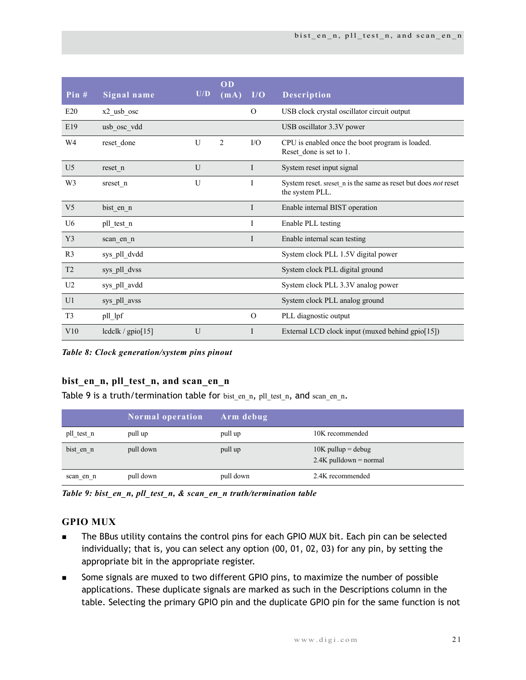| Pin $#$        | Signal name       | U/D | OD<br>(mA)     | I/O          | Description                                                                       |
|----------------|-------------------|-----|----------------|--------------|-----------------------------------------------------------------------------------|
| E20            | $x2$ _usb_osc     |     |                | $\Omega$     | USB clock crystal oscillator circuit output                                       |
| E19            | usb osc vdd       |     |                |              | USB oscillator 3.3V power                                                         |
| W4             | reset_done        | U   | $\overline{2}$ | $\rm LO$     | CPU is enabled once the boot program is loaded.<br>Reset done is set to 1.        |
| U <sub>5</sub> | reset n           | U   |                | $\mathbf I$  | System reset input signal                                                         |
| W <sub>3</sub> | sreset n          | U   |                | I            | System reset. sreset n is the same as reset but does not reset<br>the system PLL. |
| V <sub>5</sub> | bist_en_n         |     |                | $\mathbf{I}$ | Enable internal BIST operation                                                    |
| U <sub>6</sub> | pll test n        |     |                | I            | Enable PLL testing                                                                |
| Y <sub>3</sub> | scan en n         |     |                | $\mathbf{I}$ | Enable internal scan testing                                                      |
| R <sub>3</sub> | sys pll dvdd      |     |                |              | System clock PLL 1.5V digital power                                               |
| T <sub>2</sub> | sys pll dvss      |     |                |              | System clock PLL digital ground                                                   |
| U <sub>2</sub> | sys pll avdd      |     |                |              | System clock PLL 3.3V analog power                                                |
| U <sub>1</sub> | sys_pll_avss      |     |                |              | System clock PLL analog ground                                                    |
| T <sub>3</sub> | pll_lpf           |     |                | $\Omega$     | PLL diagnostic output                                                             |
| V10            | lcdclk / gpio[15] | U   |                | I            | External LCD clock input (muxed behind gpio[15])                                  |

*Table 8: Clock generation/system pins pinout*

## <span id="page-24-0"></span>**bist\_en\_n, pll\_test\_n, and scan\_en\_n**

[Table 9 i](#page-24-2)s a truth/termination table for bist en n, pll test n, and scan en n.

|            | <b>Normal operation</b> | Arm debug |                                                  |
|------------|-------------------------|-----------|--------------------------------------------------|
| pll test n | pull up                 | pull up   | 10K recommended                                  |
| bist en n  | pull down               | pull up   | $10K$ pullup = debug<br>$2.4K$ pulldown = normal |
| scan en n  | pull down               | pull down | 2.4K recommended                                 |

<span id="page-24-2"></span>*Table 9: bist\_en\_n, pll\_test\_n, & scan\_en\_n truth/termination table*

## <span id="page-24-1"></span>**GPIO MUX**

- **The BBus utility contains the control pins for each GPIO MUX bit. Each pin can be selected** individually; that is, you can select any option (00, 01, 02, 03) for any pin, by setting the appropriate bit in the appropriate register.
- Some signals are muxed to two different GPIO pins, to maximize the number of possible applications. These duplicate signals are marked as such in the Descriptions column in the table. Selecting the primary GPIO pin and the duplicate GPIO pin for the same function is not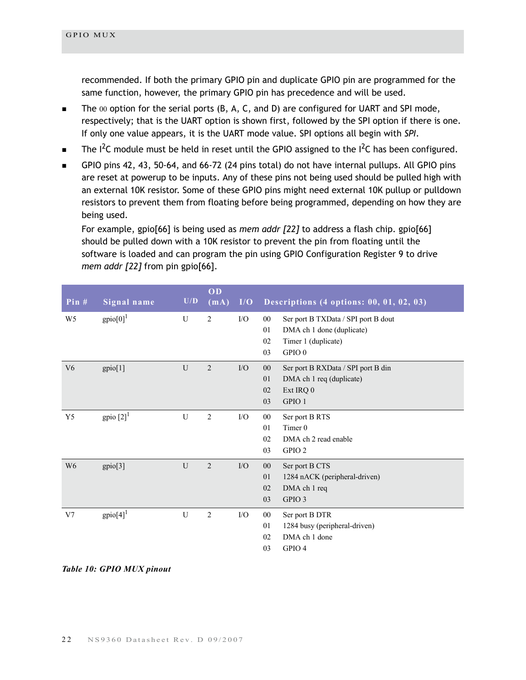recommended. If both the primary GPIO pin and duplicate GPIO pin are programmed for the same function, however, the primary GPIO pin has precedence and will be used.

- The 00 option for the serial ports (B, A, C, and D) are configured for UART and SPI mode, respectively; that is the UART option is shown first, followed by the SPI option if there is one. If only one value appears, it is the UART mode value. SPI options all begin with *SPI*.
- $\blacksquare$  The I<sup>2</sup>C module must be held in reset until the GPIO assigned to the I<sup>2</sup>C has been configured.
- GPIO pins 42, 43, 50-64, and 66-72 (24 pins total) do not have internal pullups. All GPIO pins are reset at powerup to be inputs. Any of these pins not being used should be pulled high with an external 10K resistor. Some of these GPIO pins might need external 10K pullup or pulldown resistors to prevent them from floating before being programmed, depending on how they are being used.

For example, gpio[66] is being used as *mem addr [22]* to address a flash chip. gpio[66] should be pulled down with a 10K resistor to prevent the pin from floating until the software is loaded and can program the pin using GPIO Configuration Register 9 to drive *mem addr [22]* from pin gpio[66].

| Pin $#$        | Signal name             | $\mathbf{U}/\mathbf{D}$ | OD<br>(mA)     | I/O | Descriptions $(4 \text{ options}: 00, 01, 02, 03)$                               |
|----------------|-------------------------|-------------------------|----------------|-----|----------------------------------------------------------------------------------|
| W <sub>5</sub> | $gpio[0]$ <sup>1</sup>  | U                       | $\overline{2}$ | I/O | Ser port B TXData / SPI port B dout<br>$00\,$<br>DMA ch 1 done (duplicate)<br>01 |
|                |                         |                         |                |     | Timer 1 (duplicate)<br>02                                                        |
|                |                         |                         |                |     | 03<br>GPIO <sub>0</sub>                                                          |
| V <sub>6</sub> | gpio[1]                 | U                       | $\overline{2}$ | I/O | $00\,$<br>Ser port B RXData / SPI port B din                                     |
|                |                         |                         |                |     | DMA ch 1 req (duplicate)<br>01                                                   |
|                |                         |                         |                |     | Ext IRQ 0<br>02                                                                  |
|                |                         |                         |                |     | GPIO 1<br>03                                                                     |
| Y <sub>5</sub> | gpio $[2]$ <sup>1</sup> | U                       | 2              | I/O | Ser port B RTS<br>$00\,$                                                         |
|                |                         |                         |                |     | Timer 0<br>01                                                                    |
|                |                         |                         |                |     | DMA ch 2 read enable<br>02                                                       |
|                |                         |                         |                |     | 03<br>GPIO <sub>2</sub>                                                          |
| W <sub>6</sub> | gpio[3]                 | U                       | $\sqrt{2}$     | I/O | $00\,$<br>Ser port B CTS                                                         |
|                |                         |                         |                |     | 1284 nACK (peripheral-driven)<br>01                                              |
|                |                         |                         |                |     | 02<br>DMA ch 1 req                                                               |
|                |                         |                         |                |     | GPIO 3<br>03                                                                     |
| V <sub>7</sub> | $gpio[4]$ <sup>1</sup>  | U                       | $\overline{2}$ | I/O | Ser port B DTR<br>$00\,$                                                         |
|                |                         |                         |                |     | 1284 busy (peripheral-driven)<br>01                                              |
|                |                         |                         |                |     | DMA ch 1 done<br>02                                                              |
|                |                         |                         |                |     | GPIO 4<br>03                                                                     |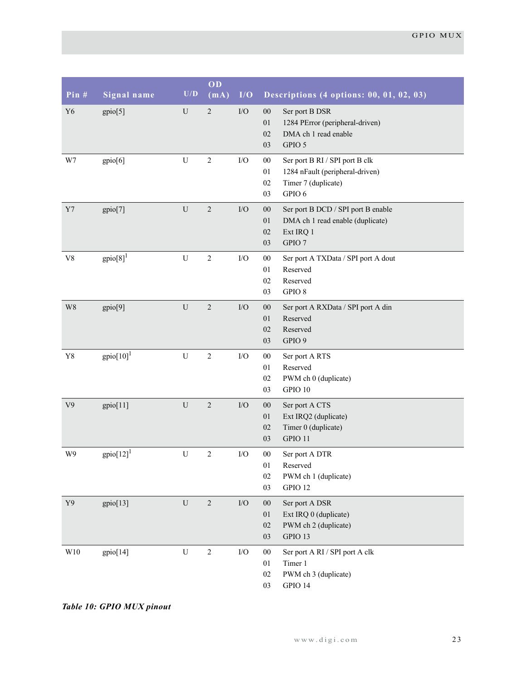| Pin #          | Signal name                    | U/D            | OD<br>(mA)     | I/O         | Descriptions (4 options: 00, 01, 02, 03)                                                                                       |
|----------------|--------------------------------|----------------|----------------|-------------|--------------------------------------------------------------------------------------------------------------------------------|
| Y <sub>6</sub> | gpio[5]                        | ${\bf U}$      | $\sqrt{2}$     | $\rm I/O$   | Ser port B DSR<br>$00\,$<br>1284 PError (peripheral-driven)<br>01<br>02<br>DMA ch 1 read enable<br>GPIO 5<br>03                |
| W7             | gpio[6]                        | $\mathbf U$    | $\sqrt{2}$     | $\rm I/O$   | $00\,$<br>Ser port B RI / SPI port B clk<br>1284 nFault (peripheral-driven)<br>01<br>Timer 7 (duplicate)<br>02<br>GPIO 6<br>03 |
| $\rm Y7$       | gpio[7]                        | $\mathbf U$    | $\sqrt{2}$     | $\rm I/O$   | $00\,$<br>Ser port B DCD / SPI port B enable<br>DMA ch 1 read enable (duplicate)<br>01<br>02<br>Ext IRQ 1<br>GPIO 7<br>03      |
| ${\rm V}8$     | $gpio[8]$ <sup>1</sup>         | $\overline{U}$ | $\sqrt{2}$     | $\rm I/O$   | $00\,$<br>Ser port A TXData / SPI port A dout<br>Reserved<br>01<br>Reserved<br>02<br>GPIO 8<br>03                              |
| W8             | gpio[9]                        | $\mathbf U$    | $\sqrt{2}$     | ${\rm I/O}$ | $00\,$<br>Ser port A RXData / SPI port A din<br>Reserved<br>01<br>02<br>Reserved<br>GPIO 9<br>03                               |
| ${\bf Y8}$     | $gpio[10]$ <sup>1</sup>        | $\mathbf U$    | $\sqrt{2}$     | $\rm I/O$   | $00\,$<br>Ser port A RTS<br>Reserved<br>01<br>PWM ch 0 (duplicate)<br>02<br>GPIO 10<br>03                                      |
| V <sub>9</sub> | gpio[11]                       | $\mathbf U$    | $\sqrt{2}$     | $\rm I/O$   | $00\,$<br>Ser port A CTS<br>Ext IRQ2 (duplicate)<br>01<br>Timer 0 (duplicate)<br>02<br>GPIO 11<br>03                           |
| W9             | $\text{gpio}[12]$ <sup>1</sup> | ${\bf U}$      | $\overline{2}$ | $\rm I/O$   | $00\,$<br>Ser port A DTR<br>01<br>Reserved<br>02<br>PWM ch 1 (duplicate)<br>GPIO 12<br>03                                      |
| Y9             | gpio[13]                       | $\mathbf U$    | $\overline{2}$ | $\rm I/O$   | $00\,$<br>Ser port A DSR<br>Ext IRQ 0 (duplicate)<br>01<br>02<br>PWM ch 2 (duplicate)<br>GPIO 13<br>03                         |
| W10            | gpio[14]                       | ${\bf U}$      | $\sqrt{2}$     | ${\rm I/O}$ | ${\bf 00}$<br>Ser port A RI / SPI port A clk<br>Timer 1<br>01<br>PWM ch 3 (duplicate)<br>02<br>GPIO 14<br>03                   |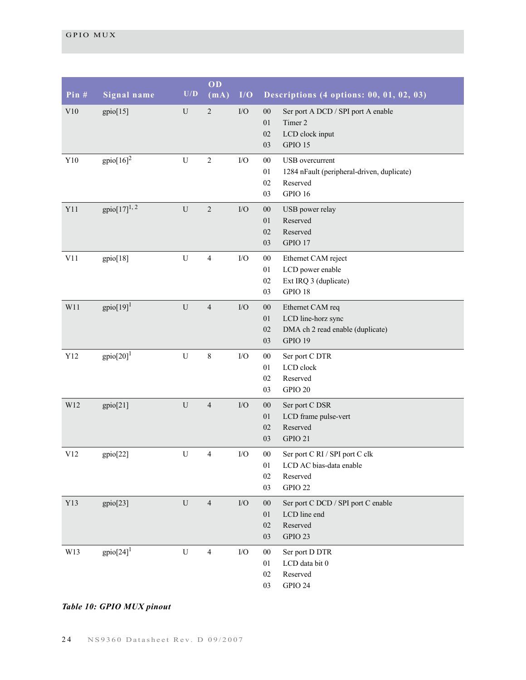| Pin #       | Signal name             | U/D         | OD<br>(mA)     | I/O         | Descriptions (4 options: 00, 01, 02, 03)                                                                             |
|-------------|-------------------------|-------------|----------------|-------------|----------------------------------------------------------------------------------------------------------------------|
| V10         | gpio[15]                | U           | $\sqrt{2}$     | ${\rm I/O}$ | $00\,$<br>Ser port A DCD / SPI port A enable<br>Timer 2<br>01<br>02<br>LCD clock input<br>GPIO 15<br>03              |
| ${\rm Y10}$ | $\text{gpio}[16]^2$     | ${\bf U}$   | $\sqrt{2}$     | $\rm I/O$   | $00\,$<br>USB overcurrent<br>$01\,$<br>1284 nFault (peripheral-driven, duplicate)<br>02<br>Reserved<br>GPIO 16<br>03 |
| Y11         | $gpio[17]^{1, 2}$       | ${\bf U}$   | $\sqrt{2}$     | ${\rm I/O}$ | 00<br>USB power relay<br>01<br>Reserved<br>02<br>Reserved<br>GPIO 17<br>03                                           |
| V11         | gpio[18]                | ${\bf U}$   | $\overline{4}$ | $\rm I/O$   | ${\bf 00}$<br>Ethernet CAM reject<br>LCD power enable<br>01<br>Ext IRQ 3 (duplicate)<br>02<br>GPIO 18<br>03          |
| W11         | $gpio[19]$ <sup>1</sup> | ${\bf U}$   | $\overline{4}$ | $\rm I/O$   | 00<br>Ethernet CAM req<br>$01\,$<br>LCD line-horz sync<br>DMA ch 2 read enable (duplicate)<br>02<br>GPIO 19<br>03    |
| Y12         | $gpio[20]$ <sup>1</sup> | ${\bf U}$   | $8\,$          | $\rm I/O$   | $00\,$<br>Ser port C DTR<br>LCD clock<br>$01\,$<br>02<br>Reserved<br>GPIO 20<br>03                                   |
| W12         | gpio[21]                | ${\bf U}$   | $\overline{4}$ | ${\rm I/O}$ | $00\,$<br>Ser port C DSR<br>LCD frame pulse-vert<br>01<br>Reserved<br>02<br>GPIO 21<br>03                            |
| V12         | gpio[22]                | $\mathbf U$ | $\overline{4}$ | $\rm I/O$   | $00\,$<br>Ser port C RI / SPI port C clk<br>01<br>LCD AC bias-data enable<br>02<br>Reserved<br>GPIO 22<br>03         |
| Y13         | gpio[23]                | ${\bf U}$   | $\overline{4}$ | $\rm I/O$   | $00\,$<br>Ser port C DCD / SPI port C enable<br>LCD line end<br>01<br>Reserved<br>$02\,$<br>GPIO 23<br>03            |
| W13         | $gpio[24]$ <sup>1</sup> | ${\bf U}$   | $\overline{4}$ | $\rm I/O$   | $00\,$<br>Ser port D DTR<br>LCD data bit 0<br>01<br>Reserved<br>02<br>GPIO 24<br>03                                  |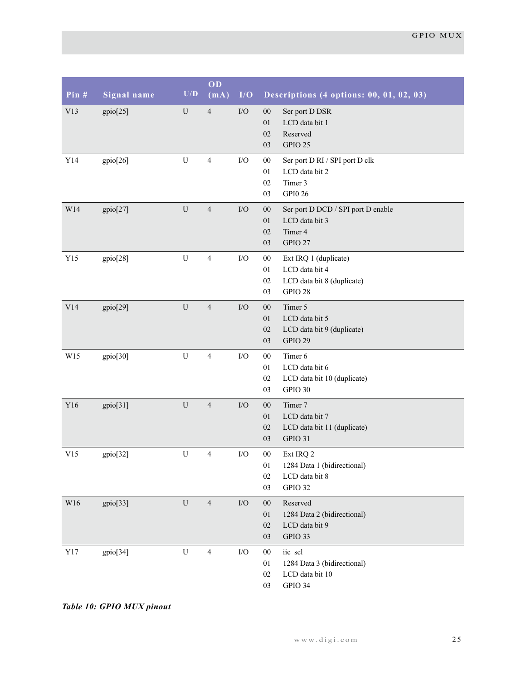| Pin #       | Signal name | $\mathbf{U}/\mathbf{D}$ | OD<br>(mA)     | I/O         | Descriptions (4 options: 00, 01, 02, 03)                                                                         |
|-------------|-------------|-------------------------|----------------|-------------|------------------------------------------------------------------------------------------------------------------|
| V13         | gpio[25]    | U                       | $\overline{4}$ | ${\rm I/O}$ | Ser port D DSR<br>$00\,$<br>LCD data bit 1<br>01<br>Reserved<br>02<br>GPIO 25<br>03                              |
| ${\it Y14}$ | gpio[26]    | ${\bf U}$               | $\overline{4}$ | ${\rm I/O}$ | ${\bf 00}$<br>Ser port D RI / SPI port D clk<br>01<br>LCD data bit 2<br>Timer 3<br>02<br>GPI0 26<br>03           |
| W14         | gpio[27]    | U                       | $\overline{4}$ | ${\rm I/O}$ | $00\,$<br>Ser port D DCD / SPI port D enable<br>$01\,$<br>LCD data bit 3<br>Timer 4<br>02<br>03<br>GPIO 27       |
| Y15         | gpio[28]    | ${\bf U}$               | $\overline{4}$ | ${\rm I/O}$ | ${\bf 00}$<br>Ext IRQ 1 (duplicate)<br>LCD data bit 4<br>01<br>02<br>LCD data bit 8 (duplicate)<br>GPIO 28<br>03 |
| V14         | gpio[29]    | U                       | $\overline{4}$ | $\rm I/O$   | Timer 5<br>${\bf 00}$<br>$01\,$<br>LCD data bit 5<br>02<br>LCD data bit 9 (duplicate)<br>GPIO 29<br>03           |
| W15         | gpio[30]    | ${\bf U}$               | $\overline{4}$ | ${\rm I/O}$ | Timer 6<br>$00\,$<br>LCD data bit 6<br>01<br>02<br>LCD data bit 10 (duplicate)<br>GPIO 30<br>03                  |
| Y16         | gpio[31]    | ${\bf U}$               | $\overline{4}$ | ${\rm I/O}$ | Timer 7<br>$00\,$<br>$01\,$<br>LCD data bit 7<br>02<br>LCD data bit 11 (duplicate)<br>03<br>GPIO 31              |
| V15         | gpio[32]    | ${\bf U}$               | $\overline{4}$ | ${\rm I/O}$ | ${\bf 00}$<br>Ext IRQ 2<br>01<br>1284 Data 1 (bidirectional)<br>LCD data bit 8<br>02<br>GPIO 32<br>03            |
| W16         | gpio[33]    | ${\bf U}$               | $\overline{4}$ | $\rm I/O$   | Reserved<br>$00\,$<br>1284 Data 2 (bidirectional)<br>01<br>$02\,$<br>LCD data bit 9<br>GPIO 33<br>03             |
| ${\tt Y}17$ | gpio[34]    | ${\bf U}$               | $\overline{4}$ | ${\rm I/O}$ | iic_scl<br>$00\,$<br>1284 Data 3 (bidirectional)<br>01<br>LCD data bit 10<br>02<br>GPIO 34<br>03                 |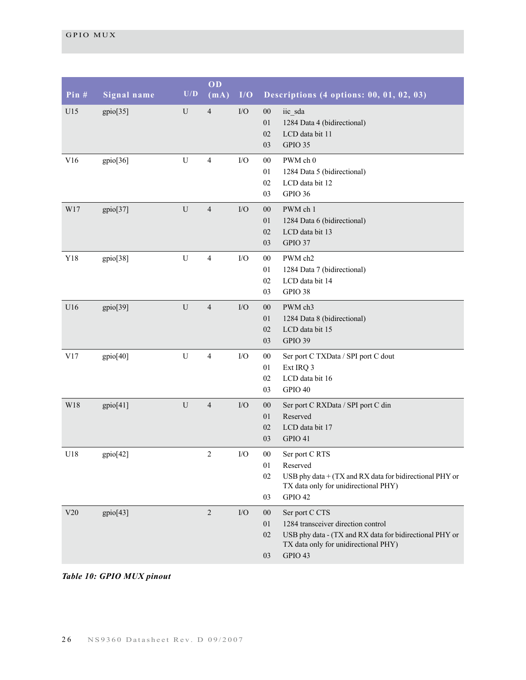| Pin $#$ | Signal name | $\mathbf{U}/\mathbf{D}$ | OD<br>(mA)     | I/O         | Descriptions (4 options: 00, 01, 02, 03)                                                                                                                                                       |
|---------|-------------|-------------------------|----------------|-------------|------------------------------------------------------------------------------------------------------------------------------------------------------------------------------------------------|
| U15     | gpio[35]    | U                       | $\overline{4}$ | ${\rm I/O}$ | $00\,$<br>iic_sda<br>01<br>1284 Data 4 (bidirectional)<br>LCD data bit 11<br>02<br>GPIO 35<br>03                                                                                               |
| V16     | gpio[36]    | U                       | $\overline{4}$ | I/O         | PWM ch 0<br>$00\,$<br>1284 Data 5 (bidirectional)<br>01<br>LCD data bit 12<br>02<br>GPIO 36<br>03                                                                                              |
| W17     | gpio[37]    | ${\bf U}$               | $\overline{4}$ | ${\rm I/O}$ | $00\,$<br>PWM ch 1<br>1284 Data 6 (bidirectional)<br>01<br>LCD data bit 13<br>02<br>GPIO 37<br>03                                                                                              |
| Y18     | gpio[38]    | ${\bf U}$               | $\overline{4}$ | ${\rm I/O}$ | PWM ch2<br>$00\,$<br>1284 Data 7 (bidirectional)<br>01<br>02<br>LCD data bit 14<br>GPIO 38<br>03                                                                                               |
| U16     | gpio[39]    | $\mathbf U$             | $\overline{4}$ | ${\rm I/O}$ | $00\,$<br>PWM ch3<br>01<br>1284 Data 8 (bidirectional)<br>LCD data bit 15<br>02<br>GPIO 39<br>03                                                                                               |
| V17     | gpio[40]    | $\mathbf U$             | $\overline{4}$ | ${\rm I/O}$ | $00\,$<br>Ser port C TXData / SPI port C dout<br>01<br>Ext IRQ 3<br>LCD data bit 16<br>02<br>GPIO 40<br>03                                                                                     |
| W18     | gpio[41]    | ${\bf U}$               | $\overline{4}$ | ${\rm I/O}$ | $00\,$<br>Ser port C RXData / SPI port C din<br>Reserved<br>01<br>LCD data bit 17<br>02<br>03<br>GPIO 41                                                                                       |
| U18     | gpio[42]    |                         | $\overline{2}$ | $\rm I/O$   | $00\,$<br>Ser port C RTS<br>01<br>Reserved<br>02<br>USB phy data + (TX and RX data for bidirectional PHY or<br>TX data only for unidirectional PHY)<br>GPIO 42<br>03                           |
| V20     | gpio[43]    |                         | $\overline{2}$ | $\rm I/O$   | $00\,$<br>Ser port C CTS<br>01<br>1284 transceiver direction control<br>USB phy data - (TX and RX data for bidirectional PHY or<br>02<br>TX data only for unidirectional PHY)<br>GPIO 43<br>03 |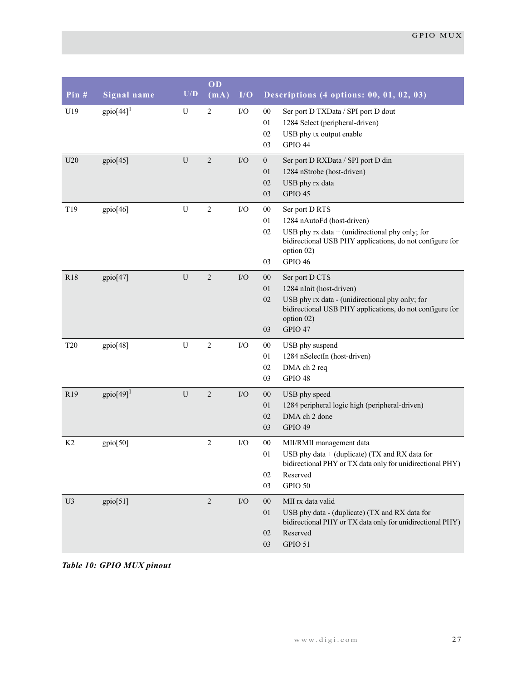| Pin#            | Signal name              | U/D         | OD<br>(mA)       | I/O         | Descriptions (4 options: 00, 01, 02, 03)                                                                                                                                                                           |
|-----------------|--------------------------|-------------|------------------|-------------|--------------------------------------------------------------------------------------------------------------------------------------------------------------------------------------------------------------------|
| U19             | gpio $[44]$ <sup>1</sup> | U           | $\overline{c}$   | I/O         | $00\,$<br>Ser port D TXData / SPI port D dout<br>01<br>1284 Select (peripheral-driven)<br>USB phy tx output enable<br>02<br>GPIO 44<br>03                                                                          |
| U20             | gpio[45]                 | U           | $\overline{2}$   | $\rm I/O$   | $\mathbf{0}$<br>Ser port D RXData / SPI port D din<br>01<br>1284 nStrobe (host-driven)<br>USB phy rx data<br>02<br>GPIO 45<br>03                                                                                   |
| T19             | gpio[46]                 | U           | $\boldsymbol{2}$ | I/O         | $00\,$<br>Ser port D RTS<br>01<br>1284 nAutoFd (host-driven)<br>02<br>USB phy $rx$ data + (unidirectional phy only; for<br>bidirectional USB PHY applications, do not configure for<br>option 02)<br>GPIO 46<br>03 |
| R18             | gpio[47]                 | U           | $\sqrt{2}$       | $\rm I/O$   | $00\,$<br>Ser port D CTS<br>01<br>1284 nInit (host-driven)<br>USB phy rx data - (unidirectional phy only; for<br>02<br>bidirectional USB PHY applications, do not configure for<br>option 02)<br>GPIO 47<br>03     |
| <b>T20</b>      | gpio[48]                 | ${\bf U}$   | $\overline{2}$   | I/O         | USB phy suspend<br>$00\,$<br>1284 nSelectIn (host-driven)<br>01<br>DMA ch 2 req<br>02<br>GPIO 48<br>03                                                                                                             |
| R <sub>19</sub> | $gpio[49]$ <sup>1</sup>  | $\mathbf U$ | $\overline{c}$   | ${\rm I/O}$ | 00<br>USB phy speed<br>1284 peripheral logic high (peripheral-driven)<br>01<br>DMA ch 2 done<br>02<br>GPIO 49<br>03                                                                                                |
| K2              | gpio[50]                 |             | $\overline{2}$   | $\rm I/O$   | ${\bf 00}$<br>MII/RMII management data<br>USB phy data + (duplicate) (TX and RX data for<br>01<br>bidirectional PHY or TX data only for unidirectional PHY)<br>$02\,$<br>Reserved<br>03<br>GPIO 50                 |
| U3              | gpio[51]                 |             | $\overline{2}$   | ${\rm I/O}$ | $00\,$<br>MII rx data valid<br>USB phy data - (duplicate) (TX and RX data for<br>01<br>bidirectional PHY or TX data only for unidirectional PHY)<br>Reserved<br>02<br>GPIO 51<br>03                                |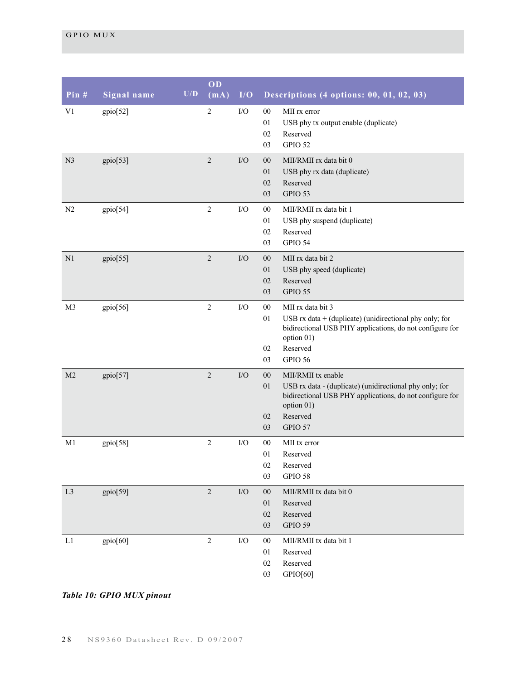| Pin $#$        | Signal name | U/D | OD<br>(mA)     | I/O         | Descriptions (4 options: 00, 01, 02, 03)                                                                                                                                                                      |
|----------------|-------------|-----|----------------|-------------|---------------------------------------------------------------------------------------------------------------------------------------------------------------------------------------------------------------|
| V1             | gpio[52]    |     | $\sqrt{2}$     | I/O         | $00\,$<br>MII rx error<br>01<br>USB phy tx output enable (duplicate)<br>Reserved<br>02<br>GPIO 52<br>03                                                                                                       |
| N <sub>3</sub> | gpio[53]    |     | $\sqrt{2}$     | I/O         | $00\,$<br>MII/RMII rx data bit 0<br>01<br>USB phy rx data (duplicate)<br>Reserved<br>02<br>GPIO 53<br>03                                                                                                      |
| N2             | gpio[54]    |     | $\sqrt{2}$     | I/O         | $00\,$<br>MII/RMII rx data bit 1<br>USB phy suspend (duplicate)<br>01<br>02<br>Reserved<br>GPIO 54<br>03                                                                                                      |
| N1             | gpio[55]    |     | $\overline{2}$ | I/O         | $00\,$<br>MII rx data bit 2<br>01<br>USB phy speed (duplicate)<br>Reserved<br>02<br>GPIO 55<br>03                                                                                                             |
| M <sub>3</sub> | gpio[56]    |     | $\sqrt{2}$     | $\rm I/O$   | $00\,$<br>MII rx data bit 3<br>USB $rx$ data $+$ (duplicate) (unidirectional phy only; for<br>01<br>bidirectional USB PHY applications, do not configure for<br>option 01)<br>Reserved<br>02<br>GPIO 56<br>03 |
| M <sub>2</sub> | gpio[57]    |     | $\overline{2}$ | ${\rm I/O}$ | $00\,$<br>MII/RMII tx enable<br>USB rx data - (duplicate) (unidirectional phy only; for<br>01<br>bidirectional USB PHY applications, do not configure for<br>option 01)<br>Reserved<br>02<br>03<br>GPIO 57    |
| M1             | gpio[58]    |     | $\overline{2}$ | I/O         | $00\,$<br>MII tx error<br>01<br>Reserved<br>02<br>Reserved<br>03<br>GPIO 58                                                                                                                                   |
| L <sub>3</sub> | gpio[59]    |     | $\sqrt{2}$     | $\rm I/O$   | $00\,$<br>MII/RMII tx data bit 0<br>01<br>Reserved<br>Reserved<br>02<br>GPIO 59<br>03                                                                                                                         |
| L1             | gpio[60]    |     | $\overline{2}$ | I/O         | ${\bf 00}$<br>MII/RMII tx data bit 1<br>Reserved<br>01<br>Reserved<br>02<br>03<br>GPIO[60]                                                                                                                    |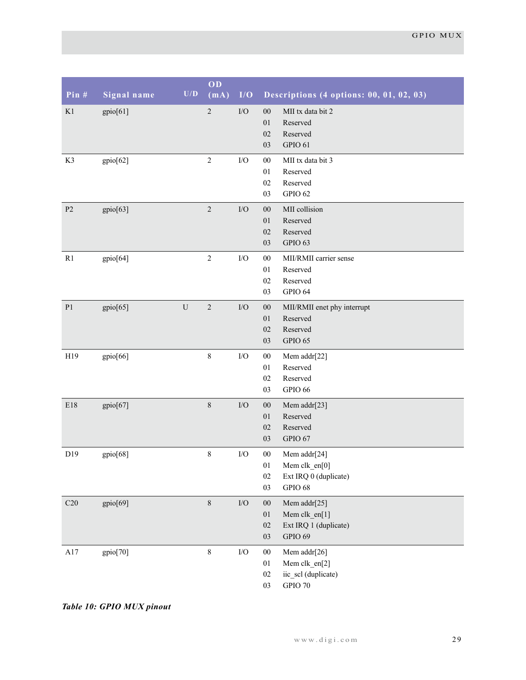| Pin $#$        | Signal name | $\mathbf{U}/\mathbf{D}$ | OD<br>(mA) | I/O       | Descriptions (4 options: 00, 01, 02, 03)                                                                             |
|----------------|-------------|-------------------------|------------|-----------|----------------------------------------------------------------------------------------------------------------------|
| K1             | gpio[61]    |                         | $\sqrt{2}$ | $\rm I/O$ | ${\bf 00}$<br>MII tx data bit 2<br>01<br>Reserved<br>Reserved<br>$02\,$<br>GPIO 61<br>03                             |
| K3             | gpio[62]    |                         | $\sqrt{2}$ | $\rm I/O$ | $00\,$<br>MII tx data bit 3<br>01<br>Reserved<br>Reserved<br>$02\,$<br>GPIO 62<br>03                                 |
| $\mathbf{P2}$  | gpio[63]    |                         | $\sqrt{2}$ | $\rm I/O$ | MII collision<br>$00\,$<br>01<br>Reserved<br>Reserved<br>$02\,$<br>GPIO 63<br>03                                     |
| R1             | gpio[64]    |                         | $\sqrt{2}$ | $\rm I/O$ | $00\,$<br>MII/RMII carrier sense<br>01<br>Reserved<br>Reserved<br>$02\,$<br>GPIO 64<br>03                            |
| P <sub>1</sub> | gpio[65]    | ${\bf U}$               | $\sqrt{2}$ | $\rm I/O$ | $00\,$<br>MII/RMII enet phy interrupt<br>01<br>Reserved<br>Reserved<br>$02\,$<br>GPIO 65<br>03                       |
| H19            | gpio[66]    |                         | $\,8\,$    | $\rm I/O$ | ${\bf 00}$<br>Mem addr[22]<br>01<br>Reserved<br>Reserved<br>$02\,$<br>GPIO 66<br>03                                  |
| E18            | gpio[67]    |                         | $\,8\,$    | I/O       | $00\,$<br>Mem addr[23]<br>01<br>Reserved<br>$02\,$<br>Reserved<br>GPIO 67<br>03                                      |
| D19            | gpio[68]    |                         | $\,8\,$    | $\rm I/O$ | ${\bf 00}$<br>Mem addr[24]<br>$01\,$<br>Mem clk_en[0]<br>$02\,$<br>Ext IRQ 0 (duplicate)<br><b>GPIO 68</b><br>$03\,$ |
| C20            | gpio[69]    |                         | $\,8\,$    | $\rm I/O$ | ${\bf 00}$<br>Mem addr[25]<br>01<br>Mem clk $en[1]$<br>Ext IRQ 1 (duplicate)<br>$02\,$<br>GPIO 69<br>$03\,$          |
| A17            | gpio[70]    |                         | $\,8\,$    | $\rm I/O$ | ${\bf 00}$<br>Mem addr[26]<br>Mem clk_en[2]<br>$0 \\ 1$<br>iic_scl (duplicate)<br>$02\,$<br>GPIO 70<br>03            |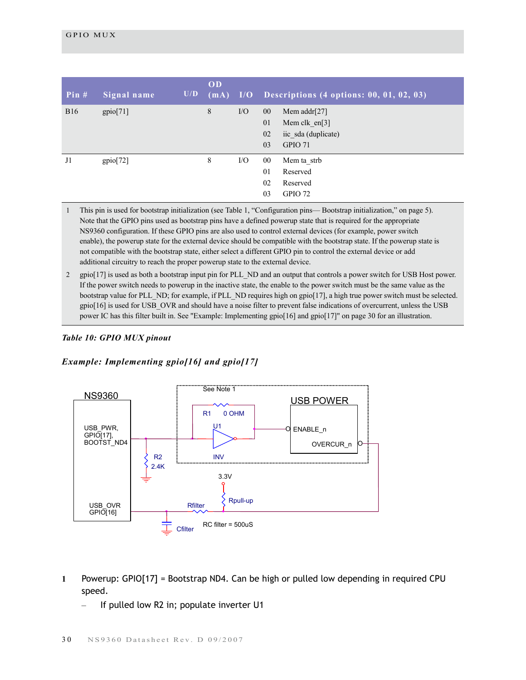| Pin $#$    | Signal name | U/D | OD<br>(mA) |     | $I/O$ Descriptions (4 options: 00, 01, 02, 03)                                                   |
|------------|-------------|-----|------------|-----|--------------------------------------------------------------------------------------------------|
| <b>B16</b> | gpio[71]    |     | 8          | I/O | $00\,$<br>Mem addr $[27]$<br>01<br>Mem clk $en[3]$<br>02<br>iic sda (duplicate)<br>GPIO 71<br>03 |
| J1         | gpio[72]    |     | 8          | I/O | $00\,$<br>Mem ta strb<br>01<br>Reserved<br>02<br>Reserved<br>03<br>GPIO 72                       |

1 This pin is used for bootstrap initialization (see Table 1, "Configuration pins— Bootstrap initialization," on page 5). Note that the GPIO pins used as bootstrap pins have a defined powerup state that is required for the appropriate NS9360 configuration. If these GPIO pins are also used to control external devices (for example, power switch enable), the powerup state for the external device should be compatible with the bootstrap state. If the powerup state is not compatible with the bootstrap state, either select a different GPIO pin to control the external device or add additional circuitry to reach the proper powerup state to the external device.

2 gpio[17] is used as both a bootstrap input pin for PLL\_ND and an output that controls a power switch for USB Host power. If the power switch needs to powerup in the inactive state, the enable to the power switch must be the same value as the bootstrap value for PLL\_ND; for example, if PLL\_ND requires high on gpio[17], a high true power switch must be selected. gpio[16] is used for USB\_OVR and should have a noise filter to prevent false indications of overcurrent, unless the USB power IC has this filter built in. See ["Example: Implementing gpio\[16\] and gpio\[17\]" on page 30](#page-33-0) for an illustration.

#### *Table 10: GPIO MUX pinout*

#### <span id="page-33-0"></span>*Example: Implementing gpio[16] and gpio[17]*



- **1** Powerup: GPIO[17] = Bootstrap ND4. Can be high or pulled low depending in required CPU speed.
	- If pulled low R2 in; populate inverter U1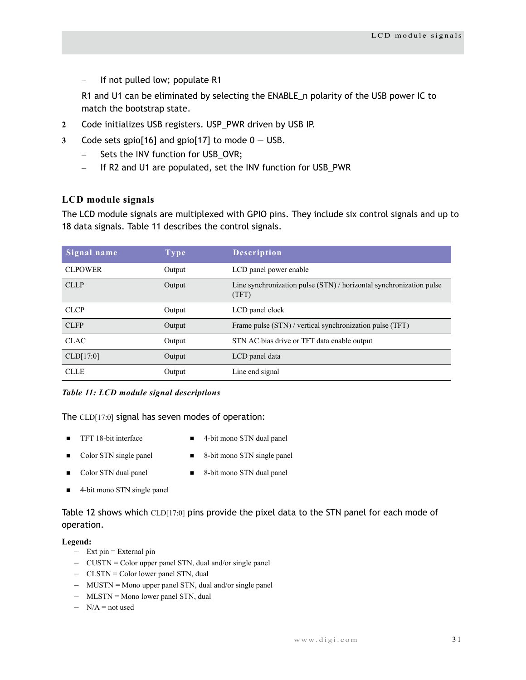If not pulled low; populate R1

R1 and U1 can be eliminated by selecting the ENABLE\_n polarity of the USB power IC to match the bootstrap state.

- **2** Code initializes USB registers. USP\_PWR driven by USB IP.
- **3** Code sets gpio[16] and gpio[17] to mode 0 USB.
	- Sets the INV function for USB\_OVR;
	- If R2 and U1 are populated, set the INV function for USB\_PWR

## <span id="page-34-0"></span>**LCD module signals**

The LCD module signals are multiplexed with GPIO pins. They include six control signals and up to 18 data signals. Table 11 describes the control signals.

| Signal name    | <b>Type</b> | <b>Description</b>                                                           |
|----------------|-------------|------------------------------------------------------------------------------|
| <b>CLPOWER</b> | Output      | LCD panel power enable                                                       |
| <b>CLLP</b>    | Output      | Line synchronization pulse (STN) / horizontal synchronization pulse<br>(TFT) |
| <b>CLCP</b>    | Output      | LCD panel clock                                                              |
| <b>CLFP</b>    | Output      | Frame pulse (STN) / vertical synchronization pulse (TFT)                     |
| <b>CLAC</b>    | Output      | STN AC bias drive or TFT data enable output                                  |
| CLD[17:0]      | Output      | LCD panel data                                                               |
| <b>CLLE</b>    | Output      | Line end signal                                                              |

#### *Table 11: LCD module signal descriptions*

#### The CLD[17:0] signal has seven modes of operation:

- 
- TFT 18-bit interface 4-bit mono STN dual panel
- 
- Color STN single panel 8-bit mono STN single panel
- 
- Color STN dual panel 8-bit mono STN dual panel
- 4-bit mono STN single panel

[Table 12](#page-35-0) shows which CLD[17:0] pins provide the pixel data to the STN panel for each mode of operation.

#### **Legend:**

- Ext pin = External pin
- CUSTN = Color upper panel STN, dual and/or single panel
- CLSTN = Color lower panel STN, dual
- MUSTN = Mono upper panel STN, dual and/or single panel
- MLSTN = Mono lower panel STN, dual
- $-$  N/A = not used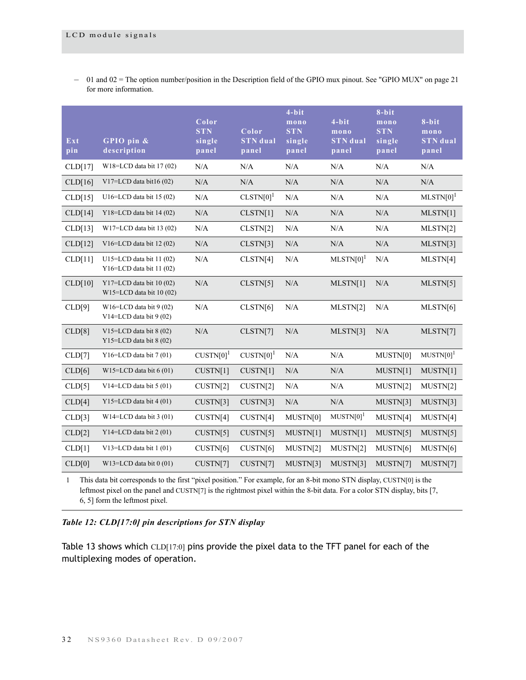– 01 and 02 = The option number/position in the Description field of the GPIO mux pinout. See ["GPIO MUX" on page 21](#page-24-1) for more information.

| Ext<br>pin | GPIO pin &<br>description                                 | Color<br><b>STN</b><br>single<br>panel | Color<br><b>STN</b> dual<br>panel | $4 - bit$<br>mono<br><b>STN</b><br>single<br>panel | $4 - bit$<br>mono<br><b>STN</b> dual<br>panel | $8 - bit$<br>mono<br><b>STN</b><br>single<br>panel | $8 - bit$<br>mono<br><b>STN</b> dual<br>panel |
|------------|-----------------------------------------------------------|----------------------------------------|-----------------------------------|----------------------------------------------------|-----------------------------------------------|----------------------------------------------------|-----------------------------------------------|
| CLD[17]    | W18=LCD data bit $17(02)$                                 | N/A                                    | N/A                               | N/A                                                | N/A                                           | N/A                                                | N/A                                           |
| CLD[16]    | V17=LCD data bit16 $(02)$                                 | N/A                                    | N/A                               | N/A                                                | N/A                                           | N/A                                                | N/A                                           |
| CLD[15]    | U16=LCD data bit $15(02)$                                 | N/A                                    | $CLSTN[0]$ <sup>1</sup>           | N/A                                                | N/A                                           | N/A                                                | $MLSTN[0]$ <sup>1</sup>                       |
| CLD[14]    | Y18=LCD data bit $14(02)$                                 | N/A                                    | CLSTN[1]                          | N/A                                                | N/A                                           | N/A                                                | MLSTN[1]                                      |
| CLD[13]    | $W17=LCD$ data bit 13 (02)                                | N/A                                    | CLSTN[2]                          | N/A                                                | N/A                                           | N/A                                                | MLSTN[2]                                      |
| CLD[12]    | V16=LCD data bit 12 (02)                                  | $\rm N/A$                              | CLSTN[3]                          | N/A                                                | N/A                                           | N/A                                                | MLSTN[3]                                      |
| CLD[11]    | U15=LCD data bit $11(02)$<br>$Y16=LCD$ data bit 11 $(02)$ | N/A                                    | CLSTN[4]                          | N/A                                                | $MLSTN[0]$ <sup>1</sup>                       | N/A                                                | MLSTN[4]                                      |
| CLD[10]    | Y17=LCD data bit 10 (02)<br>$W15=LCD$ data bit 10 (02)    | N/A                                    | CLSTN[5]                          | N/A                                                | MLSTN[1]                                      | N/A                                                | MLSTN[5]                                      |
| CLD[9]     | W16=LCD data bit $9(02)$<br>V14=LCD data bit $9(02)$      | N/A                                    | CLSTN[6]                          | $\rm N/A$                                          | MLSTN[2]                                      | N/A                                                | MLSTN[6]                                      |
| CLD[8]     | V15=LCD data bit $8(02)$<br>Y15=LCD data bit 8 (02)       | N/A                                    | CLSTN[7]                          | N/A                                                | MLSTN[3]                                      | N/A                                                | MLSTN[7]                                      |
| CLD[7]     | Y16=LCD data bit $7(01)$                                  | $CUSTN[0]$ <sup>1</sup>                | $CUSTN[0]$ <sup>1</sup>           | N/A                                                | N/A                                           | MUSTN[0]                                           | $MUSTN[0]$ <sup>1</sup>                       |
| CLD[6]     | W15=LCD data bit $6(01)$                                  | CUSTN[1]                               | CUSTN[1]                          | N/A                                                | N/A                                           | MUSTN[1]                                           | MUSTN[1]                                      |
| CLD[5]     | V14=LCD data bit 5 (01)                                   | CUSTN[2]                               | CUSTN[2]                          | N/A                                                | N/A                                           | MUSTN[2]                                           | MUSTN[2]                                      |
| CLD[4]     | Y15=LCD data bit $4(01)$                                  | CUSTN[3]                               | CUSTN[3]                          | N/A                                                | N/A                                           | MUSTN[3]                                           | MUSTN[3]                                      |
| CLD[3]     | $W14=LCD$ data bit 3 (01)                                 | CUSTN[4]                               | CUSTN[4]                          | MUSTN[0]                                           | $MUSTN[0]$ <sup>1</sup>                       | MUSTN[4]                                           | MUSTN[4]                                      |
| CLD[2]     | Y14=LCD data bit $2(01)$                                  | CUSTN[5]                               | CUSTN[5]                          | MUSTN[1]                                           | MUSTN[1]                                      | MUSTN[5]                                           | MUSTN[5]                                      |
| CLD[1]     | V13=LCD data bit 1 (01)                                   | CUSTN[6]                               | CUSTN[6]                          | MUSTN[2]                                           | MUSTN[2]                                      | MUSTN[6]                                           | MUSTN[6]                                      |
| CLD[0]     | W13=LCD data bit $0(01)$                                  | CUSTN[7]                               | CUSTN[7]                          | MUSTN[3]                                           | MUSTN[3]                                      | MUSTN[7]                                           | MUSTN[7]                                      |

1 This data bit corresponds to the first "pixel position." For example, for an 8-bit mono STN display, CUSTN[0] is the leftmost pixel on the panel and CUSTN[7] is the rightmost pixel within the 8-bit data. For a color STN display, bits [7, 6, 5] form the leftmost pixel.

## <span id="page-35-0"></span>*Table 12: CLD[17:0] pin descriptions for STN display*

Table 13 shows which CLD[17:0] pins provide the pixel data to the TFT panel for each of the multiplexing modes of operation.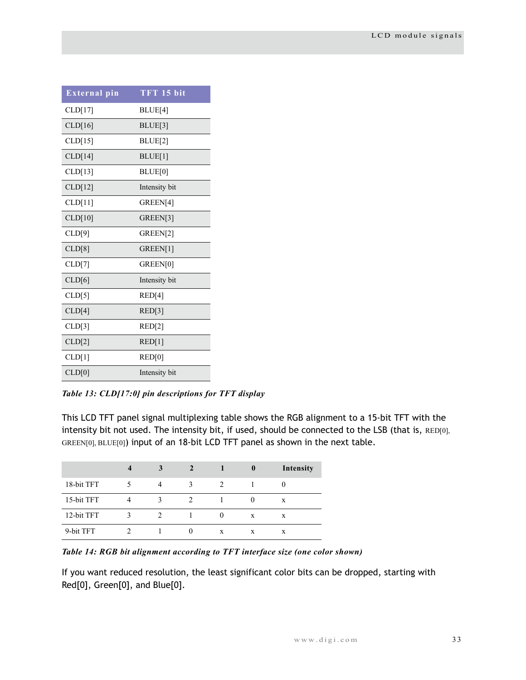| <b>External pin</b> | TFT 15 bit          |
|---------------------|---------------------|
| CLD[17]             | BLUE <sup>[4]</sup> |
| CLD[16]             | BLUE <sup>[3]</sup> |
| CLD[15]             | BLUE <sup>[2]</sup> |
| CLD[14]             | BLUE[1]             |
| CLD[13]             | BLUE[0]             |
| CLD[12]             | Intensity bit       |
| CLD[11]             | GREEN[4]            |
| CLD[10]             | GREEN[3]            |
| CLD[9]              | GREEN[2]            |
| CLD[8]              | GREEN[1]            |
| CLD[7]              | GREEN[0]            |
| CLD[6]              | Intensity bit       |
| CLD[5]              | RED[4]              |
| CLD[4]              | RED[3]              |
| CLD[3]              | RED[2]              |
| CLD[2]              | RED[1]              |
| CLD[1]              | RED[0]              |
| CLD[0]              | Intensity bit       |

*Table 13: CLD[17:0] pin descriptions for TFT display*

This LCD TFT panel signal multiplexing table shows the RGB alignment to a 15-bit TFT with the intensity bit not used. The intensity bit, if used, should be connected to the LSB (that is, RED[0], GREEN[0], BLUE[0]) input of an 18-bit LCD TFT panel as shown in the next table.

|            | 3 |   | $\bf{0}$ | Intensity |
|------------|---|---|----------|-----------|
| 18-bit TFT |   |   |          |           |
| 15-bit TFT |   |   |          | X         |
| 12-bit TFT |   |   | X        | X         |
| 9-bit TFT  |   | X | X        | X         |

*Table 14: RGB bit alignment according to TFT interface size (one color shown)*

If you want reduced resolution, the least significant color bits can be dropped, starting with Red[0], Green[0], and Blue[0].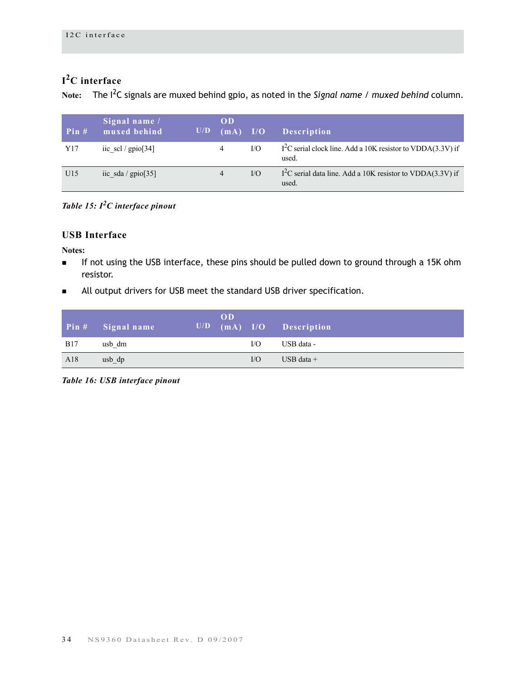# **I2C interface**

**Note:** The I2C signals are muxed behind gpio, as noted in the *Signal name / muxed behind* column.

| Pin# | Signal name /<br>muxed behind | U/D | OD<br>(mA)     | I/O      | <b>Description</b>                                                    |
|------|-------------------------------|-----|----------------|----------|-----------------------------------------------------------------------|
| Y17  | iic scl / $\text{gpio}[34]$   |     | 4              | I/O      | $I2C$ serial clock line. Add a 10K resistor to VDDA(3.3V) if<br>used. |
| U15  | iic sda / $gpio[35]$          |     | $\overline{4}$ | $\rm LO$ | $I2C$ serial data line. Add a 10K resistor to VDDA(3.3V) if<br>used.  |

*Table 15: I2C interface pinout*

# **USB Interface**

**Notes:**

- If not using the USB interface, these pins should be pulled down to ground through a 15K ohm resistor.
- All output drivers for USB meet the standard USB driver specification.

|            | Pin # Signal name | U/D | <b>OD</b> |     | (mA) I/O Description |
|------------|-------------------|-----|-----------|-----|----------------------|
| <b>B17</b> | usb dm            |     |           | I/O | USB data -           |
| A18        | usb dp            |     |           | I/O | USB data $+$         |

*Table 16: USB interface pinout*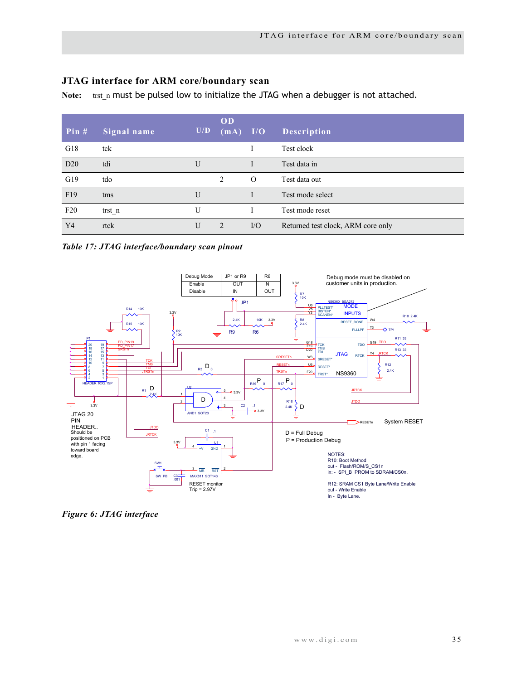# **JTAG interface for ARM core/boundary scan**

Note: trst\_n must be pulsed low to initialize the JTAG when a debugger is not attached.

| Pin $#$        | Signal name | U/D          | OD<br>(mA)     | I/O      | Description                        |
|----------------|-------------|--------------|----------------|----------|------------------------------------|
| G18            | tck         |              |                |          | Test clock                         |
| D20            | tdi         | $\mathbf{U}$ |                |          | Test data in                       |
| G19            | tdo         |              | 2              | $\Omega$ | Test data out                      |
| F19            | tms         | $\mathbf{U}$ |                |          | Test mode select                   |
| F20            | trst n      | U            |                |          | Test mode reset                    |
| Y <sub>4</sub> | rtck        | U            | $\mathfrak{D}$ | $VO$     | Returned test clock, ARM core only |

*Table 17: JTAG interface/boundary scan pinout*



*Figure 6: JTAG interface*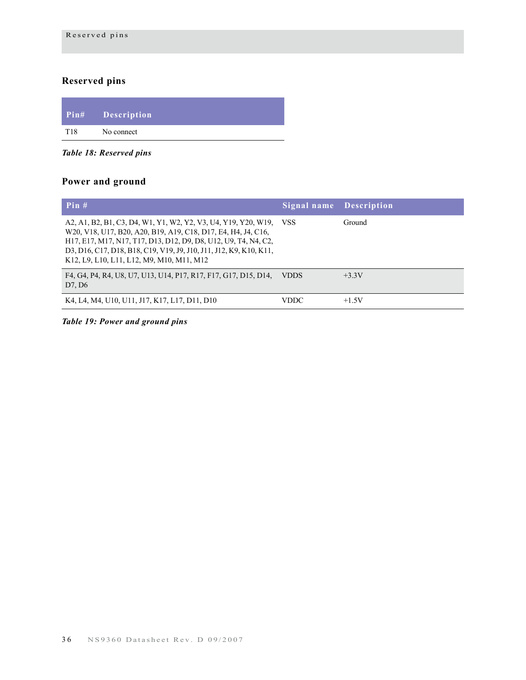# **Reserved pins**

| $Pin\#$ | Description |
|---------|-------------|
| T18     | No connect  |

*Table 18: Reserved pins*

# **Power and ground**

| Pin#                                                                                                                                                                                                                                                                                                                      | Signal name Description |         |
|---------------------------------------------------------------------------------------------------------------------------------------------------------------------------------------------------------------------------------------------------------------------------------------------------------------------------|-------------------------|---------|
| A2, A1, B2, B1, C3, D4, W1, Y1, W2, Y2, V3, U4, Y19, Y20, W19, VSS<br>W20, V18, U17, B20, A20, B19, A19, C18, D17, E4, H4, J4, C16,<br>H17, E17, M17, N17, T17, D13, D12, D9, D8, U12, U9, T4, N4, C2,<br>D3, D16, C17, D18, B18, C19, V19, J9, J10, J11, J12, K9, K10, K11,<br>K12, L9, L10, L11, L12, M9, M10, M11, M12 |                         | Ground  |
| F4, G4, P4, R4, U8, U7, U13, U14, P17, R17, F17, G17, D15, D14,<br>D7, D6                                                                                                                                                                                                                                                 | <b>VDDS</b>             | $+3.3V$ |
| K4, L4, M4, U10, U11, J17, K17, L17, D11, D10                                                                                                                                                                                                                                                                             | <b>VDDC</b>             | $+1.5V$ |

*Table 19: Power and ground pins*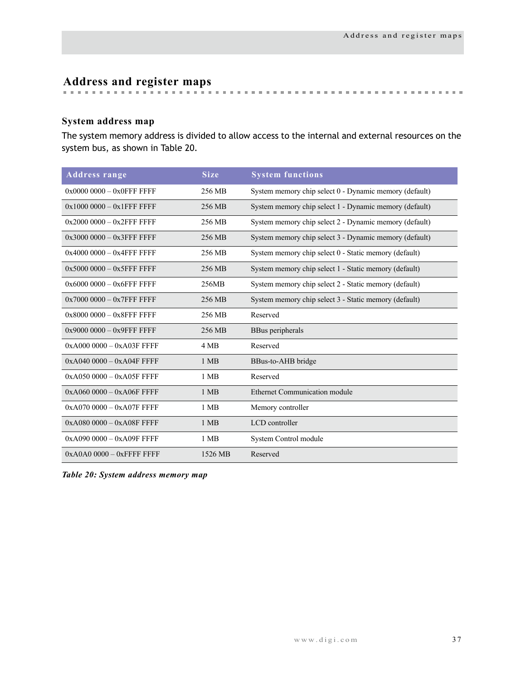# **Address and register maps**

# **System address map**

The system memory address is divided to allow access to the internal and external resources on the system bus, as shown in [Table 20](#page-40-0).

| <b>Address range</b>        | <b>Size</b> | <b>System functions</b>                                |
|-----------------------------|-------------|--------------------------------------------------------|
| $0x00000000 - 0x0$ FFF FFFF | 256 MB      | System memory chip select 0 - Dynamic memory (default) |
| $0x10000000 - 0x1$ FFF FFFF | 256 MB      | System memory chip select 1 - Dynamic memory (default) |
| $0x20000000 - 0x2$ FFF FFFF | 256 MB      | System memory chip select 2 - Dynamic memory (default) |
| $0x30000000 - 0x3$ FFF FFFF | 256 MB      | System memory chip select 3 - Dynamic memory (default) |
| $0x40000000 - 0x4$ FFF FFFF | 256 MB      | System memory chip select 0 - Static memory (default)  |
| $0x50000000 - 0x5$ FFF FFFF | 256 MB      | System memory chip select 1 - Static memory (default)  |
| $0x60000000 - 0x6$ FFF FFFF | 256MB       | System memory chip select 2 - Static memory (default)  |
| $0x70000000 - 0x7$ FFF FFFF | 256 MB      | System memory chip select 3 - Static memory (default)  |
| $0x80000000 - 0x8$ FFF FFFF | 256 MB      | Reserved                                               |
| $0x90000000 - 0x9$ FFF FFFF | 256 MB      | BBus peripherals                                       |
| $0xA0000000 - 0xA03F$ FFFF  | 4 MB        | Reserved                                               |
| $0xA0400000 - 0xA04F$ FFFF  | $1$ MB      | BBus-to-AHB bridge                                     |
| $0xA050000 - 0xA05F$ FFFF   | 1 MB        | Reserved                                               |
| $0xA060000 - 0xA06F$ FFFF   | $1$ MB      | <b>Ethernet Communication module</b>                   |
| $0xA0700000 - 0xA07F$ FFFF  | $1$ MB      | Memory controller                                      |
| $0xA0800000 - 0xA08F$ FFFF  | 1 MB        | LCD controller                                         |
| $0xA0900000 - 0xA09F$ FFFF  | $1$ MB      | System Control module                                  |
| $0xA0A00000 - 0x$ FFFF FFFF | 1526 MB     | Reserved                                               |

<span id="page-40-0"></span>*Table 20: System address memory map*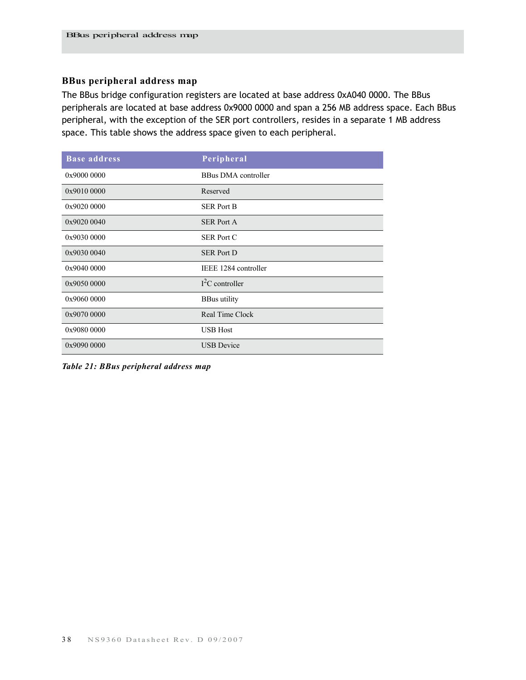# **BBus peripheral address map**

The BBus bridge configuration registers are located at base address 0xA040 0000. The BBus peripherals are located at base address 0x9000 0000 and span a 256 MB address space. Each BBus peripheral, with the exception of the SER port controllers, resides in a separate 1 MB address space. This table shows the address space given to each peripheral.

| <b>Base address</b> | Peripheral                 |
|---------------------|----------------------------|
| 0x9000 0000         | <b>BBus DMA</b> controller |
| 0x9010 0000         | Reserved                   |
| 0x9020 0000         | <b>SER Port B</b>          |
| 0x9020 0040         | <b>SER Port A</b>          |
| 0x9030 0000         | <b>SER Port C</b>          |
| 0x9030 0040         | <b>SER Port D</b>          |
| 0x9040 0000         | IEEE 1284 controller       |
| 0x9050 0000         | $I2C$ controller           |
| 0x9060 0000         | <b>BBus</b> utility        |
| 0x9070 0000         | Real Time Clock            |
| 0x9080 0000         | <b>USB</b> Host            |
| 0x9090 0000         | <b>USB</b> Device          |

*Table 21: BBus peripheral address map*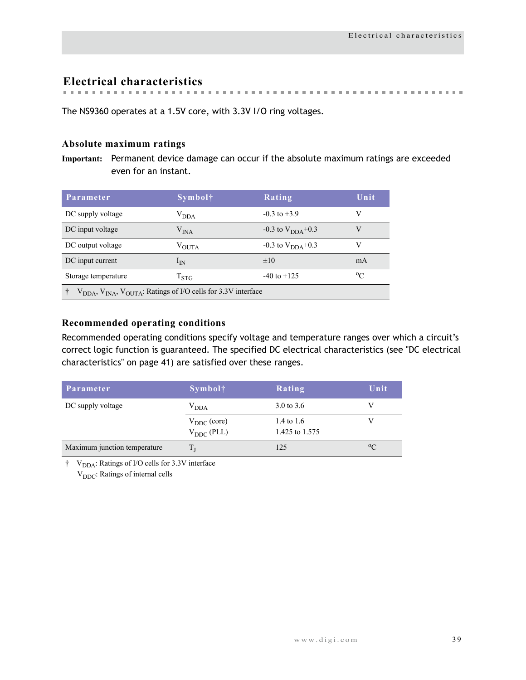**Electrical characteristics**

The NS9360 operates at a 1.5V core, with 3.3V I/O ring voltages.

# **Absolute maximum ratings**

**Important:** Permanent device damage can occur if the absolute maximum ratings are exceeded even for an instant.

| Parameter                                                                    | <b>Symbol</b> †   | Rating                         | Unit        |  |
|------------------------------------------------------------------------------|-------------------|--------------------------------|-------------|--|
| DC supply voltage                                                            | V <sub>DDA</sub>  | $-0.3$ to $+3.9$               | V           |  |
| DC input voltage                                                             | ${\rm V_{INA}}$   | $-0.3$ to $V_{\text{DDA}}+0.3$ | V           |  |
| DC output voltage                                                            | $V_{\text{OUTA}}$ | $-0.3$ to $V_{\text{DDA}}+0.3$ | V           |  |
| DC input current                                                             | $1_{\rm IN}$      | $\pm 10$                       | mA          |  |
| Storage temperature                                                          | $T_{\rm STG}$     | $-40$ to $+125$                | $\rm ^{o}C$ |  |
| $V_{DDA}$ , $V_{INA}$ , $V_{OUTA}$ : Ratings of I/O cells for 3.3V interface |                   |                                |             |  |

# **Recommended operating conditions**

Recommended operating conditions specify voltage and temperature ranges over which a circuit's correct logic function is guaranteed. The specified DC electrical characteristics (see ["DC electrical](#page-44-0)  [characteristics" on page 41\)](#page-44-0) are satisfied over these ranges.

| Parameter                                                                                                      | $Symb$ ol†                                     | Rating                       | Unit        |
|----------------------------------------------------------------------------------------------------------------|------------------------------------------------|------------------------------|-------------|
| DC supply voltage                                                                                              | V <sub>DDA</sub>                               | 3.0 to 3.6                   | V           |
|                                                                                                                | $V_{\rm DDC}$ (core)<br>$V_{\text{DDC}}$ (PLL) | 1.4 to 1.6<br>1.425 to 1.575 |             |
| Maximum junction temperature                                                                                   | $T_{I}$                                        | 125                          | $\rm ^{o}C$ |
| $\uparrow$ V <sub>DDA</sub> : Ratings of I/O cells for 3.3V interface<br>$V_{DDC}$ : Ratings of internal cells |                                                |                              |             |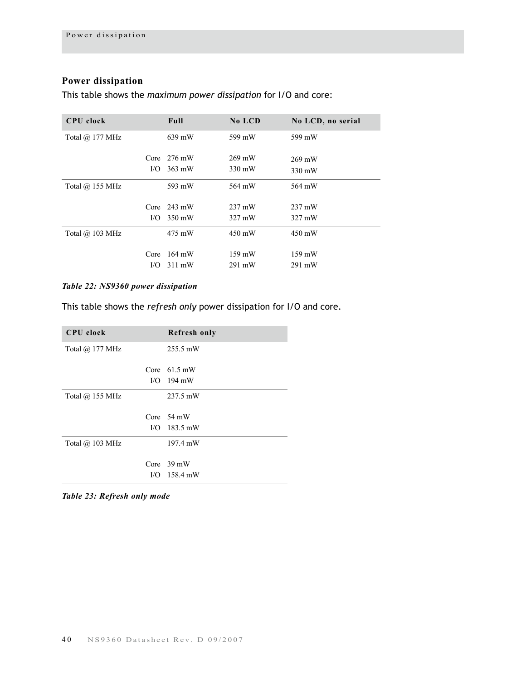# **Power dissipation**

This table shows the *maximum power dissipation* for I/O and core:

| <b>CPU</b> clock       | Full                  | No LCD           | No LCD, no serial |
|------------------------|-----------------------|------------------|-------------------|
| Total @ 177 MHz        | 639 mW                | 599 mW           | 599 mW            |
|                        | Core $276 \text{ mW}$ | 269 mW           | 269 mW            |
| I/O                    | 363 mW                | 330 mW           | 330 mW            |
| Total $\omega$ 155 MHz | 593 mW                | 564 mW           | 564 mW            |
|                        | Core $243 \text{ mW}$ | 237 mW           | $237 \text{ mW}$  |
| $\rm LO$               | 350 mW                | 327 mW           | 327 mW            |
| Total $\omega$ 103 MHz | 475 mW                | 450 mW           | 450 mW            |
| Core                   | 164 mW                | $159 \text{ mW}$ | $159 \text{ mW}$  |
| $\rm LO$               | $311 \text{ mW}$      | 291 mW           | 291 mW            |

# *Table 22: NS9360 power dissipation*

This table shows the *refresh only* power dissipation for I/O and core.

| <b>CPU</b> clock       | <b>Refresh only</b>                    |
|------------------------|----------------------------------------|
| Total $\omega$ 177 MHz | 255.5 mW                               |
|                        | Core $61.5 \text{ mW}$                 |
|                        | $I/O$ 194 mW                           |
| Total $\omega$ 155 MHz | 237.5 mW                               |
|                        | Core $54 \text{ mW}$<br>$I/O$ 183.5 mW |
| Total $\omega$ 103 MHz | 197.4 mW                               |
|                        | Core $39 \text{ mW}$                   |
|                        | $I/O$ 158.4 mW                         |

*Table 23: Refresh only mode*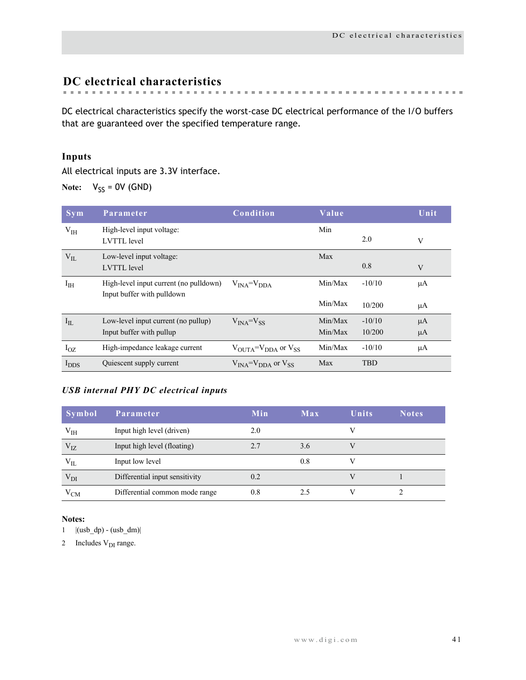# <span id="page-44-0"></span>**DC electrical characteristics**

DC electrical characteristics specify the worst-case DC electrical performance of the I/O buffers

that are guaranteed over the specified temperature range.

# **Inputs**

All electrical inputs are 3.3V interface.

**Note:**  $V_{SS} = 0V$  (GND)

| <b>Sym</b>       | Parameter                                                            | Condition                                             | Value   |            | Unit,   |
|------------------|----------------------------------------------------------------------|-------------------------------------------------------|---------|------------|---------|
| V <sub>IH</sub>  | High-level input voltage:<br><b>LVTTL</b> level                      |                                                       | Min     | 2.0        | V       |
| $V_{IL}$         | Low-level input voltage:<br><b>LVTTL</b> level                       |                                                       | Max     | 0.8        | V       |
| I <sub>IH</sub>  | High-level input current (no pulldown)<br>Input buffer with pulldown | $VINA=VDDA$                                           | Min/Max | $-10/10$   | μA      |
|                  |                                                                      |                                                       | Min/Max | 10/200     | μA      |
| $I_{IL}$         | Low-level input current (no pullup)                                  | $V_{INA} = V_{SS}$                                    | Min/Max | $-10/10$   | $\mu A$ |
|                  | Input buffer with pullup                                             |                                                       | Min/Max | 10/200     | $\mu A$ |
| $I_{OZ}$         | High-impedance leakage current                                       | $V_{\text{OUTA}} = V_{\text{DDA}}$ or $V_{\text{SS}}$ | Min/Max | $-10/10$   | μA      |
| $I_{\text{DDS}}$ | Quiescent supply current                                             | $V_{INA} = V_{DDA}$ or $V_{SS}$                       | Max     | <b>TBD</b> |         |

# *USB internal PHY DC electrical inputs*

| Symbol   | Parameter                      | Min | Max | <b>Units</b> | <b>Notes</b> |
|----------|--------------------------------|-----|-----|--------------|--------------|
| $V_{IH}$ | Input high level (driven)      | 2.0 |     |              |              |
| $V_{IZ}$ | Input high level (floating)    | 2.7 | 3.6 |              |              |
| $V_{IL}$ | Input low level                |     | 0.8 |              |              |
| $V_{DI}$ | Differential input sensitivity | 0.2 |     |              |              |
| $V_{CM}$ | Differential common mode range | 0.8 | 25  |              |              |

#### **Notes:**

 $1$   $|(usb_dp) - (usb_dm)|$ 

2 Includes V<sub>DI</sub> range.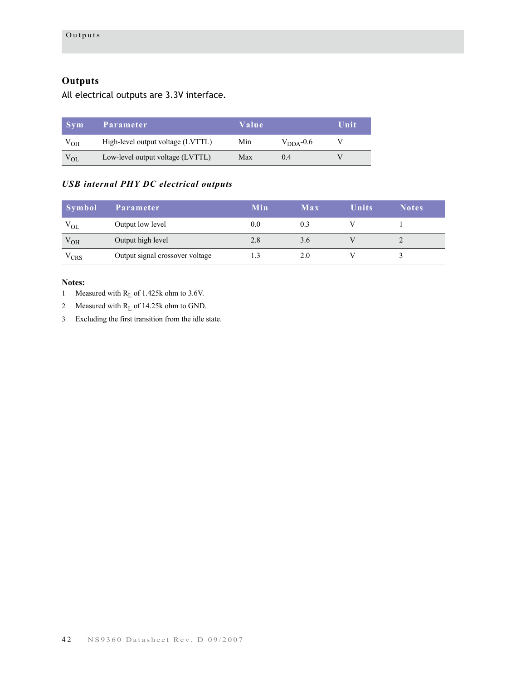# **Outputs**

All electrical outputs are 3.3V interface.

| <b>Svm</b>      | Parameter                         | Value | Unit                  |  |
|-----------------|-----------------------------------|-------|-----------------------|--|
| V <sub>OH</sub> | High-level output voltage (LVTTL) | Min.  | $V_{\text{DDA}}$ -0.6 |  |
| $V_{OL}$        | Low-level output voltage (LVTTL)  | Max   | 04                    |  |

# *USB internal PHY DC electrical outputs*

| <b>Symbol</b>  | 'Parameter                      | Min | Max | <b>Units</b> | <b>Notes</b> |
|----------------|---------------------------------|-----|-----|--------------|--------------|
| $V_{OL}$       | Output low level                | 0.0 | 0.3 |              |              |
| $V_{OH}$       | Output high level               | 2.8 | 3.6 |              |              |
| $\rm{V_{CRS}}$ | Output signal crossover voltage |     | 2.0 |              |              |

#### **Notes:**

1 Measured with  $R_L$  of 1.425k ohm to 3.6V.

2 Measured with R<sub>L</sub> of 14.25k ohm to GND.

3 Excluding the first transition from the idle state.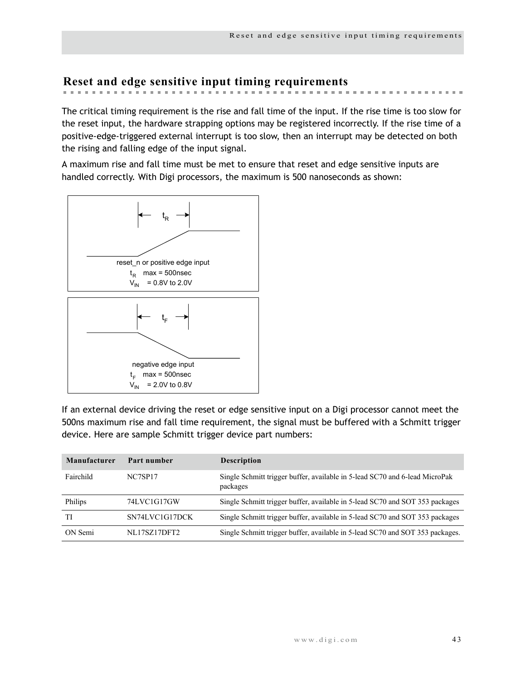# **Reset and edge sensitive input timing requirements**

The critical timing requirement is the rise and fall time of the input. If the rise time is too slow for the reset input, the hardware strapping options may be registered incorrectly. If the rise time of a positive-edge-triggered external interrupt is too slow, then an interrupt may be detected on both the rising and falling edge of the input signal.

A maximum rise and fall time must be met to ensure that reset and edge sensitive inputs are handled correctly. With Digi processors, the maximum is 500 nanoseconds as shown:



If an external device driving the reset or edge sensitive input on a Digi processor cannot meet the 500ns maximum rise and fall time requirement, the signal must be buffered with a Schmitt trigger device. Here are sample Schmitt trigger device part numbers:

| Manufacturer | Part number         | <b>Description</b>                                                                      |
|--------------|---------------------|-----------------------------------------------------------------------------------------|
| Fairchild    | NC7SP17             | Single Schmitt trigger buffer, available in 5-lead SC70 and 6-lead MicroPak<br>packages |
| Philips      | 74LVC1G17GW         | Single Schmitt trigger buffer, available in 5-lead SC70 and SOT 353 packages            |
| TI           | SN74LVC1G17DCK      | Single Schmitt trigger buffer, available in 5-lead SC70 and SOT 353 packages            |
| ON Semi      | <b>NL17SZ17DFT2</b> | Single Schmitt trigger buffer, available in 5-lead SC70 and SOT 353 packages.           |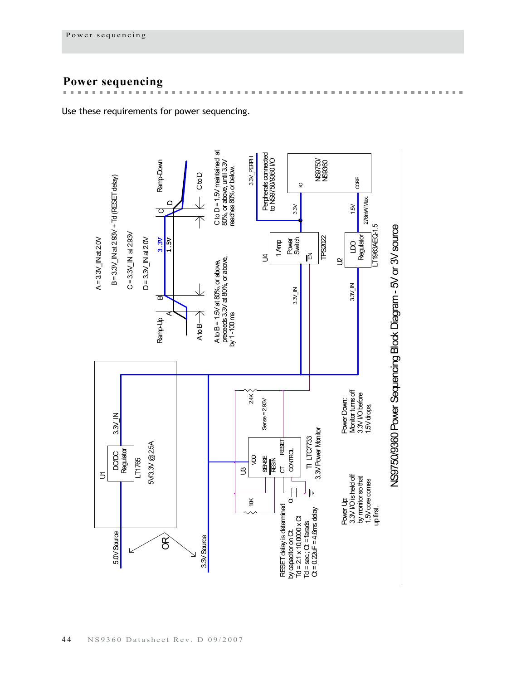# **Power sequencing**

Use these requirements for power sequencing.



 $\mathbf{m}$  $\mathbf{u}$ i. i.  $\mathbf{m}$  $\mathbf{m}$ i.  $\mathbb{R}^d$  $\blacksquare$  $\mathbb{R}^n$  $\mathbf{m}$ 

and the first state of the control of the control of the control of the con-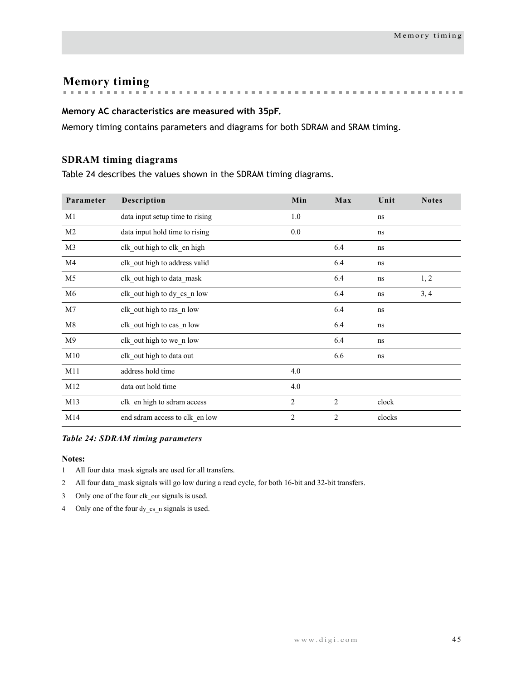**Memory timing**

# **Memory AC characteristics are measured with 35pF.**

Memory timing contains parameters and diagrams for both SDRAM and SRAM timing.

# **SDRAM timing diagrams**

Table 24 describes the values shown in the SDRAM timing diagrams.

| Parameter      | Description                     | Min            | Max            | Unit   | <b>Notes</b> |
|----------------|---------------------------------|----------------|----------------|--------|--------------|
| M1             | data input setup time to rising | 1.0            |                | ns     |              |
| M <sub>2</sub> | data input hold time to rising  | 0.0            |                | ns     |              |
| M3             | clk out high to clk en high     |                | 6.4            | ns     |              |
| M4             | clk out high to address valid   |                | 6.4            | ns     |              |
| M <sub>5</sub> | clk_out high to data_mask       |                | 6.4            | ns     | 1, 2         |
| M <sub>6</sub> | clk out high to dy cs n low     |                | 6.4            | ns     | 3, 4         |
| M7             | clk out high to ras n low       |                | 6.4            | ns     |              |
| M8             | clk out high to cas n low       |                | 6.4            | ns     |              |
| M9             | clk out high to we n low        |                | 6.4            | ns     |              |
| M10            | clk out high to data out        |                | 6.6            | ns     |              |
| M11            | address hold time               | 4.0            |                |        |              |
| M12            | data out hold time              | 4.0            |                |        |              |
| M13            | clk en high to sdram access     | $\overline{c}$ | $\overline{2}$ | clock  |              |
| M14            | end sdram access to clk en low  | $\overline{2}$ | $\overline{c}$ | clocks |              |

#### *Table 24: SDRAM timing parameters*

- 1 All four data\_mask signals are used for all transfers.
- 2 All four data mask signals will go low during a read cycle, for both 16-bit and 32-bit transfers.
- 3 Only one of the four clk\_out signals is used.
- 4 Only one of the four dy\_cs\_n signals is used.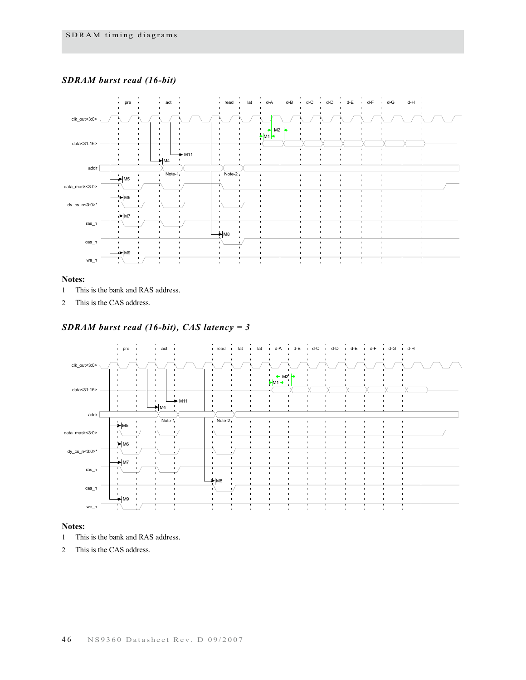### *SDRAM burst read (16-bit)*



#### **Notes:**

- 1 This is the bank and RAS address.
- 2 This is the CAS address.

### *SDRAM burst read (16-bit), CAS latency = 3*



- 1 This is the bank and RAS address.
- 2 This is the CAS address.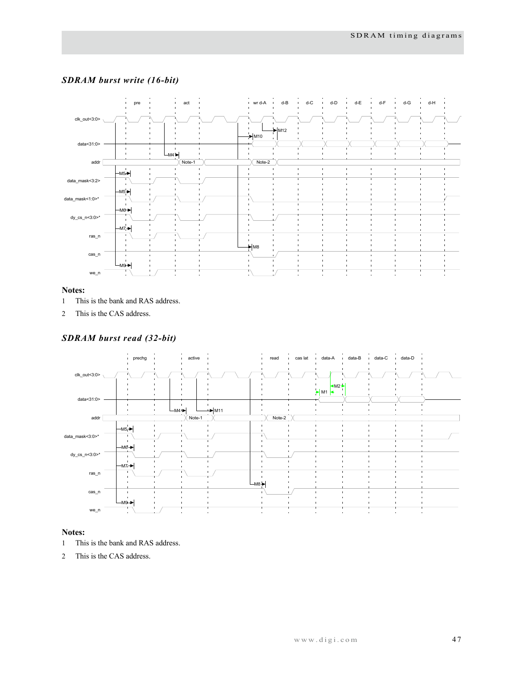

# *SDRAM burst write (16-bit)*

#### **Notes:**

- 1 This is the bank and RAS address.
- 2 This is the CAS address.

## *SDRAM burst read (32-bit)*



- 1 This is the bank and RAS address.
- 2 This is the CAS address.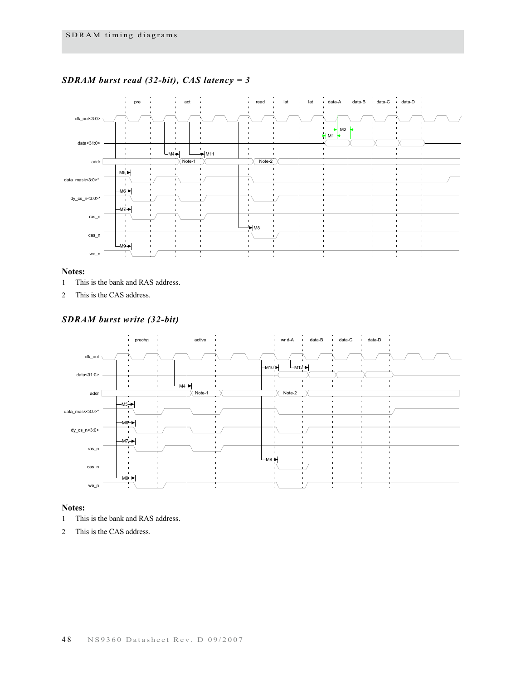

# *SDRAM burst read (32-bit), CAS latency = 3*

#### **Notes:**

- 1 This is the bank and RAS address.
- 2 This is the CAS address.

#### *SDRAM burst write (32-bit)*



- 1 This is the bank and RAS address.
- 2 This is the CAS address.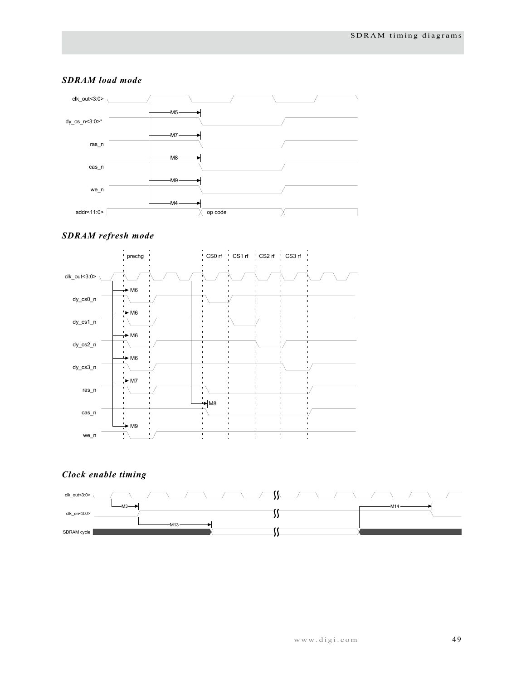

### *SDRAM load mode*

### *SDRAM refresh mode*



# *Clock enable timing*

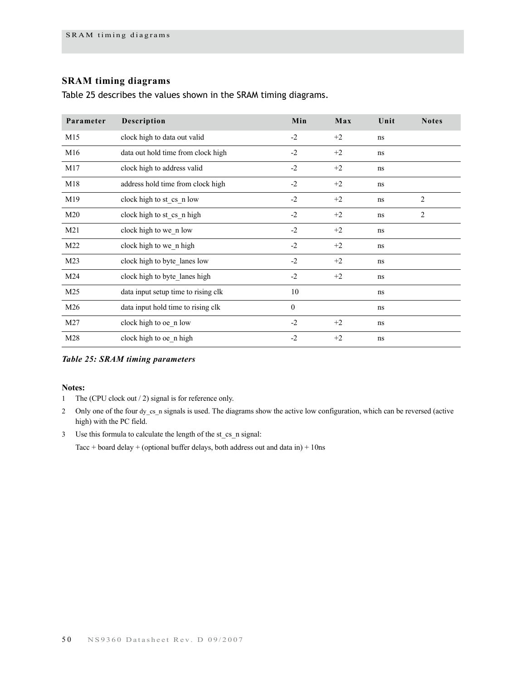# **SRAM timing diagrams**

Table 25 describes the values shown in the SRAM timing diagrams.

| Parameter | Description                         | Min          | Max  | Unit | <b>Notes</b>   |
|-----------|-------------------------------------|--------------|------|------|----------------|
| M15       | clock high to data out valid        | $-2$         | $+2$ | ns   |                |
| M16       | data out hold time from clock high  | $-2$         | $+2$ | ns   |                |
| M17       | clock high to address valid         | $-2$         | $+2$ | ns   |                |
| M18       | address hold time from clock high   | $-2$         | $+2$ | ns   |                |
| M19       | clock high to st cs n low           | $-2$         | $+2$ | ns   | $\overline{c}$ |
| M20       | clock high to st cs n high          | $-2$         | $+2$ | ns   | $\overline{c}$ |
| M21       | clock high to we n low              | $-2$         | $+2$ | ns   |                |
| M22       | clock high to we n high             | $-2$         | $+2$ | ns   |                |
| M23       | clock high to byte lanes low        | $-2$         | $+2$ | ns   |                |
| M24       | clock high to byte lanes high       | $-2$         | $+2$ | ns   |                |
| M25       | data input setup time to rising clk | 10           |      | ns   |                |
| M26       | data input hold time to rising clk  | $\mathbf{0}$ |      | ns   |                |
| M27       | clock high to oe n low              | $-2$         | $+2$ | ns   |                |
| M28       | clock high to oe n high             | $-2$         | $+2$ | ns   |                |

*Table 25: SRAM timing parameters*

**Notes:**

- 1 The (CPU clock out / 2) signal is for reference only.
- 2 Only one of the four dy\_cs\_n signals is used. The diagrams show the active low configuration, which can be reversed (active high) with the PC field.
- 3 Use this formula to calculate the length of the st\_cs\_n signal:

Tacc + board delay + (optional buffer delays, both address out and data in) + 10ns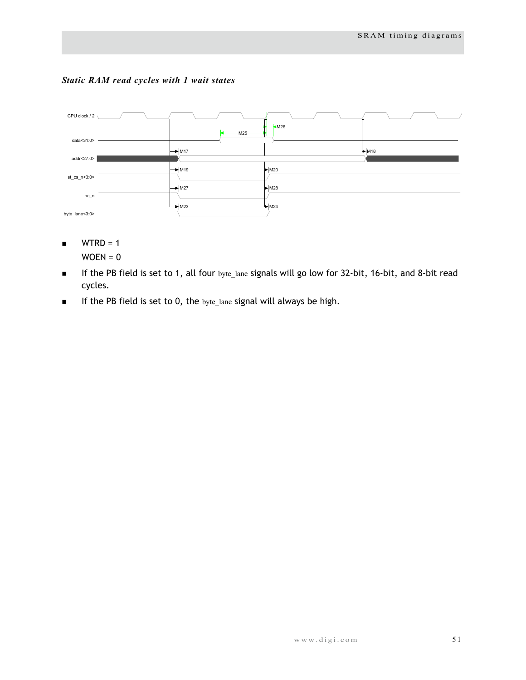



- $WTRD = 1$  $WOEN = 0$
- If the PB field is set to 1, all four byte\_lane signals will go low for 32-bit, 16-bit, and 8-bit read cycles.
- $\blacksquare$  If the PB field is set to 0, the byte\_lane signal will always be high.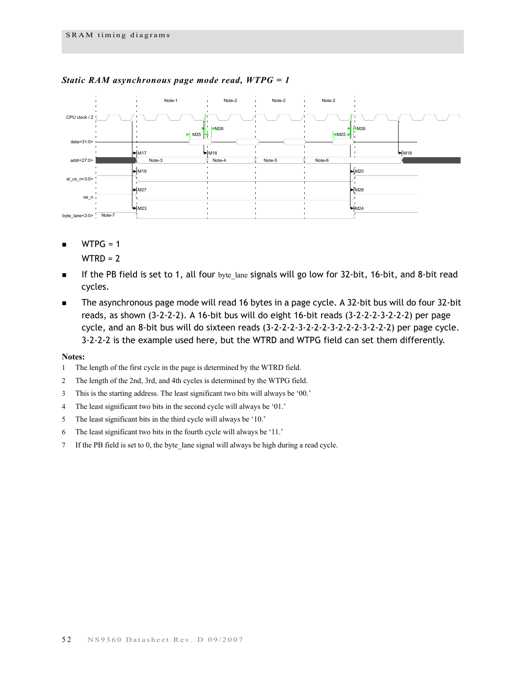

#### *Static RAM asynchronous page mode read, WTPG = 1*

- $WTPG = 1$ 
	- $WTRD = 2$
- If the PB field is set to 1, all four byte lane signals will go low for 32-bit, 16-bit, and 8-bit read cycles.
- The asynchronous page mode will read 16 bytes in a page cycle. A 32-bit bus will do four 32-bit reads, as shown (3-2-2-2). A 16-bit bus will do eight 16-bit reads (3-2-2-2-3-2-2-2) per page cycle, and an 8-bit bus will do sixteen reads (3-2-2-2-3-2-2-2-3-2-2-2-3-2-2-2) per page cycle. 3-2-2-2 is the example used here, but the WTRD and WTPG field can set them differently.

- 1 The length of the first cycle in the page is determined by the WTRD field.
- 2 The length of the 2nd, 3rd, and 4th cycles is determined by the WTPG field.
- 3 This is the starting address. The least significant two bits will always be '00.'
- 4 The least significant two bits in the second cycle will always be '01.'
- 5 The least significant bits in the third cycle will always be '10.'
- 6 The least significant two bits in the fourth cycle will always be '11.'
- 7 If the PB field is set to 0, the byte\_lane signal will always be high during a read cycle.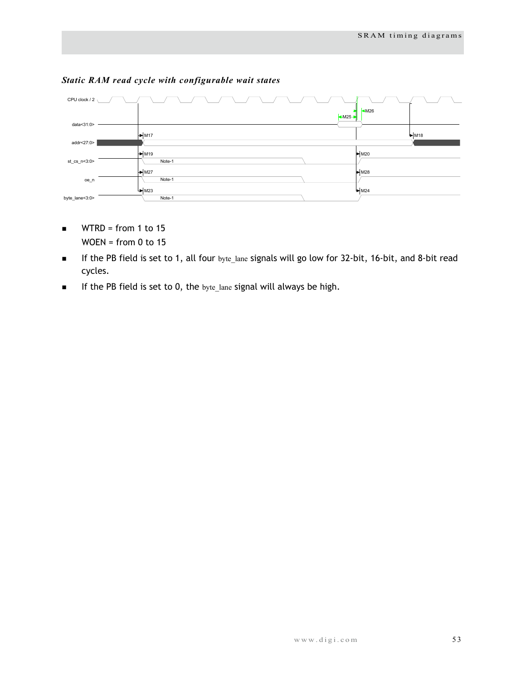

# *Static RAM read cycle with configurable wait states*

- $\blacksquare$  WTRD = from 1 to 15 WOEN = from 0 to 15
- If the PB field is set to 1, all four byte\_lane signals will go low for 32-bit, 16-bit, and 8-bit read cycles.
- $\blacksquare$  If the PB field is set to 0, the byte\_lane signal will always be high.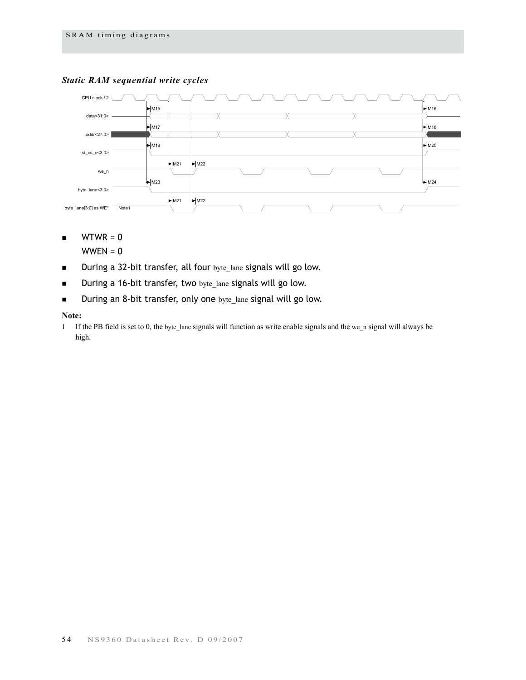# *Static RAM sequential write cycles*



 $WTWR = 0$ 

 $WWEN = 0$ 

- During a 32-bit transfer, all four byte\_lane signals will go low.
- During a 16-bit transfer, two byte\_lane signals will go low.
- During an 8-bit transfer, only one byte\_lane signal will go low.

#### **Note:**

1 If the PB field is set to 0, the byte\_lane signals will function as write enable signals and the we\_n signal will always be high.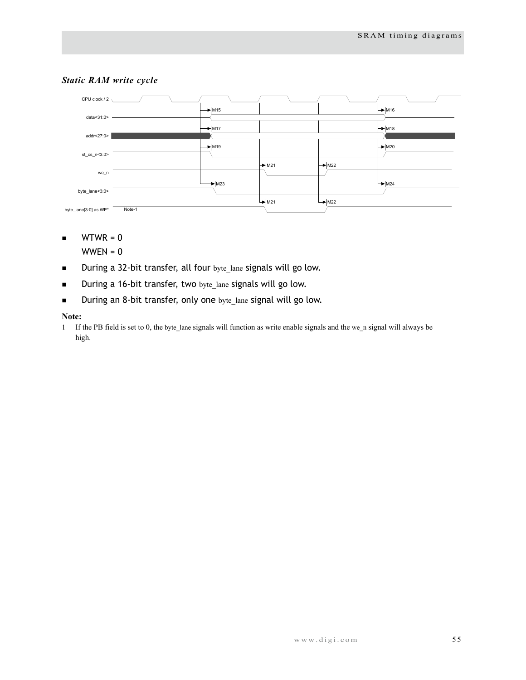

# *Static RAM write cycle*

 $\blacksquare$  WTWR = 0

 $WWEN = 0$ 

- During a 32-bit transfer, all four byte\_lane signals will go low.
- During a 16-bit transfer, two byte\_lane signals will go low.
- During an 8-bit transfer, only one byte\_lane signal will go low.

#### **Note:**

1 If the PB field is set to 0, the byte\_lane signals will function as write enable signals and the we\_n signal will always be high.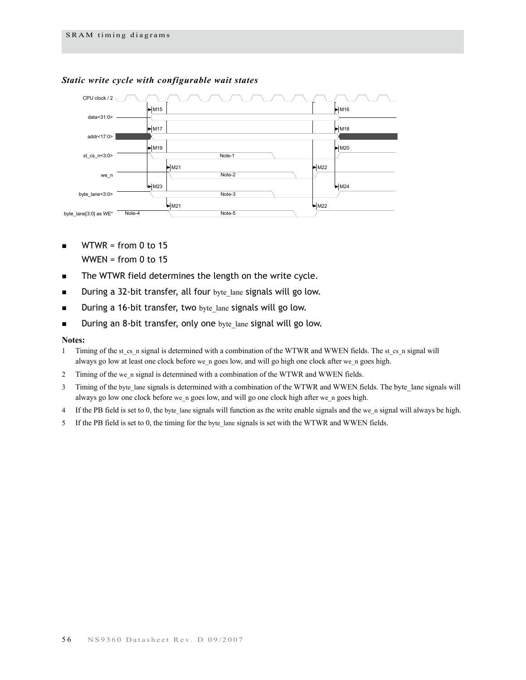

## *Static write cycle with configurable wait states*

- $WTWR = from 0 to 15$ WWEN = from  $0$  to 15
- The WTWR field determines the length on the write cycle.
- During a 32-bit transfer, all four byte\_lane signals will go low.
- **During a 16-bit transfer, two** byte lane signals will go low.
- During an 8-bit transfer, only one byte lane signal will go low.

- 1 Timing of the st\_cs\_n signal is determined with a combination of the WTWR and WWEN fields. The st\_cs\_n signal will always go low at least one clock before we\_n goes low, and will go high one clock after we\_n goes high.
- 2 Timing of the we\_n signal is determined with a combination of the WTWR and WWEN fields.
- 3 Timing of the byte\_lane signals is determined with a combination of the WTWR and WWEN fields. The byte\_lane signals will always go low one clock before we\_n goes low, and will go one clock high after we\_n goes high.
- 4 If the PB field is set to 0, the byte\_lane signals will function as the write enable signals and the we\_n signal will always be high.
- 5 If the PB field is set to 0, the timing for the byte\_lane signals is set with the WTWR and WWEN fields.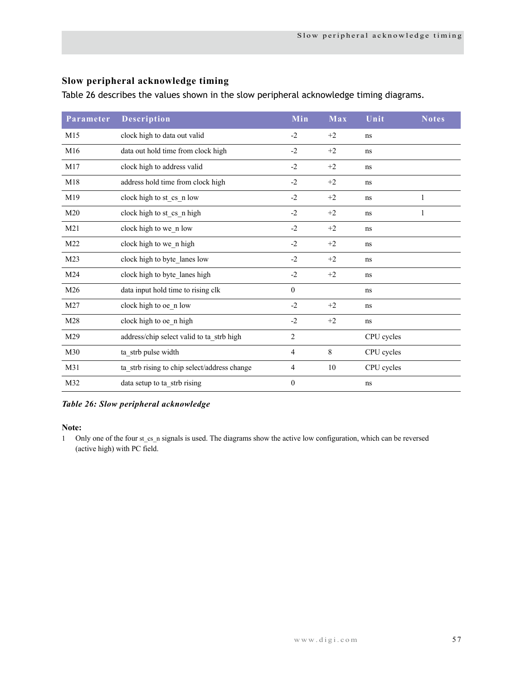# **Slow peripheral acknowledge timing**

Table 26 describes the values shown in the slow peripheral acknowledge timing diagrams.

| Parameter       | <b>Description</b>                           | Min            | Max  | Unit       | <b>Notes</b> |
|-----------------|----------------------------------------------|----------------|------|------------|--------------|
| M15             | clock high to data out valid                 | $-2$           | $+2$ | ns         |              |
| M16             | data out hold time from clock high           | $-2$           | $+2$ | ns         |              |
| M17             | clock high to address valid                  | $-2$           | $+2$ | ns         |              |
| M18             | address hold time from clock high            | $-2$           | $+2$ | ns         |              |
| M19             | clock high to st cs n low                    | $-2$           | $+2$ | ns         | 1            |
| M20             | clock high to st_cs_n high                   | $-2$           | $+2$ | ns         | 1            |
| M21             | clock high to we_n low                       | $-2$           | $+2$ | ns         |              |
| M22             | clock high to we n high                      | $-2$           | $+2$ | ns         |              |
| M <sub>23</sub> | clock high to byte lanes low                 | $-2$           | $+2$ | ns         |              |
| M24             | clock high to byte lanes high                | $-2$           | $+2$ | ns         |              |
| M26             | data input hold time to rising clk           | $\mathbf{0}$   |      | ns         |              |
| M27             | clock high to oe n low                       | $-2$           | $+2$ | ns         |              |
| M28             | clock high to oe n high                      | $-2$           | $+2$ | ns         |              |
| M29             | address/chip select valid to ta_strb high    | $\overline{c}$ |      | CPU cycles |              |
| M30             | ta_strb pulse width                          | $\overline{4}$ | 8    | CPU cycles |              |
| M31             | ta strb rising to chip select/address change | $\overline{4}$ | 10   | CPU cycles |              |
| M32             | data setup to ta strb rising                 | $\theta$       |      | ns         |              |

#### *Table 26: Slow peripheral acknowledge*

#### **Note:**

1 Only one of the four st\_cs\_n signals is used. The diagrams show the active low configuration, which can be reversed (active high) with PC field.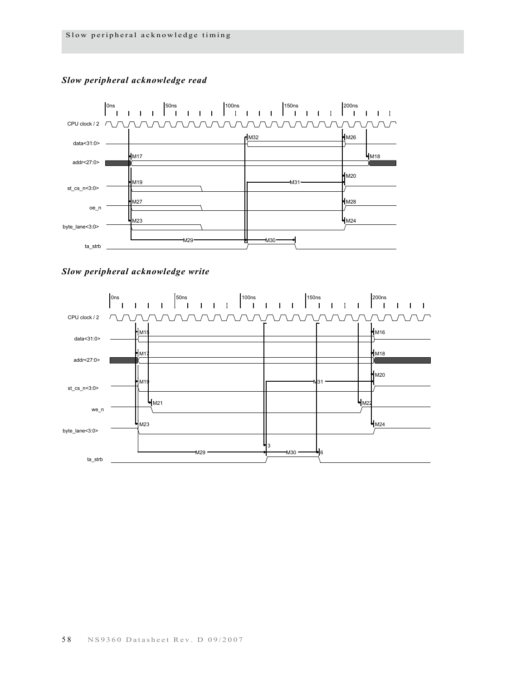

# *Slow peripheral acknowledge read*



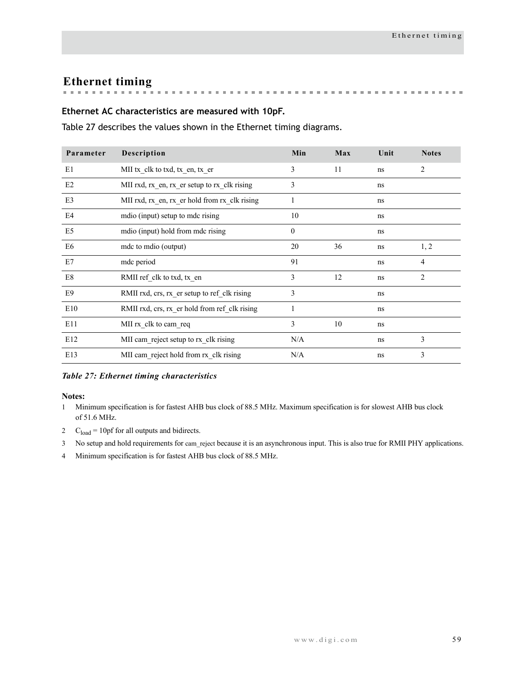# **Ethernet timing**

# **Ethernet AC characteristics are measured with 10pF.**

Table 27 describes the values shown in the Ethernet timing diagrams.

| Parameter      | Description                                   | Min            | Max | Unit     | <b>Notes</b>   |
|----------------|-----------------------------------------------|----------------|-----|----------|----------------|
| E1             | MII tx clk to txd, tx en, tx er               | 3              | 11  | ns       | 2              |
| E2             | MII rxd, rx en, rx er setup to rx clk rising  | 3              |     | ns       |                |
| E <sub>3</sub> | MII rxd, rx en, rx er hold from rx clk rising | 1              |     | ns       |                |
| E4             | mdio (input) setup to mdc rising              | 10             |     | ns       |                |
| E <sub>5</sub> | modio (input) hold from mode rising           | $\mathbf{0}$   |     | ns       |                |
| E <sub>6</sub> | mde to mdio (output)                          | 20             | 36  | $\rm ns$ | 1, 2           |
| E7             | mdc period                                    | 91             |     | ns       | $\overline{4}$ |
| E8             | RMII ref_clk to txd, tx_en                    | $\overline{3}$ | 12  | ns       | $\overline{2}$ |
| E9             | RMII rxd, crs, rx er setup to ref clk rising  | 3              |     | ns       |                |
| E10            | RMII rxd, crs, rx er hold from ref clk rising | 1              |     | ns       |                |
| E11            | MII rx clk to cam req                         | 3              | 10  | ns       |                |
| E12            | MII cam reject setup to rx clk rising         | N/A            |     | ns       | 3              |
| E13            | MII cam reject hold from rx clk rising        | N/A            |     | ns       | 3              |

#### *Table 27: Ethernet timing characteristics*

- 1 Minimum specification is for fastest AHB bus clock of 88.5 MHz. Maximum specification is for slowest AHB bus clock of 51.6 MHz.
- 2  $C_{load} = 10 \text{p}$ f for all outputs and bidirects.
- 3 No setup and hold requirements for cam\_reject because it is an asynchronous input. This is also true for RMII PHY applications.
- 4 Minimum specification is for fastest AHB bus clock of 88.5 MHz.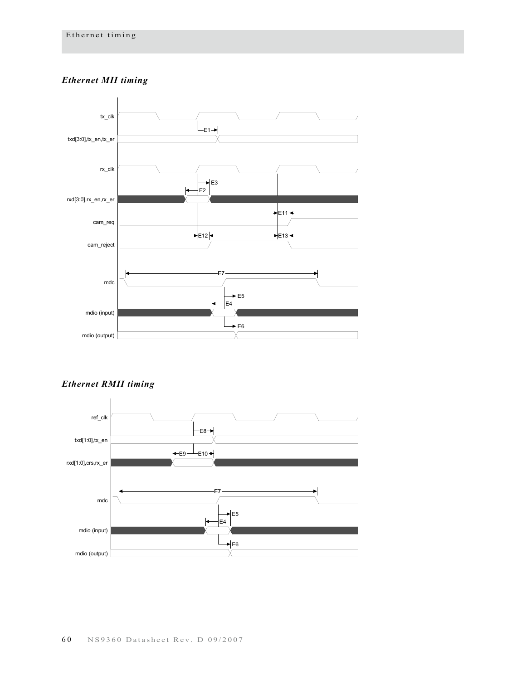# *Ethernet MII timing*



*Ethernet RMII timing*

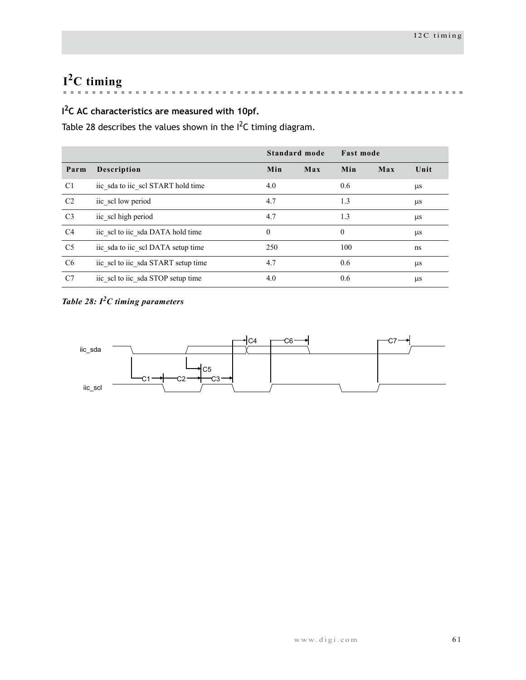# **I2C timing**

 $\mathbf{u}$  , and  $\mathbf{u}$  , and  $\mathbf{u}$  $\overline{\phantom{a}}$ **Burning**  $\sim$  $\mathbf{m}$ the contract of the contract of the  $\mathbf{m}$  $\bar{\mathbf{u}}$  $\blacksquare$  $\mathbf{m}$  $\bar{\mathbf{u}}$  $\mathbf{m}$  $\mathbf{m}$  $\sim$ 

# **I 2C AC characteristics are measured with 10pf.**

[Table 28](#page-64-0) describes the values shown in the  $I^2C$  timing diagram.

|                |                                     | Standard mode |     | <b>Fast mode</b> |     |         |
|----------------|-------------------------------------|---------------|-----|------------------|-----|---------|
| Parm           | <b>Description</b>                  | Min           | Max | Min              | Max | Unit    |
| C <sub>1</sub> | iic sda to iic scl START hold time  | 4.0           |     | 0.6              |     | μs      |
| C <sub>2</sub> | iic sel low period                  | 4.7           |     | 1.3              |     | μs      |
| C <sub>3</sub> | iic scl high period                 | 4.7           |     | 1.3              |     | μs      |
| C4             | iic sel to iic sda DATA hold time   | $\mathbf{0}$  |     | $\overline{0}$   |     | $\mu$ s |
| C <sub>5</sub> | iic sda to iic scl DATA setup time  | 250           |     | 100              |     | ns      |
| C <sub>6</sub> | iic sel to iic sda START setup time | 4.7           |     | 0.6              |     | $\mu$ s |
| C7             | iic sel to iic sda STOP setup time  | 4.0           |     | 0.6              |     | $\mu$ s |

# <span id="page-64-0"></span>*Table 28: I2C timing parameters*

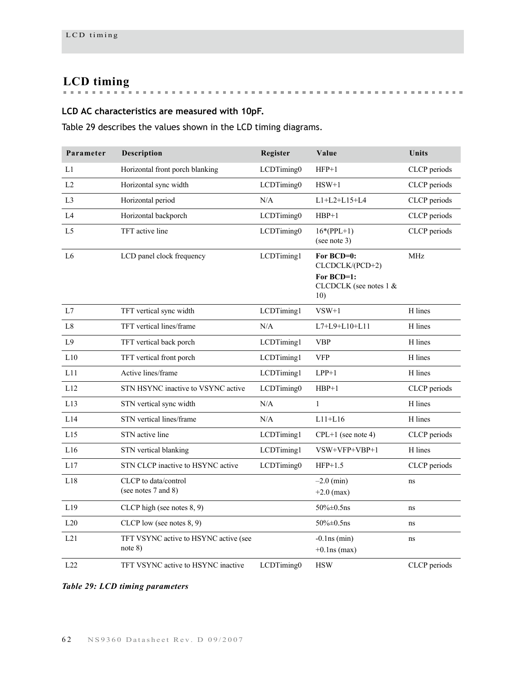# **LCD timing**

# **LCD AC characteristics are measured with 10pF.**

Table 29 describes the values shown in the LCD timing diagrams.

| Parameter      | Description                                      | Register   | Value                                                                        | Units        |
|----------------|--------------------------------------------------|------------|------------------------------------------------------------------------------|--------------|
| L1             | Horizontal front porch blanking                  | LCDTiming0 | $HFP+1$                                                                      | CLCP periods |
| L2             | Horizontal sync width                            | LCDTiming0 | $HSW+1$                                                                      | CLCP periods |
| L <sub>3</sub> | Horizontal period                                | N/A        | $L1+L2+L15+L4$                                                               | CLCP periods |
| L4             | Horizontal backporch                             | LCDTiming0 | $HBP+1$                                                                      | CLCP periods |
| L <sub>5</sub> | TFT active line                                  | LCDTiming0 | $16*(PPL+1)$<br>(see note 3)                                                 | CLCP periods |
| L <sub>6</sub> | LCD panel clock frequency                        | LCDTiming1 | For BCD=0:<br>CLCDCLK/(PCD+2)<br>For BCD=1:<br>CLCDCLK (see notes 1 &<br>10) | <b>MHz</b>   |
| L7             | TFT vertical sync width                          | LCDTiming1 | $VSW+1$                                                                      | H lines      |
| L8             | TFT vertical lines/frame                         | N/A        | $L7+L9+L10+L11$                                                              | H lines      |
| L9             | TFT vertical back porch                          | LCDTiming1 | <b>VBP</b>                                                                   | H lines      |
| L10            | TFT vertical front porch                         | LCDTiming1 | <b>VFP</b>                                                                   | H lines      |
| L11            | Active lines/frame                               | LCDTiming1 | $LPP+1$                                                                      | H lines      |
| L12            | STN HSYNC inactive to VSYNC active               | LCDTiming0 | $HBP+1$                                                                      | CLCP periods |
| L13            | STN vertical sync width                          | N/A        | $\mathbf{1}$                                                                 | H lines      |
| L14            | STN vertical lines/frame                         | N/A        | $L11+L16$                                                                    | H lines      |
| L15            | STN active line                                  | LCDTiming1 | $CPL+1$ (see note 4)                                                         | CLCP periods |
| L16            | STN vertical blanking                            | LCDTiming1 | VSW+VFP+VBP+1                                                                | H lines      |
| L17            | STN CLCP inactive to HSYNC active                | LCDTiming0 | $HFP+1.5$                                                                    | CLCP periods |
| L18            | CLCP to data/control<br>(see notes 7 and 8)      |            | $-2.0$ (min)<br>$+2.0$ (max)                                                 | ns           |
| L19            | CLCP high (see notes 8, 9)                       |            | $50\% \pm 0.5$ ns                                                            | ns           |
| L20            | CLCP low (see notes $8, 9$ )                     |            | $50\% \pm 0.5$ ns                                                            | ns           |
| L21            | TFT VSYNC active to HSYNC active (see<br>note 8) |            | $-0.1$ ns (min)<br>$+0.1$ ns (max)                                           | ns           |
| L22            | TFT VSYNC active to HSYNC inactive               | LCDTiming0 | <b>HSW</b>                                                                   | CLCP periods |

*Table 29: LCD timing parameters*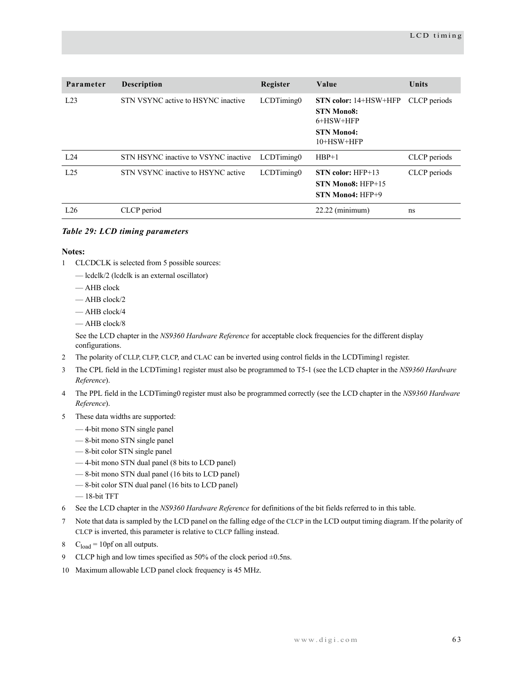| Parameter | <b>Description</b>                   | Register   | Value                                                                                             | Units        |
|-----------|--------------------------------------|------------|---------------------------------------------------------------------------------------------------|--------------|
| L23       | STN VSYNC active to HSYNC inactive   | LCDTiming0 | <b>STN color:</b> 14+HSW+HFP<br><b>STN Mono8:</b><br>6+HSW+HFP<br><b>STN Mono4:</b><br>10+HSW+HFP | CLCP periods |
| L.24      | STN HSYNC inactive to VSYNC inactive | LCDTiming0 | $HBP+1$                                                                                           | CLCP periods |
| L25       | STN VSYNC inactive to HSYNC active   | LCDTiming0 | $STN$ color: $HFP+13$<br>STN Mono8: HFP+15<br>$STN$ Mono4: $HFP+9$                                | CLCP periods |
| L26       | CLCP period                          |            | $22.22$ (minimum)                                                                                 | ns           |

# *Table 29: LCD timing parameters*

#### **Notes:**

- 1 CLCDCLK is selected from 5 possible sources:
	- lcdclk/2 (lcdclk is an external oscillator)
	- AHB clock
	- AHB clock/2
	- AHB clock/4
	- AHB clock/8

See the LCD chapter in the *NS9360 Hardware Reference* for acceptable clock frequencies for the different display configurations.

- 2 The polarity of CLLP, CLFP, CLCP, and CLAC can be inverted using control fields in the LCDTiming1 register.
- 3 The CPL field in the LCDTiming1 register must also be programmed to T5-1 (see the LCD chapter in the *NS9360 Hardware Reference*).
- 4 The PPL field in the LCDTiming0 register must also be programmed correctly (see the LCD chapter in the *NS9360 Hardware Reference*).
- 5 These data widths are supported:
	- 4-bit mono STN single panel
	- 8-bit mono STN single panel
	- 8-bit color STN single panel
	- 4-bit mono STN dual panel (8 bits to LCD panel)
	- 8-bit mono STN dual panel (16 bits to LCD panel)
	- 8-bit color STN dual panel (16 bits to LCD panel)
	- 18-bit TFT
- 6 See the LCD chapter in the *NS9360 Hardware Reference* for definitions of the bit fields referred to in this table.
- 7 Note that data is sampled by the LCD panel on the falling edge of the CLCP in the LCD output timing diagram. If the polarity of CLCP is inverted, this parameter is relative to CLCP falling instead.
- 8  $C_{load} = 10pf$  on all outputs.
- 9 CLCP high and low times specified as 50% of the clock period  $\pm$ 0.5ns.
- 10 Maximum allowable LCD panel clock frequency is 45 MHz.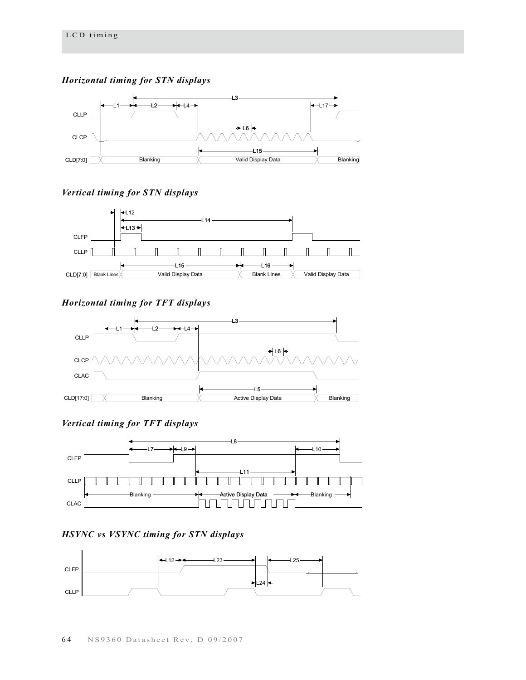*Horizontal timing for STN displays*



# *Vertical timing for STN displays*



# *Horizontal timing for TFT displays*



# *Vertical timing for TFT displays*



# *HSYNC vs VSYNC timing for STN displays*

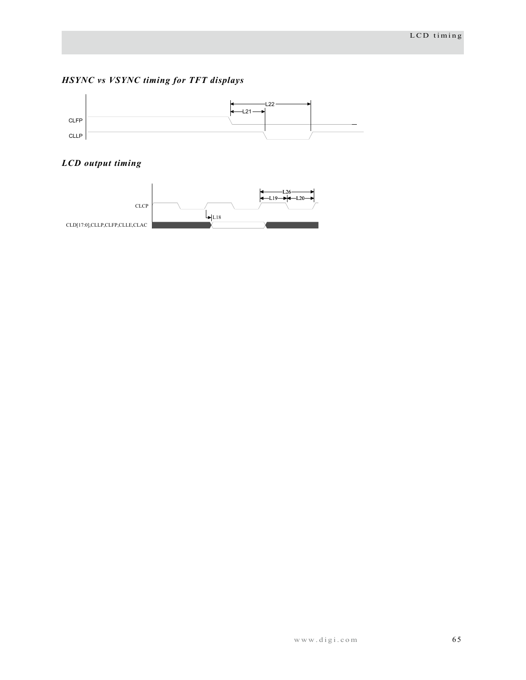# *HSYNC vs VSYNC timing for TFT displays*



# *LCD output timing*

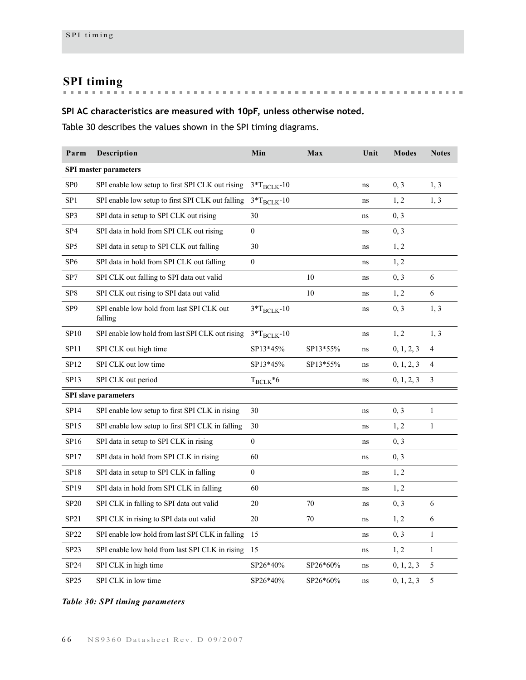**SPI timing**

# **SPI AC characteristics are measured with 10pF, unless otherwise noted.**

Table 30 describes the values shown in the SPI timing diagrams.

| Parm                         | Description                                          | Min              | Max      | Unit     | <b>Modes</b> | <b>Notes</b>   |  |  |
|------------------------------|------------------------------------------------------|------------------|----------|----------|--------------|----------------|--|--|
| <b>SPI</b> master parameters |                                                      |                  |          |          |              |                |  |  |
| SP <sub>0</sub>              | SPI enable low setup to first SPI CLK out rising     | $3*T_{BCLK}$ -10 |          | ns       | 0, 3         | 1, 3           |  |  |
| SP <sub>1</sub>              | SPI enable low setup to first SPI CLK out falling    | $3*T_{BCLK}$ -10 |          | ns       | 1, 2         | 1, 3           |  |  |
| SP3                          | SPI data in setup to SPI CLK out rising              | 30               |          | ns       | 0, 3         |                |  |  |
| SP <sub>4</sub>              | SPI data in hold from SPI CLK out rising             | $\mathbf{0}$     |          | ns       | 0, 3         |                |  |  |
| SP <sub>5</sub>              | SPI data in setup to SPI CLK out falling             | 30               |          | ns       | 1, 2         |                |  |  |
| SP <sub>6</sub>              | SPI data in hold from SPI CLK out falling            | $\boldsymbol{0}$ |          | ns       | 1, 2         |                |  |  |
| SP7                          | SPI CLK out falling to SPI data out valid            |                  | 10       | ns       | 0, 3         | 6              |  |  |
| SP8                          | SPI CLK out rising to SPI data out valid             |                  | 10       | ns       | 1, 2         | 6              |  |  |
| SP <sub>9</sub>              | SPI enable low hold from last SPI CLK out<br>falling | $3*T_{BCLK}$ -10 |          | ns       | 0, 3         | 1, 3           |  |  |
| SP10                         | SPI enable low hold from last SPI CLK out rising     | $3*T_{BCLK}$ -10 |          | ns       | 1, 2         | 1, 3           |  |  |
| <b>SP11</b>                  | SPI CLK out high time                                | SP13*45%         | SP13*55% | ns       | 0, 1, 2, 3   | 4              |  |  |
| SP12                         | SPI CLK out low time                                 | SP13*45%         | SP13*55% | ns       | 0, 1, 2, 3   | $\overline{4}$ |  |  |
| SP13                         | SPI CLK out period                                   | $T_{BCLK} * 6$   |          | $\rm ns$ | 0, 1, 2, 3   | $\mathfrak{Z}$ |  |  |
|                              | <b>SPI</b> slave parameters                          |                  |          |          |              |                |  |  |
| SP14                         | SPI enable low setup to first SPI CLK in rising      | 30               |          | ns       | 0, 3         | $\mathbf{1}$   |  |  |
| SP15                         | SPI enable low setup to first SPI CLK in falling     | 30               |          | ns       | 1, 2         | $\mathbf{1}$   |  |  |
| SP16                         | SPI data in setup to SPI CLK in rising               | $\overline{0}$   |          | ns       | 0, 3         |                |  |  |
| SP17                         | SPI data in hold from SPI CLK in rising              | 60               |          | ns       | 0, 3         |                |  |  |
| SP18                         | SPI data in setup to SPI CLK in falling              | $\overline{0}$   |          | ns       | 1, 2         |                |  |  |
| SP19                         | SPI data in hold from SPI CLK in falling             | 60               |          | ns       | 1, 2         |                |  |  |
| <b>SP20</b>                  | SPI CLK in falling to SPI data out valid             | 20               | 70       | ns       | 0, 3         | 6              |  |  |
| SP21                         | SPI CLK in rising to SPI data out valid              | 20               | 70       | ns       | 1, 2         | 6              |  |  |
| SP22                         | SPI enable low hold from last SPI CLK in falling     | 15               |          | ns       | 0, 3         | 1              |  |  |
| SP23                         | SPI enable low hold from last SPI CLK in rising      | 15               |          | ns       | 1, 2         | $\mathbf{1}$   |  |  |
| SP24                         | SPI CLK in high time                                 | SP26*40%         | SP26*60% | ns       | 0, 1, 2, 3   | 5              |  |  |
| SP25                         | SPI CLK in low time                                  | SP26*40%         | SP26*60% | ns       | 0, 1, 2, 3   | 5              |  |  |

### *Table 30: SPI timing parameters*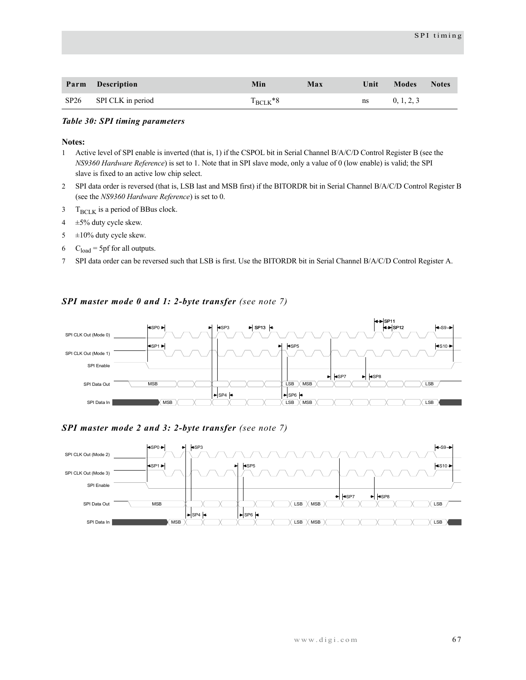| Parm Description       | Min            | Max | Unit                                                                                                                                                                                                                           | Modes Notes |  |
|------------------------|----------------|-----|--------------------------------------------------------------------------------------------------------------------------------------------------------------------------------------------------------------------------------|-------------|--|
| SP26 SPI CLK in period | $T_{BCl,K}$ *8 |     | ns to the set of the set of the set of the set of the set of the set of the set of the set of the set of the set of the set of the set of the set of the set of the set of the set of the set of the set of the set of the set | 0, 1, 2, 3  |  |

#### *Table 30: SPI timing parameters*

#### **Notes:**

- 1 Active level of SPI enable is inverted (that is, 1) if the CSPOL bit in Serial Channel B/A/C/D Control Register B (see the *NS9360 Hardware Reference*) is set to 1. Note that in SPI slave mode, only a value of 0 (low enable) is valid; the SPI slave is fixed to an active low chip select.
- 2 SPI data order is reversed (that is, LSB last and MSB first) if the BITORDR bit in Serial Channel B/A/C/D Control Register B (see the *NS9360 Hardware Reference*) is set to 0.
- $3$  T<sub>BCLK</sub> is a period of BBus clock.
- $4 \pm 5\%$  duty cycle skew.
- $5 \pm 10\%$  duty cycle skew.
- 6  $C_{load} = 5pf$  for all outputs.
- 7 SPI data order can be reversed such that LSB is first. Use the BITORDR bit in Serial Channel B/A/C/D Control Register A.

#### *SPI master mode 0 and 1: 2-byte transfer (see note 7)*



## *SPI master mode 2 and 3: 2-byte transfer (see note 7)*

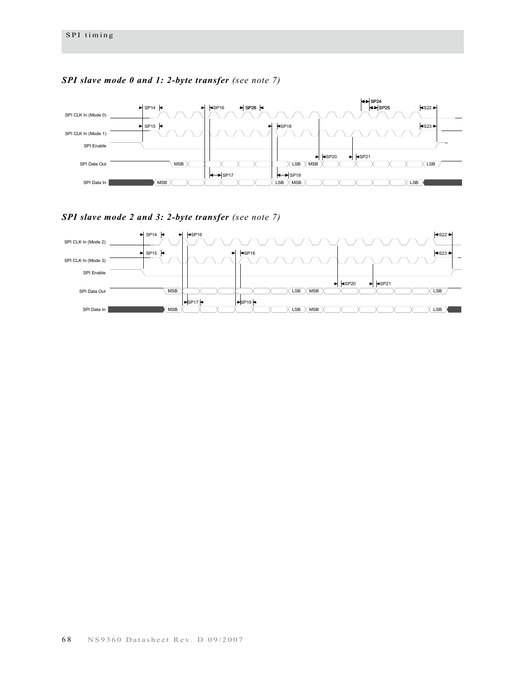

# *SPI slave mode 0 and 1: 2-byte transfer (see note 7)*

*SPI slave mode 2 and 3: 2-byte transfer (see note 7)*

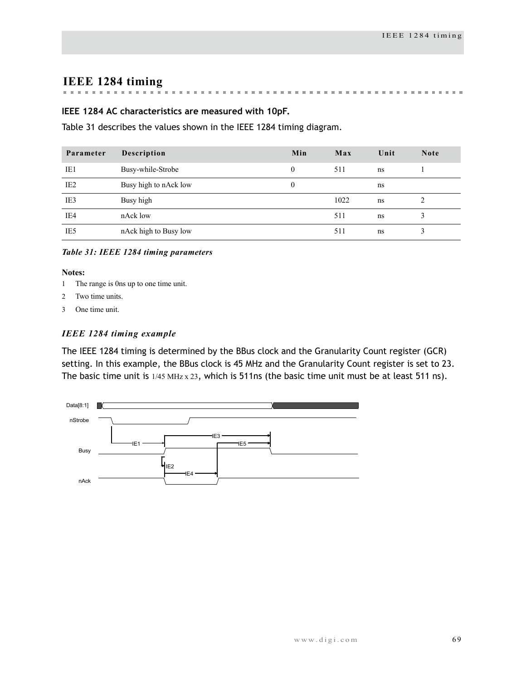# **IEEE 1284 timing**

#### $\mathbf{m}$  $\mathbf{m}$  . **Record Follows**  $\mathbf{m}$ . . . . . . . . . . . . . . . . . . . .

### **IEEE 1284 AC characteristics are measured with 10pF.**

[Table 31](#page-72-0) describes the values shown in the IEEE 1284 timing diagram.

| Parameter       | Description           | Min      | Max  | Unit | <b>Note</b> |
|-----------------|-----------------------|----------|------|------|-------------|
| IE1             | Busy-while-Strobe     | $\Omega$ | 511  | ns   |             |
| IE <sub>2</sub> | Busy high to nAck low | $\theta$ |      | ns   |             |
| IE3             | Busy high             |          | 1022 | ns   |             |
| IE4             | nAck low              |          | 511  | ns   |             |
| IE5             | nAck high to Busy low |          | 511  | ns   |             |

<span id="page-72-0"></span>*Table 31: IEEE 1284 timing parameters*

### **Notes:**

- 1 The range is 0ns up to one time unit.
- 2 Two time units.
- 3 One time unit.

### *IEEE 1284 timing example*

The IEEE 1284 timing is determined by the BBus clock and the Granularity Count register (GCR) setting. In this example, the BBus clock is 45 MHz and the Granularity Count register is set to 23. The basic time unit is  $1/45$  MHz  $x$  23, which is 511ns (the basic time unit must be at least 511 ns).

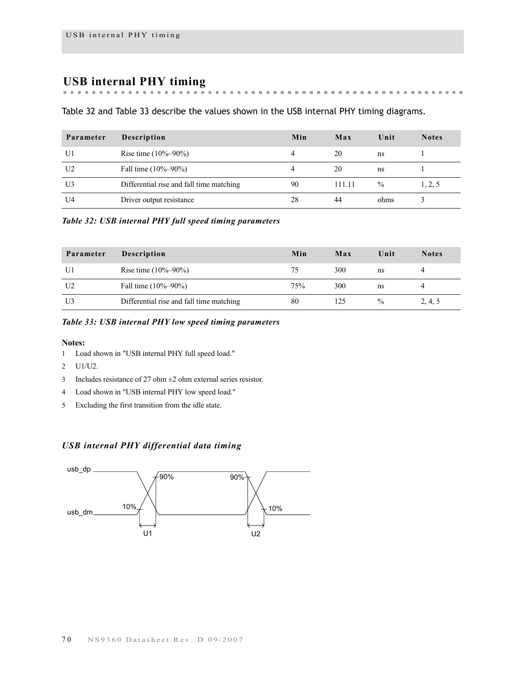# **USB internal PHY timing**

**Building County** [Table 32](#page-73-0) and [Table 33](#page-73-1) describe the values shown in the USB internal PHY timing diagrams.

 $\sim$  $\sim$  $\mathbf{m}$  $\mathbf{m}$  $\mathbf{m}$  $\mathbf{m}$  $\pm$  $\mathbf{m}$  $\mathbb{R}^n$  $\pm 0$ 

the first term in the first

**But an anti-market and an anti-**

 $\sim$  $\mathbf{m}$ 

| Parameter      | Description                              | Min | Max    | Unit | <b>Notes</b> |
|----------------|------------------------------------------|-----|--------|------|--------------|
| U1             | Rise time $(10\% - 90\%)$                |     | 20     | ns   |              |
| U <sub>2</sub> | Fall time $(10\% - 90\%)$                |     | 20     | ns   |              |
| U3             | Differential rise and fall time matching | 90  | 111.11 | $\%$ | 1, 2, 5      |
| U4             | Driver output resistance                 | 28  | 44     | ohms |              |

### <span id="page-73-0"></span>*Table 32: USB internal PHY full speed timing parameters*

| Parameter      | <b>Description</b>                       | Min | Max | Unit | <b>Notes</b> |
|----------------|------------------------------------------|-----|-----|------|--------------|
| U1             | Rise time $(10\% - 90\%)$                | 75  | 300 | ns   |              |
| U <sub>2</sub> | Fall time $(10\% - 90\%)$                | 75% | 300 | ns   |              |
| U3             | Differential rise and fall time matching | 80  | 125 | $\%$ | 2, 4, 5      |

### <span id="page-73-1"></span>*Table 33: USB internal PHY low speed timing parameters*

#### **Notes:**

- 1 Load shown in ["USB internal PHY full speed load."](#page-74-0)
- 2 U1/U2.
- 3 Includes resistance of 27 ohm  $\pm$ 2 ohm external series resistor.
- 4 Load shown in ["USB internal PHY low speed load."](#page-74-1)
- 5 Excluding the first transition from the idle state.

### *USB internal PHY differential data timing*

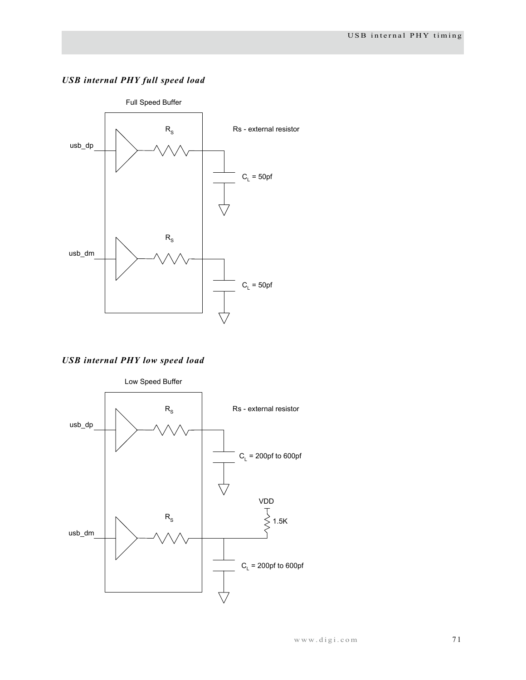## <span id="page-74-0"></span>*USB internal PHY full speed load*



<span id="page-74-1"></span>*USB internal PHY low speed load*

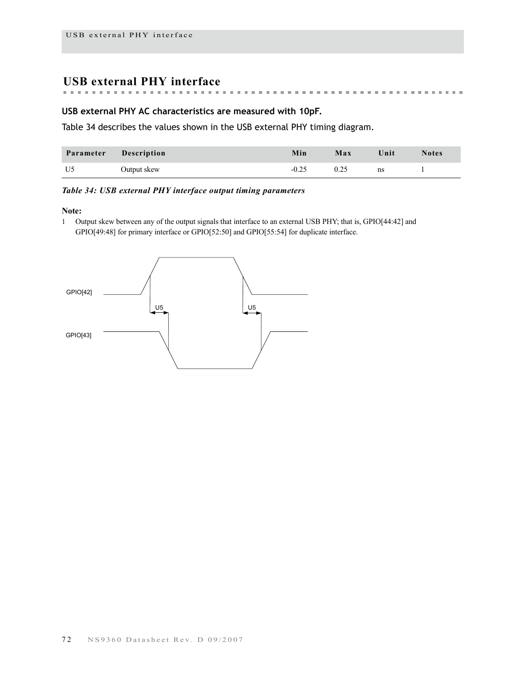# **USB external PHY interface**

### **USB external PHY AC characteristics are measured with 10pF.**

[Table 34](#page-75-0) describes the values shown in the USB external PHY timing diagram.

| Parameter Description |             | Min     | Max  | Unit | <b>Notes</b> |
|-----------------------|-------------|---------|------|------|--------------|
| U5                    | Output skew | $-0.25$ | 0.25 | ns   |              |

### <span id="page-75-0"></span>*Table 34: USB external PHY interface output timing parameters*

#### **Note:**

1 Output skew between any of the output signals that interface to an external USB PHY; that is, GPIO[44:42] and GPIO[49:48] for primary interface or GPIO[52:50] and GPIO[55:54] for duplicate interface.

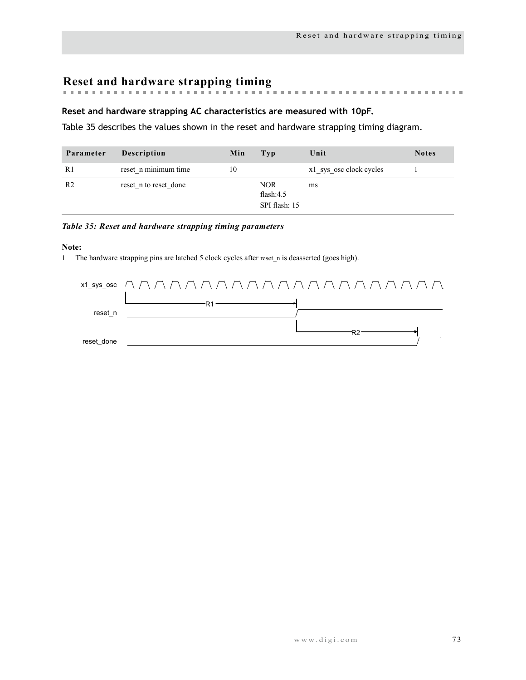**Reset and hardware strapping timing**

### **Reset and hardware strapping AC characteristics are measured with 10pF.**

[Table 35](#page-76-0) describes the values shown in the reset and hardware strapping timing diagram.

| Parameter      | <b>Description</b>    | Min | Typ                                         | Unit                    | <b>Notes</b> |
|----------------|-----------------------|-----|---------------------------------------------|-------------------------|--------------|
| R1             | reset n minimum time  | 10  |                                             | x1 sys osc clock cycles |              |
| R <sub>2</sub> | reset n to reset done |     | <b>NOR</b><br>flash: $4.5$<br>SPI flash: 15 | ms                      |              |

### <span id="page-76-0"></span>*Table 35: Reset and hardware strapping timing parameters*

### **Note:**

1 The hardware strapping pins are latched 5 clock cycles after reset n is deasserted (goes high).

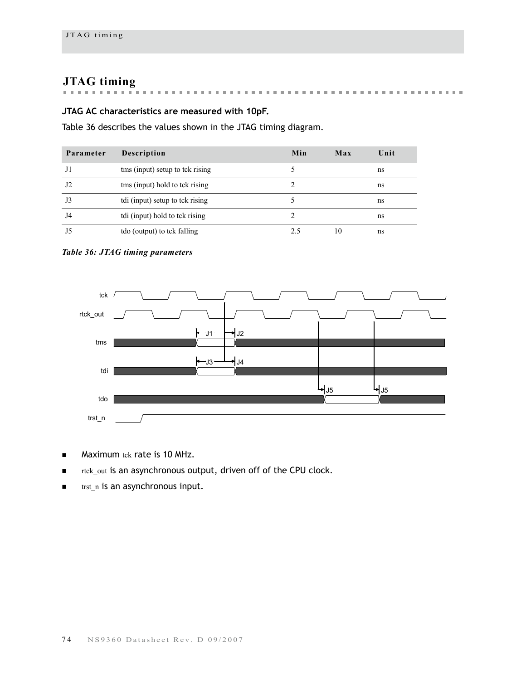# **JTAG timing**

#### . . . . . . . . . . . . . . . . .  $\mathcal{M}$  , and  $\mathcal{M}$  , and  $\mathcal{M}$  $\mathbf{R}$  ,  $\mathbf{R}$  ,  $\mathbf{R}$  ,  $\mathbf{R}$ . . . . . . . . . . . . . . . . . . . .

# **JTAG AC characteristics are measured with 10pF.**

Table 36 describes the values shown in the JTAG timing diagram.

| Parameter | <b>Description</b>              | Min | Max | Unit |
|-----------|---------------------------------|-----|-----|------|
| J1        | tms (input) setup to tck rising |     |     | ns   |
| J2        | tms (input) hold to tck rising  |     |     | ns   |
| J3        | tdi (input) setup to tck rising |     |     | ns   |
| J4        | tdi (input) hold to tck rising  |     |     | ns   |
|           | tdo (output) to tck falling     |     | 10  | ns   |

### *Table 36: JTAG timing parameters*



- **Maximum tck rate is 10 MHz.**
- rtck\_out is an asynchronous output, driven off of the CPU clock.
- $\blacksquare$  trst n is an asynchronous input.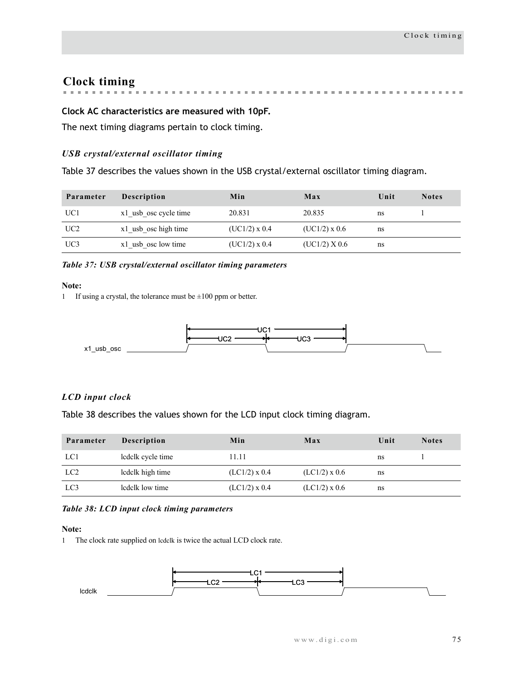# **Clock timing**

**Burnett** . . . . . . . . . . . . . . . . . . . .

## **Clock AC characteristics are measured with 10pF.**

The next timing diagrams pertain to clock timing.

### *USB crystal/external oscillator timing*

[Table 37](#page-78-0) describes the values shown in the USB crystal/external oscillator timing diagram.

| Parameter       | <b>Description</b>    | Min             | Max             | Unit | <b>Notes</b> |
|-----------------|-----------------------|-----------------|-----------------|------|--------------|
| UC <sub>1</sub> | x1 usb osc cycle time | 20.831          | 20.835          | ns   |              |
| UC <sub>2</sub> | x1 usb osc high time  | $(UC1/2)$ x 0.4 | $(UC1/2)$ x 0.6 | ns   |              |
| UC3             | x1 usb osc low time   | $(UC1/2)$ x 0.4 | (UC1/2) X 0.6   | ns   |              |

### <span id="page-78-0"></span>*Table 37: USB crystal/external oscillator timing parameters*

### **Note:**

1 If using a crystal, the tolerance must be  $\pm 100$  ppm or better.



### *LCD input clock*

[Table 38](#page-78-1) describes the values shown for the LCD input clock timing diagram.

| Parameter       | <b>Description</b> | Min             | Max             | Unit | <b>Notes</b> |
|-----------------|--------------------|-----------------|-----------------|------|--------------|
| LC1             | ledelk eyele time  | 11.11           |                 | ns   |              |
| LC <sub>2</sub> | ledelk high time   | $(LC1/2)$ x 0.4 | $(LC1/2)$ x 0.6 | ns   |              |
| LC3             | ledelk low time    | $(LCl/2)$ x 0.4 | $(LC1/2)$ x 0.6 | ns   |              |

### <span id="page-78-1"></span>*Table 38: LCD input clock timing parameters*

### **Note:**

1 The clock rate supplied on lcdclk is twice the actual LCD clock rate.

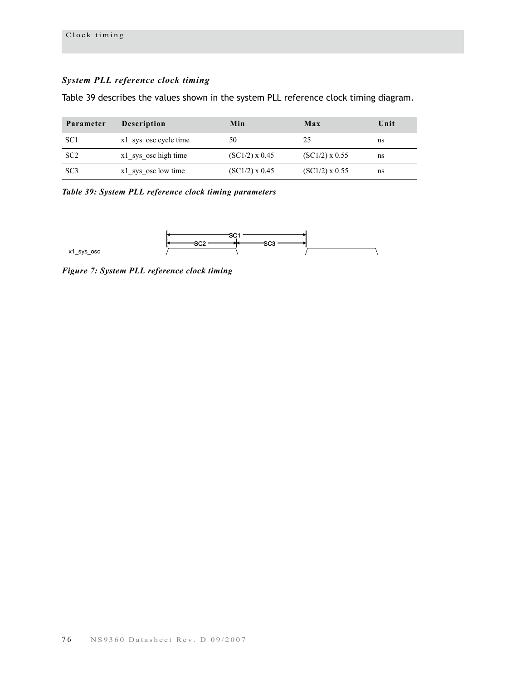## *System PLL reference clock timing*

Table 39 describes the values shown in the system PLL reference clock timing diagram.

| Parameter       | Description           | Min              | Max              | Unit |
|-----------------|-----------------------|------------------|------------------|------|
| SC <sub>1</sub> | x1 sys osc cycle time | 50               | 25               | ns   |
| SC <sub>2</sub> | x1 sys osc high time  | $(SCl/2)$ x 0.45 | $(SCl/2)$ x 0.55 | ns   |
| SC <sub>3</sub> | x1 sys osc low time   | $(SCl/2)$ x 0.45 | $(SCl/2)$ x 0.55 | ns   |

*Table 39: System PLL reference clock timing parameters*



*Figure 7: System PLL reference clock timing*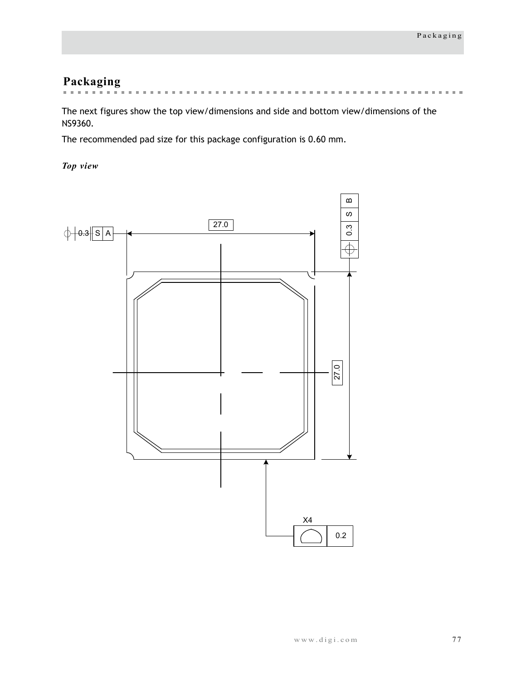# **Packaging**

**Service Street, Service Building**  $\sim$  $\sim$  $\sim$  $\sim$  $\mathbf{m}$  $\sim$  $\sim$  $\mathbf{m}$  $\mathbf{m}$  $\pm 0$  $\mathbf{m}$ 

The next figures show the top view/dimensions and side and bottom view/dimensions of the NS9360.

The recommended pad size for this package configuration is 0.60 mm.

*Top view*

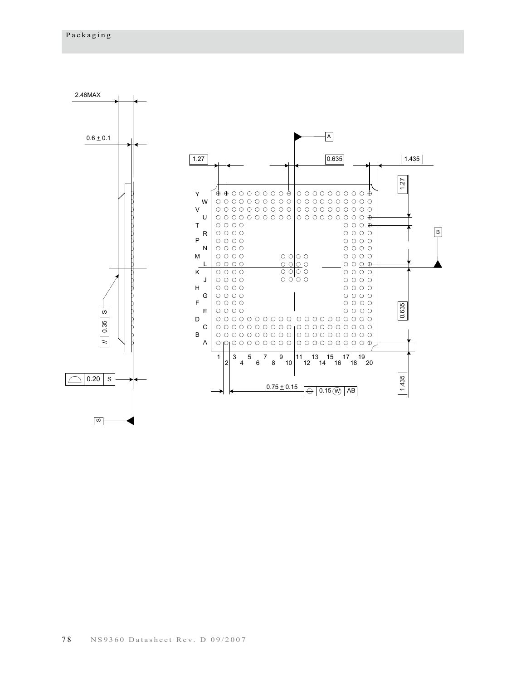ഗ

2.46MAX A  $0.6 \pm 0.1$  $\sqrt{1.27}$  $0.635$  $1.435$ 1.27  $\bullet \bullet \circ \circ \circ \circ \circ \circ \circ \bullet | \circ \circ \circ \circ \circ \circ \circ \circ \circ \bullet$ Y W  $\circ \circ \circ \circ \circ \circ \circ \circ \circ \circ | \circ \circ \circ \circ \circ \circ \circ \circ \circ$ V  $0000000000000000000000$ U T  $\circ \circ \circ \circ$  $O$   $O$   $O$   $\oplus$ B R  $\circ$   $\circ$   $\circ$   $\circ$  $\circ$   $\circ$   $\circ$   $\circ$  $0000$ P  $\circ \circ \circ \circ \circ$  $\circ \circ \circ \circ \circ$ N  $\circ$   $\circ$   $\circ$   $\circ$ M  $\circ \circ \circ \circ \circ$  $\circ$   $\circ$   $\circ$  $\circ$   $\circ$   $\circ$   $\circ$  $\begin{array}{c} 0 & 0 & 0 \\ 0 & 0 & 0 \end{array}$  $\circ$   $\circ$   $\circ$  $O$   $O$   $O$   $\rightarrow$ L K  $\circ \circ \circ \circ \circ$  $\circ$   $\circ$   $\circ$  $\circ \circ \circ \circ \circ$  $\frac{1}{2}$  $\circ$   $\circ$   $\circ$ J  $\circ \circ \circ \circ \circ$  $\circ$   $\circ$   $\circ$   $\circ$ H  $\circ \circ \circ \circ$  $\circ \circ \circ \circ \circ$ G  $\circ$   $\circ$   $\circ$   $\circ$  $\circ$   $\circ$   $\circ$   $\circ$ F  $\circ$   $\circ$   $\circ$   $\circ$  $\circ \circ \circ \circ \circ$ 0.635 1.435 0.635 E  $\circ \circ \circ \circ \circ$  $\circ \circ \circ \circ \circ$ S) D 0.35 C B  $\vert$ A 1 3 5 7 9 11 13 15 17 19 2 4 6 8 10 12 14 16 18 20  $|1.435$  $\bigcirc$  0.20  $\mid$  s  $0.75 \pm 0.15$   $\bigoplus$  0.15  $\textcircled{w}$  AB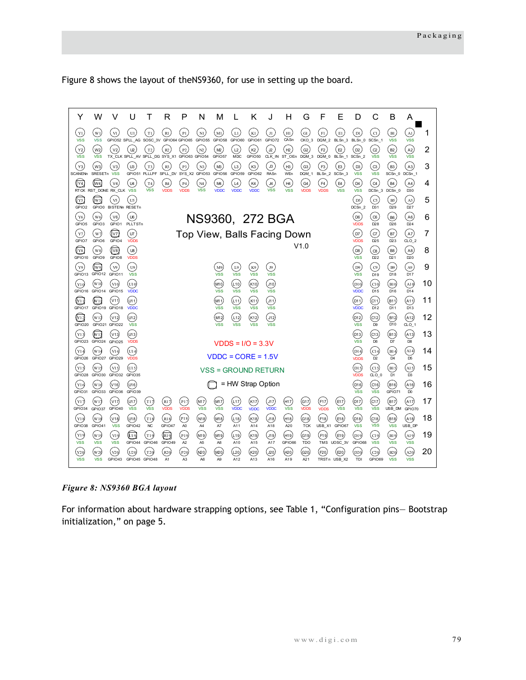[Figure 8](#page-82-0) shows the layout of theNS9360, for use in setting up the board.



*Figure 8: NS9360 BGA layout*

<span id="page-82-0"></span>For information about hardware strapping options, see Table 1, "Configuration pins— Bootstrap initialization," on page 5.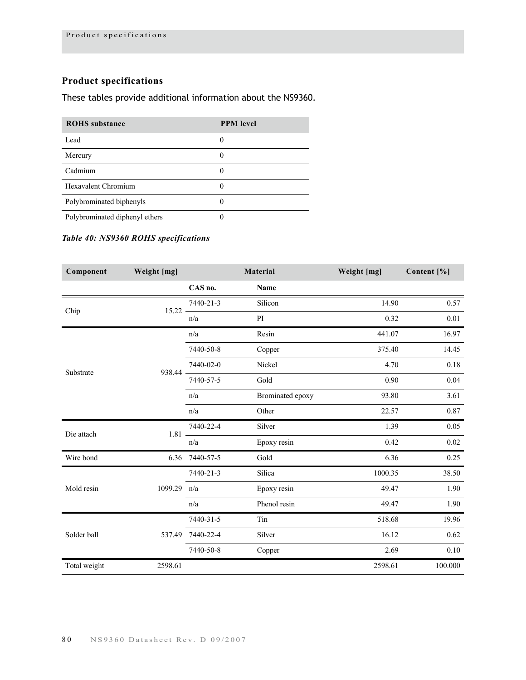# **Product specifications**

# These tables provide additional information about the NS9360.

| <b>ROHS</b> substance          | <b>PPM</b> level |
|--------------------------------|------------------|
| Lead                           | 0                |
| Mercury                        |                  |
| Cadmium                        | 0                |
| <b>Hexavalent Chromium</b>     |                  |
| Polybrominated biphenyls       |                  |
| Polybrominated diphenyl ethers |                  |

## *Table 40: NS9360 ROHS specifications*

| Component    | Weight [mg] |                | Material         | Weight [mg] | Content [%] |
|--------------|-------------|----------------|------------------|-------------|-------------|
|              |             | CAS no.        | Name             |             |             |
| Chip         | $15.22 -$   | 7440-21-3      | Silicon          | 14.90       | 0.57        |
|              |             | n/a            | PI               | 0.32        | 0.01        |
| Substrate    |             | n/a            | Resin            | 441.07      | 16.97       |
|              |             | 7440-50-8      | Copper           | 375.40      | 14.45       |
|              | 938.44 -    | 7440-02-0      | Nickel           | 4.70        | 0.18        |
|              |             | 7440-57-5      | Gold             | 0.90        | 0.04        |
|              |             | n/a            | Brominated epoxy | 93.80       | 3.61        |
|              |             | n/a            | Other            | 22.57       | 0.87        |
| Die attach   | $1.81 -$    | 7440-22-4      | Silver           | 1.39        | 0.05        |
|              |             | n/a            | Epoxy resin      | 0.42        | 0.02        |
| Wire bond    |             | 6.36 7440-57-5 | Gold             | 6.36        | 0.25        |
|              |             | 7440-21-3      | Silica           | 1000.35     | 38.50       |
| Mold resin   | 1099.29     | n/a            | Epoxy resin      | 49.47       | 1.90        |
|              |             | n/a            | Phenol resin     | 49.47       | 1.90        |
|              |             | 7440-31-5      | Tin              | 518.68      | 19.96       |
| Solder ball  | 537.49      | 7440-22-4      | Silver           | 16.12       | 0.62        |
|              |             | 7440-50-8      | Copper           | 2.69        | $0.10\,$    |
| Total weight | 2598.61     |                |                  | 2598.61     | 100.000     |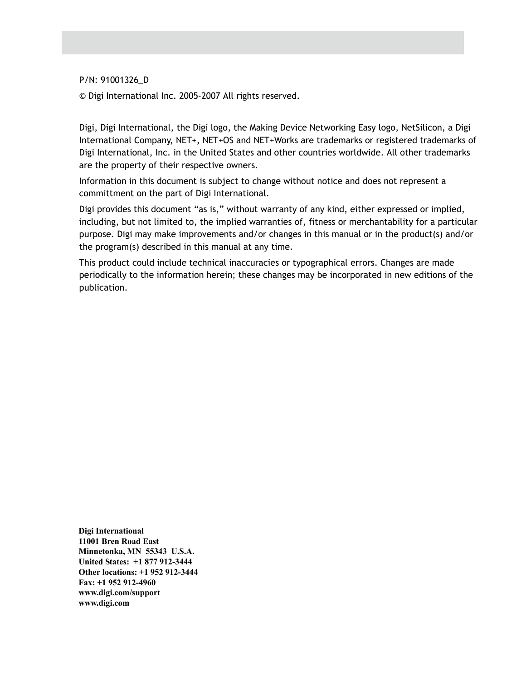P/N: 91001326\_D

© Digi International Inc. 2005-2007 All rights reserved.

Digi, Digi International, the Digi logo, the Making Device Networking Easy logo, NetSilicon, a Digi International Company, NET+, NET+OS and NET+Works are trademarks or registered trademarks of Digi International, Inc. in the United States and other countries worldwide. All other trademarks are the property of their respective owners.

Information in this document is subject to change without notice and does not represent a committment on the part of Digi International.

Digi provides this document "as is," without warranty of any kind, either expressed or implied, including, but not limited to, the implied warranties of, fitness or merchantability for a particular purpose. Digi may make improvements and/or changes in this manual or in the product(s) and/or the program(s) described in this manual at any time.

This product could include technical inaccuracies or typographical errors. Changes are made periodically to the information herein; these changes may be incorporated in new editions of the publication.

**Digi International 11001 Bren Road East Minnetonka, MN 55343 U.S.A. United States: +1 877 912-3444 Other locations: +1 952 912-3444 Fax: +1 952 912-4960 www.digi.com/support www.digi.com**